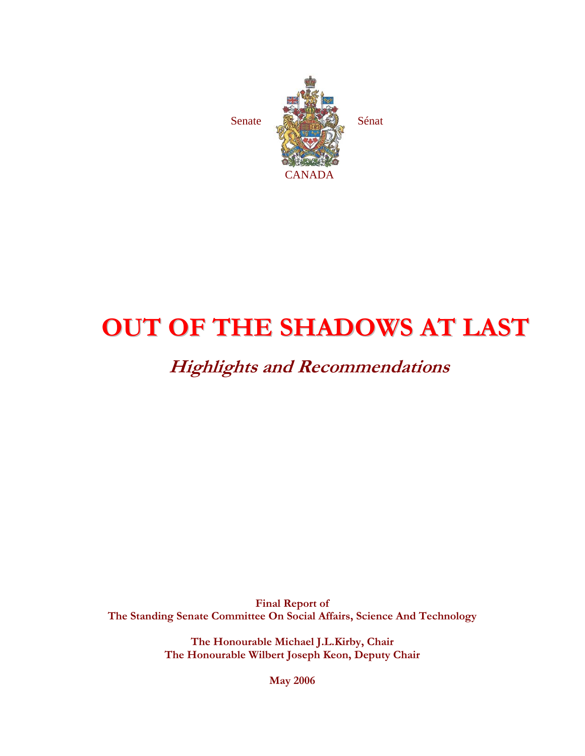

# **OUT OF THE SHADOWS AT LAST**

# **Highlights and Recommendations**

**Final Report of The Standing Senate Committee On Social Affairs, Science And Technology** 

> **The Honourable Michael J.L.Kirby, Chair The Honourable Wilbert Joseph Keon, Deputy Chair**

> > **May 2006**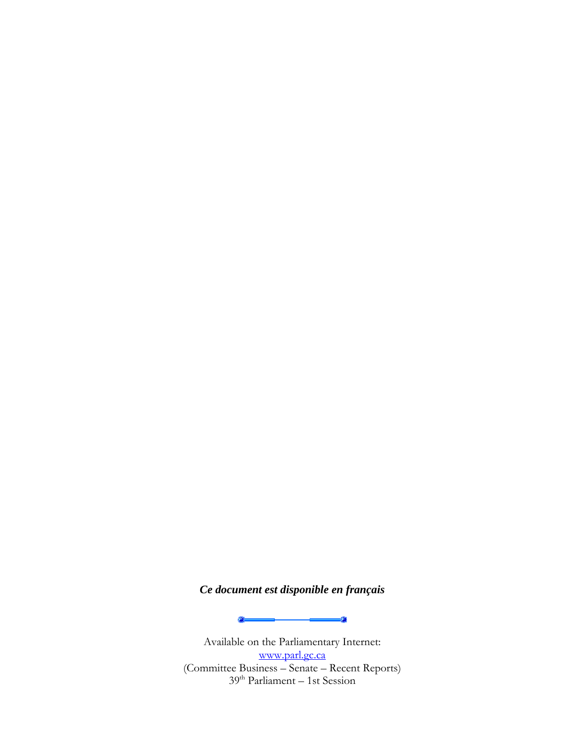### *Ce document est disponible en français*

Q.

Available on the Parliamentary Internet: www.parl.gc.ca (Committee Business – Senate – Recent Reports) 39<sup>th</sup> Parliament – 1st Session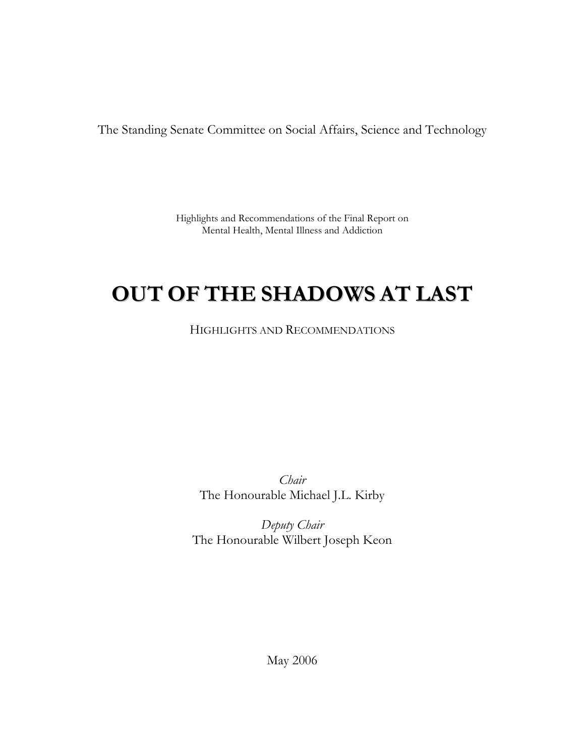The Standing Senate Committee on Social Affairs, Science and Technology

Highlights and Recommendations of the Final Report on Mental Health, Mental Illness and Addiction

# **OUT OF THE SHADOWS AT LAST**

HIGHLIGHTS AND RECOMMENDATIONS

*Chair*  The Honourable Michael J.L. Kirby

*Deputy Chair*  The Honourable Wilbert Joseph Keon

May 2006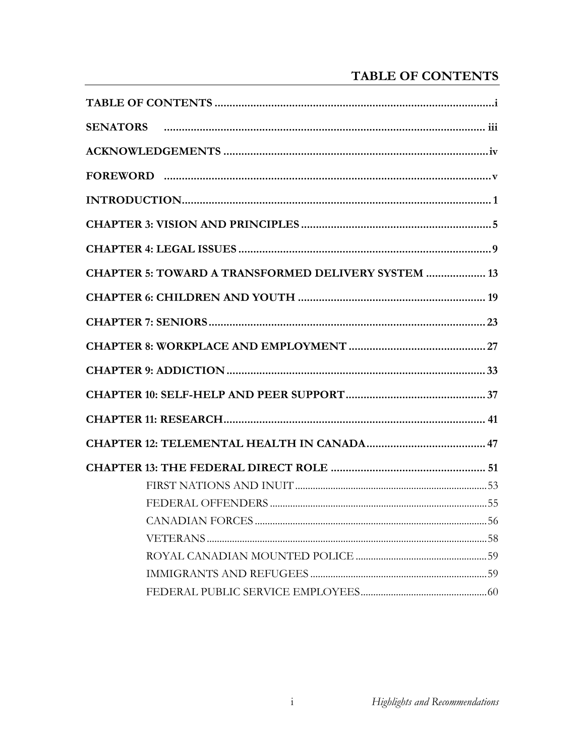# TABLE OF CONTENTS

| <b>CHAPTER 5: TOWARD A TRANSFORMED DELIVERY SYSTEM  13</b> |
|------------------------------------------------------------|
|                                                            |
|                                                            |
|                                                            |
|                                                            |
|                                                            |
|                                                            |
|                                                            |
|                                                            |
|                                                            |
|                                                            |
|                                                            |
|                                                            |
|                                                            |
|                                                            |
|                                                            |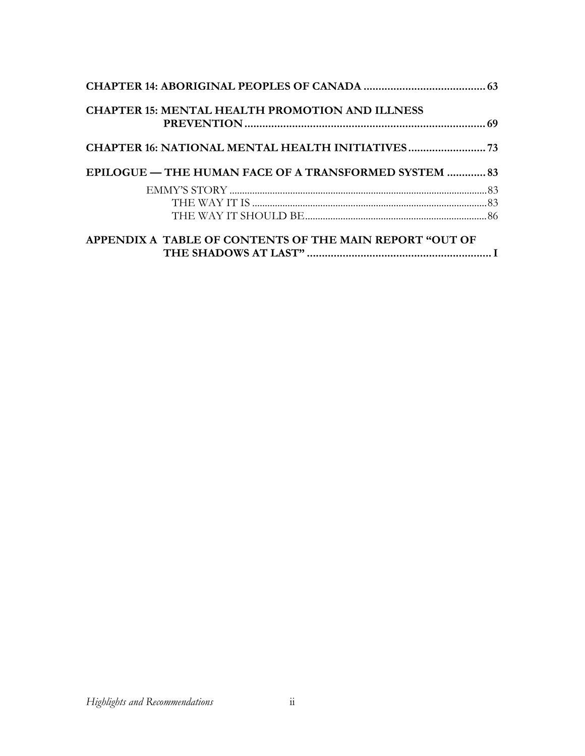| <b>CHAPTER 15: MENTAL HEALTH PROMOTION AND ILLNESS</b>       |  |
|--------------------------------------------------------------|--|
| CHAPTER 16: NATIONAL MENTAL HEALTH INITIATIVES               |  |
| <b>EPILOGUE — THE HUMAN FACE OF A TRANSFORMED SYSTEM  83</b> |  |
|                                                              |  |
|                                                              |  |
|                                                              |  |
| APPENDIX A TABLE OF CONTENTS OF THE MAIN REPORT "OUT OF      |  |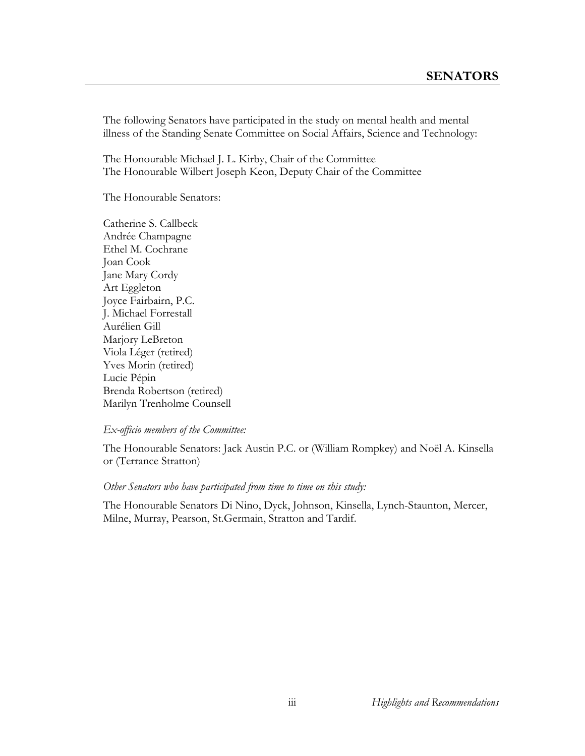The following Senators have participated in the study on mental health and mental illness of the Standing Senate Committee on Social Affairs, Science and Technology:

The Honourable Michael J. L. Kirby, Chair of the Committee The Honourable Wilbert Joseph Keon, Deputy Chair of the Committee

The Honourable Senators:

Catherine S. Callbeck Andrée Champagne Ethel M. Cochrane Joan Cook Jane Mary Cordy Art Eggleton Joyce Fairbairn, P.C. J. Michael Forrestall Aurélien Gill Marjory LeBreton Viola Léger (retired) Yves Morin (retired) Lucie Pépin Brenda Robertson (retired) Marilyn Trenholme Counsell

#### *Ex-officio members of the Committee:*

The Honourable Senators: Jack Austin P.C. or (William Rompkey) and Noёl A. Kinsella or (Terrance Stratton)

#### *Other Senators who have participated from time to time on this study:*

The Honourable Senators Di Nino, Dyck, Johnson, Kinsella, Lynch-Staunton, Mercer, Milne, Murray, Pearson, St.Germain, Stratton and Tardif.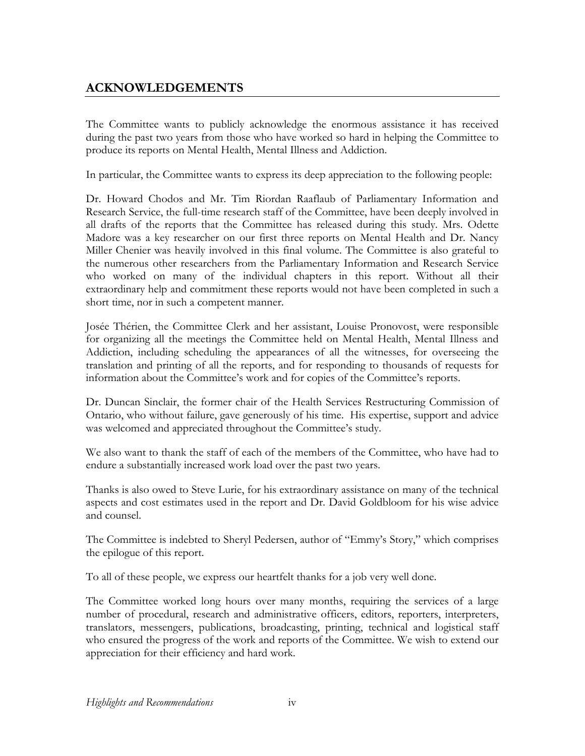## **ACKNOWLEDGEMENTS**

The Committee wants to publicly acknowledge the enormous assistance it has received during the past two years from those who have worked so hard in helping the Committee to produce its reports on Mental Health, Mental Illness and Addiction.

In particular, the Committee wants to express its deep appreciation to the following people:

Dr. Howard Chodos and Mr. Tim Riordan Raaflaub of Parliamentary Information and Research Service, the full-time research staff of the Committee, have been deeply involved in all drafts of the reports that the Committee has released during this study. Mrs. Odette Madore was a key researcher on our first three reports on Mental Health and Dr. Nancy Miller Chenier was heavily involved in this final volume. The Committee is also grateful to the numerous other researchers from the Parliamentary Information and Research Service who worked on many of the individual chapters in this report. Without all their extraordinary help and commitment these reports would not have been completed in such a short time, nor in such a competent manner.

Josée Thérien, the Committee Clerk and her assistant, Louise Pronovost, were responsible for organizing all the meetings the Committee held on Mental Health, Mental Illness and Addiction, including scheduling the appearances of all the witnesses, for overseeing the translation and printing of all the reports, and for responding to thousands of requests for information about the Committee's work and for copies of the Committee's reports.

Dr. Duncan Sinclair, the former chair of the Health Services Restructuring Commission of Ontario, who without failure, gave generously of his time. His expertise, support and advice was welcomed and appreciated throughout the Committee's study.

We also want to thank the staff of each of the members of the Committee, who have had to endure a substantially increased work load over the past two years.

Thanks is also owed to Steve Lurie, for his extraordinary assistance on many of the technical aspects and cost estimates used in the report and Dr. David Goldbloom for his wise advice and counsel.

The Committee is indebted to Sheryl Pedersen, author of "Emmy's Story," which comprises the epilogue of this report.

To all of these people, we express our heartfelt thanks for a job very well done.

The Committee worked long hours over many months, requiring the services of a large number of procedural, research and administrative officers, editors, reporters, interpreters, translators, messengers, publications, broadcasting, printing, technical and logistical staff who ensured the progress of the work and reports of the Committee. We wish to extend our appreciation for their efficiency and hard work.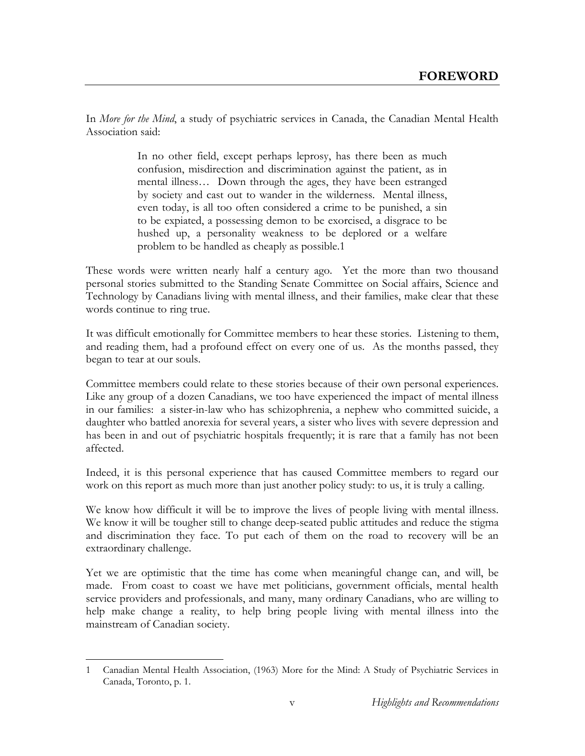In *More for the Mind*, a study of psychiatric services in Canada, the Canadian Mental Health Association said:

> In no other field, except perhaps leprosy, has there been as much confusion, misdirection and discrimination against the patient, as in mental illness… Down through the ages, they have been estranged by society and cast out to wander in the wilderness. Mental illness, even today, is all too often considered a crime to be punished, a sin to be expiated, a possessing demon to be exorcised, a disgrace to be hushed up, a personality weakness to be deplored or a welfare problem to be handled as cheaply as possible.1

These words were written nearly half a century ago. Yet the more than two thousand personal stories submitted to the Standing Senate Committee on Social affairs, Science and Technology by Canadians living with mental illness, and their families, make clear that these words continue to ring true.

It was difficult emotionally for Committee members to hear these stories. Listening to them, and reading them, had a profound effect on every one of us. As the months passed, they began to tear at our souls.

Committee members could relate to these stories because of their own personal experiences. Like any group of a dozen Canadians, we too have experienced the impact of mental illness in our families: a sister-in-law who has schizophrenia, a nephew who committed suicide, a daughter who battled anorexia for several years, a sister who lives with severe depression and has been in and out of psychiatric hospitals frequently; it is rare that a family has not been affected.

Indeed, it is this personal experience that has caused Committee members to regard our work on this report as much more than just another policy study: to us, it is truly a calling.

We know how difficult it will be to improve the lives of people living with mental illness. We know it will be tougher still to change deep-seated public attitudes and reduce the stigma and discrimination they face. To put each of them on the road to recovery will be an extraordinary challenge.

Yet we are optimistic that the time has come when meaningful change can, and will, be made. From coast to coast we have met politicians, government officials, mental health service providers and professionals, and many, many ordinary Canadians, who are willing to help make change a reality, to help bring people living with mental illness into the mainstream of Canadian society.

 $\overline{a}$ 1 Canadian Mental Health Association, (1963) More for the Mind: A Study of Psychiatric Services in Canada, Toronto, p. 1.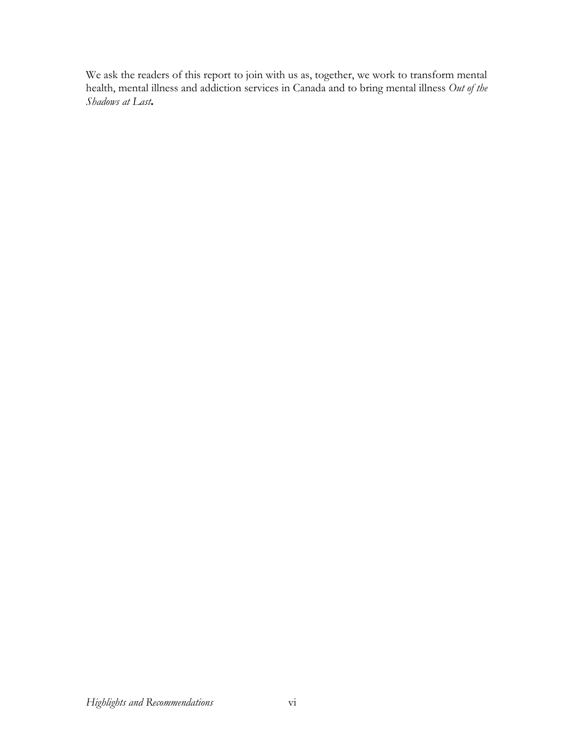We ask the readers of this report to join with us as, together, we work to transform mental health, mental illness and addiction services in Canada and to bring mental illness *Out of the Shadows at Last***.**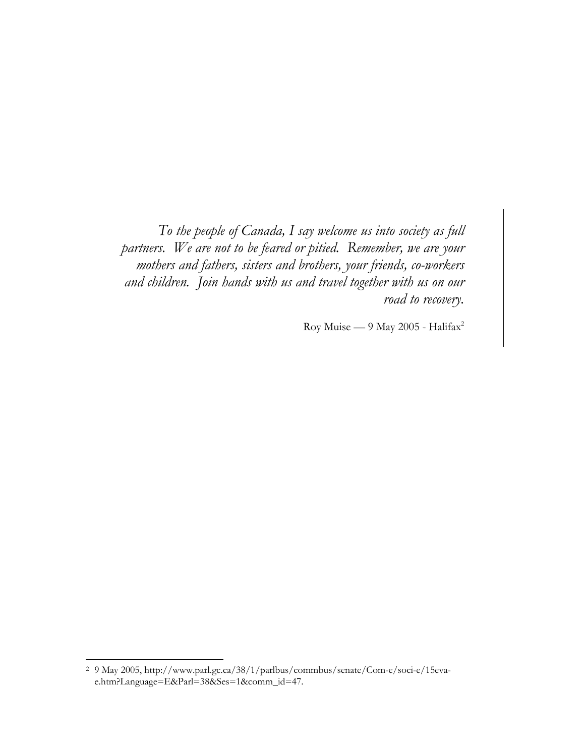*To the people of Canada, I say welcome us into society as full partners. We are not to be feared or pitied. Remember, we are your mothers and fathers, sisters and brothers, your friends, co-workers and children. Join hands with us and travel together with us on our road to recovery.* 

Roy Muise — 9 May 2005 - Halifax2

 $\overline{a}$ 

<sup>2 9</sup> May 2005, http://www.parl.gc.ca/38/1/parlbus/commbus/senate/Com-e/soci-e/15evae.htm?Language=E&Parl=38&Ses=1&comm\_id=47.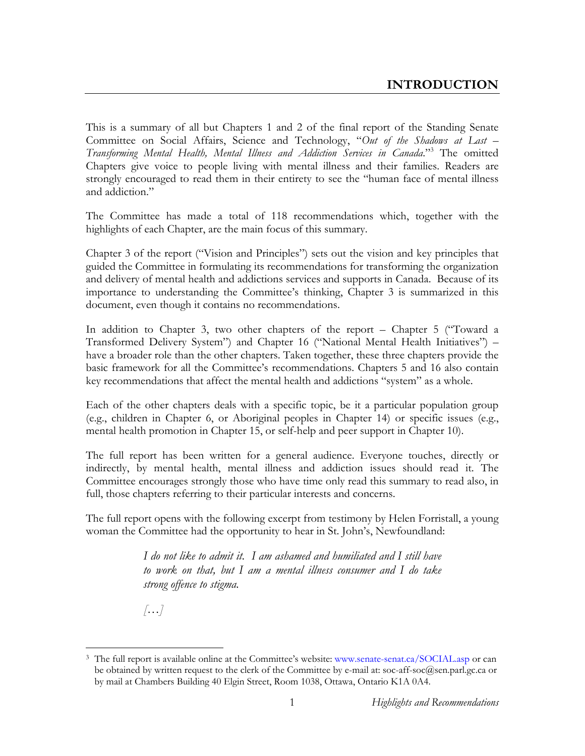This is a summary of all but Chapters 1 and 2 of the final report of the Standing Senate Committee on Social Affairs, Science and Technology, "*Out of the Shadows at Last –*  Transforming Mental Health, Mental Illness and Addiction Services in Canada."<sup>3</sup> The omitted Chapters give voice to people living with mental illness and their families. Readers are strongly encouraged to read them in their entirety to see the "human face of mental illness and addiction."

The Committee has made a total of 118 recommendations which, together with the highlights of each Chapter, are the main focus of this summary.

Chapter 3 of the report ("Vision and Principles") sets out the vision and key principles that guided the Committee in formulating its recommendations for transforming the organization and delivery of mental health and addictions services and supports in Canada. Because of its importance to understanding the Committee's thinking, Chapter 3 is summarized in this document, even though it contains no recommendations.

In addition to Chapter 3, two other chapters of the report – Chapter 5 ("Toward a Transformed Delivery System") and Chapter 16 ("National Mental Health Initiatives") – have a broader role than the other chapters. Taken together, these three chapters provide the basic framework for all the Committee's recommendations. Chapters 5 and 16 also contain key recommendations that affect the mental health and addictions "system" as a whole.

Each of the other chapters deals with a specific topic, be it a particular population group (e.g., children in Chapter 6, or Aboriginal peoples in Chapter 14) or specific issues (e.g., mental health promotion in Chapter 15, or self-help and peer support in Chapter 10).

The full report has been written for a general audience. Everyone touches, directly or indirectly, by mental health, mental illness and addiction issues should read it. The Committee encourages strongly those who have time only read this summary to read also, in full, those chapters referring to their particular interests and concerns.

The full report opens with the following excerpt from testimony by Helen Forristall, a young woman the Committee had the opportunity to hear in St. John's, Newfoundland:

> *I do not like to admit it. I am ashamed and humiliated and I still have to work on that, but I am a mental illness consumer and I do take strong offence to stigma.*

*[…]* 

 $\overline{a}$ 3 The full report is available online at the Committee's website: www.senate-senat.ca/SOCIAL.asp or can be obtained by written request to the clerk of the Committee by e-mail at: soc-aff-soc@sen.parl.gc.ca or by mail at Chambers Building 40 Elgin Street, Room 1038, Ottawa, Ontario K1A 0A4.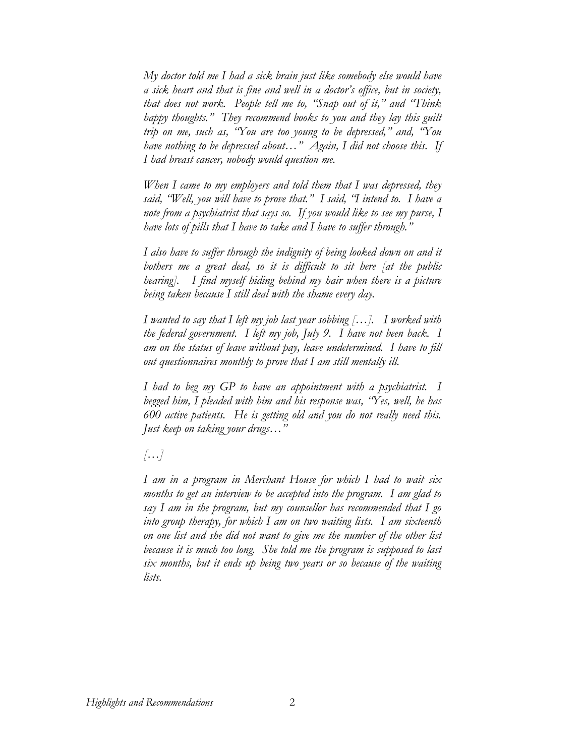*My doctor told me I had a sick brain just like somebody else would have a sick heart and that is fine and well in a doctor's office, but in society, that does not work. People tell me to, "Snap out of it," and "Think happy thoughts." They recommend books to you and they lay this guilt trip on me, such as, "You are too young to be depressed," and, "You have nothing to be depressed about…" Again, I did not choose this. If I had breast cancer, nobody would question me.* 

*When I came to my employers and told them that I was depressed, they said, "Well, you will have to prove that." I said, "I intend to. I have a note from a psychiatrist that says so. If you would like to see my purse, I have lots of pills that I have to take and I have to suffer through."* 

*I also have to suffer through the indignity of being looked down on and it bothers me a great deal, so it is difficult to sit here [at the public hearing]. I find myself hiding behind my hair when there is a picture being taken because I still deal with the shame every day.* 

*I wanted to say that I left my job last year sobbing […]. I worked with the federal government. I left my job, July 9. I have not been back. I am on the status of leave without pay, leave undetermined. I have to fill out questionnaires monthly to prove that I am still mentally ill.* 

*I had to beg my GP to have an appointment with a psychiatrist. I begged him, I pleaded with him and his response was, "Yes, well, he has 600 active patients. He is getting old and you do not really need this. Just keep on taking your drugs…"* 

*[…]* 

*I am in a program in Merchant House for which I had to wait six months to get an interview to be accepted into the program. I am glad to say I am in the program, but my counsellor has recommended that I go into group therapy, for which I am on two waiting lists. I am sixteenth on one list and she did not want to give me the number of the other list because it is much too long. She told me the program is supposed to last six months, but it ends up being two years or so because of the waiting lists.*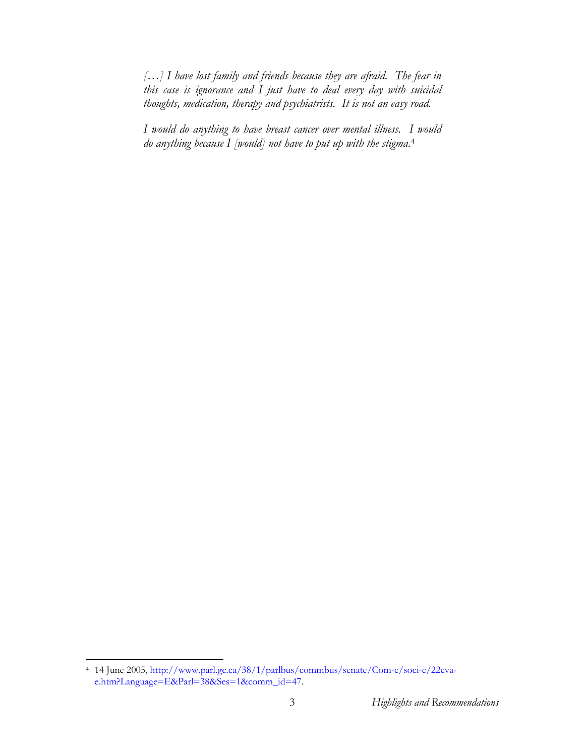*[…] I have lost family and friends because they are afraid. The fear in this case is ignorance and I just have to deal every day with suicidal thoughts, medication, therapy and psychiatrists. It is not an easy road.* 

*I would do anything to have breast cancer over mental illness. I would do anything because I [would] not have to put up with the stigma.*<sup>4</sup>

 $\overline{a}$ 

<sup>4 14</sup> June 2005, http://www.parl.gc.ca/38/1/parlbus/commbus/senate/Com-e/soci-e/22evae.htm?Language=E&Parl=38&Ses=1&comm\_id=47.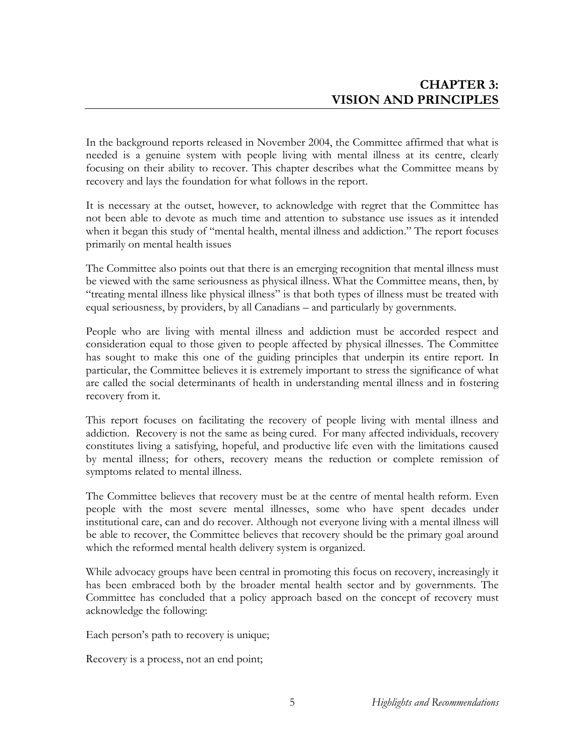In the background reports released in November 2004, the Committee affirmed that what is needed is a genuine system with people living with mental illness at its centre, clearly focusing on their ability to recover. This chapter describes what the Committee means by recovery and lays the foundation for what follows in the report.

It is necessary at the outset, however, to acknowledge with regret that the Committee has not been able to devote as much time and attention to substance use issues as it intended when it began this study of "mental health, mental illness and addiction." The report focuses primarily on mental health issues

The Committee also points out that there is an emerging recognition that mental illness must be viewed with the same seriousness as physical illness. What the Committee means, then, by "treating mental illness like physical illness" is that both types of illness must be treated with equal seriousness, by providers, by all Canadians – and particularly by governments.

People who are living with mental illness and addiction must be accorded respect and consideration equal to those given to people affected by physical illnesses. The Committee has sought to make this one of the guiding principles that underpin its entire report. In particular, the Committee believes it is extremely important to stress the significance of what are called the social determinants of health in understanding mental illness and in fostering recovery from it.

This report focuses on facilitating the recovery of people living with mental illness and addiction. Recovery is not the same as being cured. For many affected individuals, recovery constitutes living a satisfying, hopeful, and productive life even with the limitations caused by mental illness; for others, recovery means the reduction or complete remission of symptoms related to mental illness.

The Committee believes that recovery must be at the centre of mental health reform. Even people with the most severe mental illnesses, some who have spent decades under institutional care, can and do recover. Although not everyone living with a mental illness will be able to recover, the Committee believes that recovery should be the primary goal around which the reformed mental health delivery system is organized.

While advocacy groups have been central in promoting this focus on recovery, increasingly it has been embraced both by the broader mental health sector and by governments. The Committee has concluded that a policy approach based on the concept of recovery must acknowledge the following:

Each person's path to recovery is unique;

Recovery is a process, not an end point;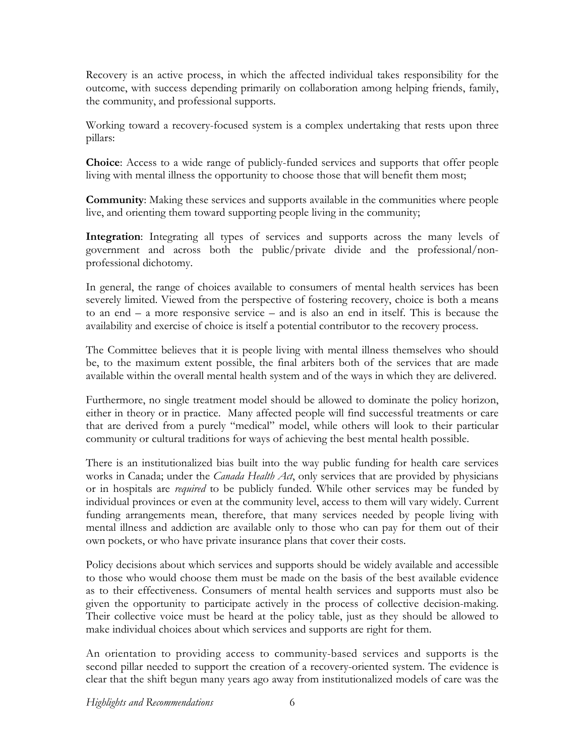Recovery is an active process, in which the affected individual takes responsibility for the outcome, with success depending primarily on collaboration among helping friends, family, the community, and professional supports.

Working toward a recovery-focused system is a complex undertaking that rests upon three pillars:

**Choice**: Access to a wide range of publicly-funded services and supports that offer people living with mental illness the opportunity to choose those that will benefit them most;

**Community**: Making these services and supports available in the communities where people live, and orienting them toward supporting people living in the community;

**Integration**: Integrating all types of services and supports across the many levels of government and across both the public/private divide and the professional/nonprofessional dichotomy.

In general, the range of choices available to consumers of mental health services has been severely limited. Viewed from the perspective of fostering recovery, choice is both a means to an end – a more responsive service – and is also an end in itself. This is because the availability and exercise of choice is itself a potential contributor to the recovery process.

The Committee believes that it is people living with mental illness themselves who should be, to the maximum extent possible, the final arbiters both of the services that are made available within the overall mental health system and of the ways in which they are delivered.

Furthermore, no single treatment model should be allowed to dominate the policy horizon, either in theory or in practice. Many affected people will find successful treatments or care that are derived from a purely "medical" model, while others will look to their particular community or cultural traditions for ways of achieving the best mental health possible.

There is an institutionalized bias built into the way public funding for health care services works in Canada; under the *Canada Health Act*, only services that are provided by physicians or in hospitals are *required* to be publicly funded. While other services may be funded by individual provinces or even at the community level, access to them will vary widely. Current funding arrangements mean, therefore, that many services needed by people living with mental illness and addiction are available only to those who can pay for them out of their own pockets, or who have private insurance plans that cover their costs.

Policy decisions about which services and supports should be widely available and accessible to those who would choose them must be made on the basis of the best available evidence as to their effectiveness. Consumers of mental health services and supports must also be given the opportunity to participate actively in the process of collective decision-making. Their collective voice must be heard at the policy table, just as they should be allowed to make individual choices about which services and supports are right for them.

An orientation to providing access to community-based services and supports is the second pillar needed to support the creation of a recovery-oriented system. The evidence is clear that the shift begun many years ago away from institutionalized models of care was the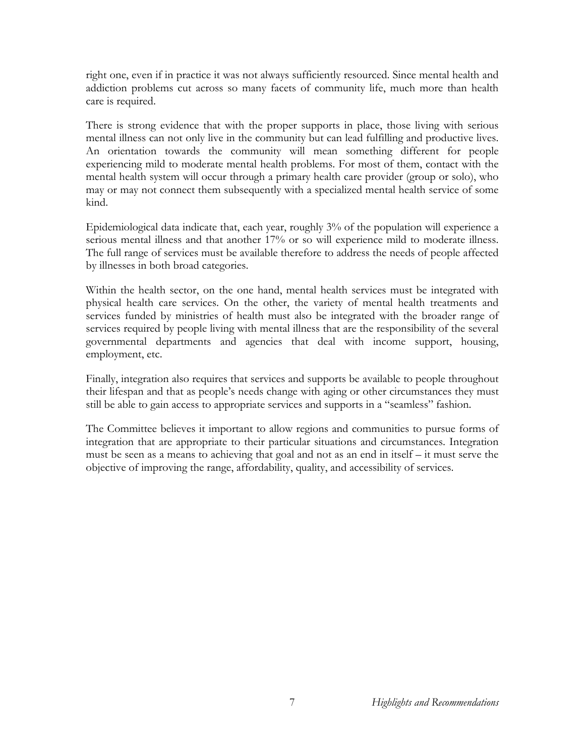right one, even if in practice it was not always sufficiently resourced. Since mental health and addiction problems cut across so many facets of community life, much more than health care is required.

There is strong evidence that with the proper supports in place, those living with serious mental illness can not only live in the community but can lead fulfilling and productive lives. An orientation towards the community will mean something different for people experiencing mild to moderate mental health problems. For most of them, contact with the mental health system will occur through a primary health care provider (group or solo), who may or may not connect them subsequently with a specialized mental health service of some kind.

Epidemiological data indicate that, each year, roughly 3% of the population will experience a serious mental illness and that another 17% or so will experience mild to moderate illness. The full range of services must be available therefore to address the needs of people affected by illnesses in both broad categories.

Within the health sector, on the one hand, mental health services must be integrated with physical health care services. On the other, the variety of mental health treatments and services funded by ministries of health must also be integrated with the broader range of services required by people living with mental illness that are the responsibility of the several governmental departments and agencies that deal with income support, housing, employment, etc.

Finally, integration also requires that services and supports be available to people throughout their lifespan and that as people's needs change with aging or other circumstances they must still be able to gain access to appropriate services and supports in a "seamless" fashion.

The Committee believes it important to allow regions and communities to pursue forms of integration that are appropriate to their particular situations and circumstances. Integration must be seen as a means to achieving that goal and not as an end in itself – it must serve the objective of improving the range, affordability, quality, and accessibility of services.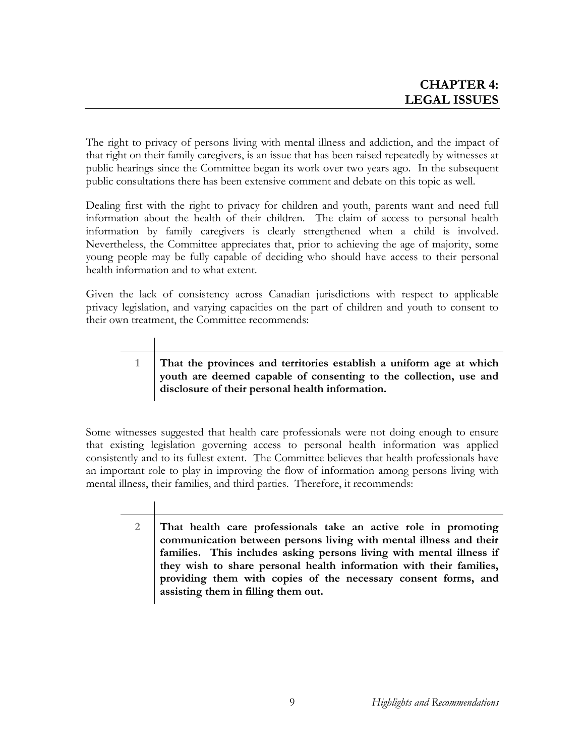The right to privacy of persons living with mental illness and addiction, and the impact of that right on their family caregivers, is an issue that has been raised repeatedly by witnesses at public hearings since the Committee began its work over two years ago. In the subsequent public consultations there has been extensive comment and debate on this topic as well.

Dealing first with the right to privacy for children and youth, parents want and need full information about the health of their children. The claim of access to personal health information by family caregivers is clearly strengthened when a child is involved. Nevertheless, the Committee appreciates that, prior to achieving the age of majority, some young people may be fully capable of deciding who should have access to their personal health information and to what extent.

Given the lack of consistency across Canadian jurisdictions with respect to applicable privacy legislation, and varying capacities on the part of children and youth to consent to their own treatment, the Committee recommends:

#### **1 That the provinces and territories establish a uniform age at which youth are deemed capable of consenting to the collection, use and disclosure of their personal health information.**

Some witnesses suggested that health care professionals were not doing enough to ensure that existing legislation governing access to personal health information was applied consistently and to its fullest extent. The Committee believes that health professionals have an important role to play in improving the flow of information among persons living with mental illness, their families, and third parties. Therefore, it recommends:

> **2 That health care professionals take an active role in promoting communication between persons living with mental illness and their families. This includes asking persons living with mental illness if they wish to share personal health information with their families, providing them with copies of the necessary consent forms, and assisting them in filling them out.**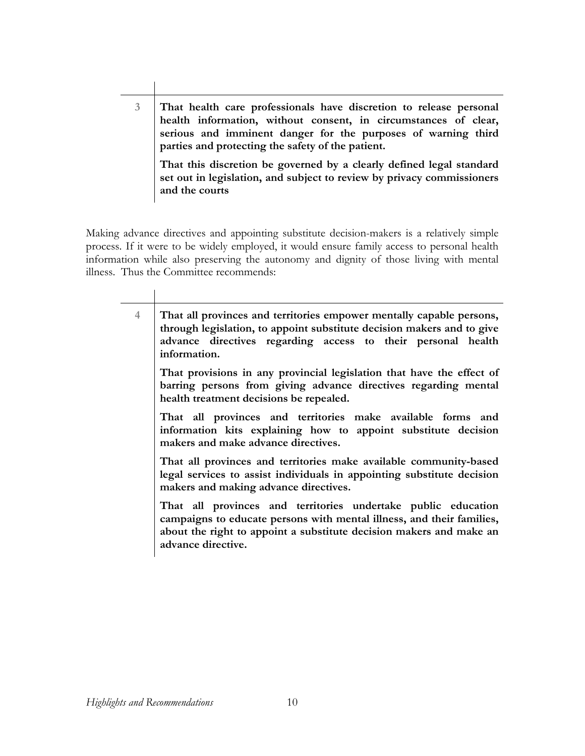**3 That health care professionals have discretion to release personal health information, without consent, in circumstances of clear, serious and imminent danger for the purposes of warning third parties and protecting the safety of the patient.** 

**That this discretion be governed by a clearly defined legal standard set out in legislation, and subject to review by privacy commissioners and the courts** 

Making advance directives and appointing substitute decision-makers is a relatively simple process. If it were to be widely employed, it would ensure family access to personal health information while also preserving the autonomy and dignity of those living with mental illness. Thus the Committee recommends:

| 4 | That all provinces and territories empower mentally capable persons,<br>through legislation, to appoint substitute decision makers and to give<br>advance directives regarding access to their personal health<br>information.      |
|---|-------------------------------------------------------------------------------------------------------------------------------------------------------------------------------------------------------------------------------------|
|   | That provisions in any provincial legislation that have the effect of<br>barring persons from giving advance directives regarding mental<br>health treatment decisions be repealed.                                                 |
|   | That all provinces and territories make available forms and<br>information kits explaining how to appoint substitute decision<br>makers and make advance directives.                                                                |
|   | That all provinces and territories make available community-based<br>legal services to assist individuals in appointing substitute decision<br>makers and making advance directives.                                                |
|   | That all provinces and territories undertake public education<br>campaigns to educate persons with mental illness, and their families,<br>about the right to appoint a substitute decision makers and make an<br>advance directive. |
|   |                                                                                                                                                                                                                                     |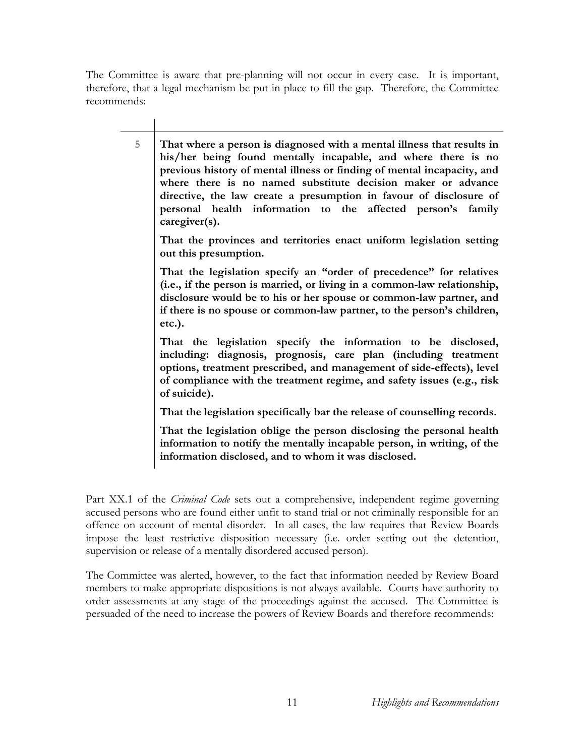The Committee is aware that pre-planning will not occur in every case. It is important, therefore, that a legal mechanism be put in place to fill the gap. Therefore, the Committee recommends:

| 5 | That where a person is diagnosed with a mental illness that results in<br>his/her being found mentally incapable, and where there is no<br>previous history of mental illness or finding of mental incapacity, and<br>where there is no named substitute decision maker or advance<br>directive, the law create a presumption in favour of disclosure of<br>personal health information to the affected person's family<br>caregiver(s). |
|---|------------------------------------------------------------------------------------------------------------------------------------------------------------------------------------------------------------------------------------------------------------------------------------------------------------------------------------------------------------------------------------------------------------------------------------------|
|   | That the provinces and territories enact uniform legislation setting<br>out this presumption.                                                                                                                                                                                                                                                                                                                                            |
|   | That the legislation specify an "order of precedence" for relatives<br>(i.e., if the person is married, or living in a common-law relationship,<br>disclosure would be to his or her spouse or common-law partner, and<br>if there is no spouse or common-law partner, to the person's children,<br>etc.).                                                                                                                               |
|   | That the legislation specify the information to be disclosed,<br>including: diagnosis, prognosis, care plan (including treatment<br>options, treatment prescribed, and management of side-effects), level<br>of compliance with the treatment regime, and safety issues (e.g., risk<br>of suicide).                                                                                                                                      |
|   | That the legislation specifically bar the release of counselling records.                                                                                                                                                                                                                                                                                                                                                                |
|   | That the legislation oblige the person disclosing the personal health<br>information to notify the mentally incapable person, in writing, of the<br>information disclosed, and to whom it was disclosed.                                                                                                                                                                                                                                 |

Part XX.1 of the *Criminal Code* sets out a comprehensive, independent regime governing accused persons who are found either unfit to stand trial or not criminally responsible for an offence on account of mental disorder. In all cases, the law requires that Review Boards impose the least restrictive disposition necessary (i.e. order setting out the detention, supervision or release of a mentally disordered accused person).

The Committee was alerted, however, to the fact that information needed by Review Board members to make appropriate dispositions is not always available. Courts have authority to order assessments at any stage of the proceedings against the accused. The Committee is persuaded of the need to increase the powers of Review Boards and therefore recommends: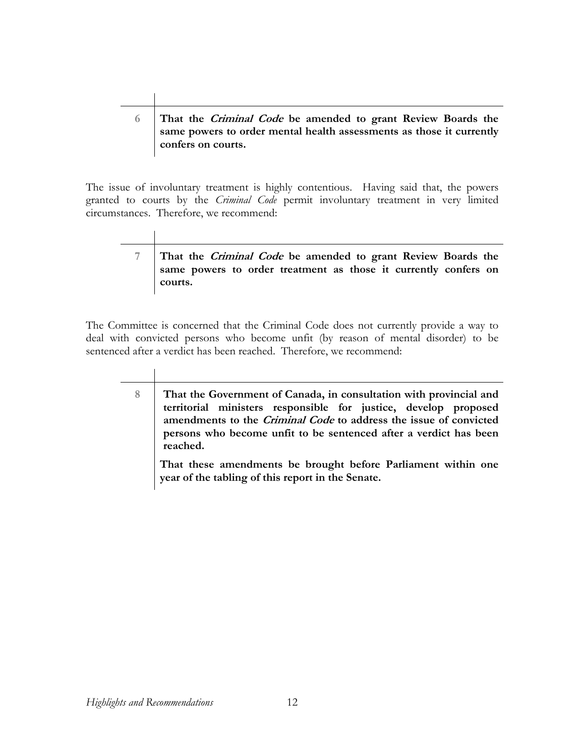#### **6 That the Criminal Code be amended to grant Review Boards the same powers to order mental health assessments as those it currently confers on courts.**

The issue of involuntary treatment is highly contentious. Having said that, the powers granted to courts by the *Criminal Code* permit involuntary treatment in very limited circumstances. Therefore, we recommend:

### **7 That the Criminal Code be amended to grant Review Boards the same powers to order treatment as those it currently confers on courts.**

The Committee is concerned that the Criminal Code does not currently provide a way to deal with convicted persons who become unfit (by reason of mental disorder) to be sentenced after a verdict has been reached. Therefore, we recommend:

**8 That the Government of Canada, in consultation with provincial and territorial ministers responsible for justice, develop proposed amendments to the Criminal Code to address the issue of convicted persons who become unfit to be sentenced after a verdict has been reached. That these amendments be brought before Parliament within one year of the tabling of this report in the Senate.**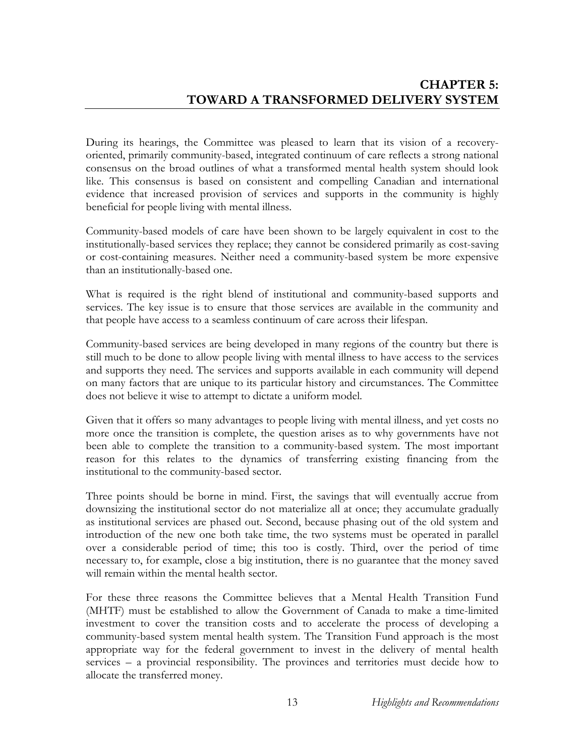During its hearings, the Committee was pleased to learn that its vision of a recoveryoriented, primarily community-based, integrated continuum of care reflects a strong national consensus on the broad outlines of what a transformed mental health system should look like. This consensus is based on consistent and compelling Canadian and international evidence that increased provision of services and supports in the community is highly beneficial for people living with mental illness.

Community-based models of care have been shown to be largely equivalent in cost to the institutionally-based services they replace; they cannot be considered primarily as cost-saving or cost-containing measures. Neither need a community-based system be more expensive than an institutionally-based one.

What is required is the right blend of institutional and community-based supports and services. The key issue is to ensure that those services are available in the community and that people have access to a seamless continuum of care across their lifespan.

Community-based services are being developed in many regions of the country but there is still much to be done to allow people living with mental illness to have access to the services and supports they need. The services and supports available in each community will depend on many factors that are unique to its particular history and circumstances. The Committee does not believe it wise to attempt to dictate a uniform model.

Given that it offers so many advantages to people living with mental illness, and yet costs no more once the transition is complete, the question arises as to why governments have not been able to complete the transition to a community-based system. The most important reason for this relates to the dynamics of transferring existing financing from the institutional to the community-based sector.

Three points should be borne in mind. First, the savings that will eventually accrue from downsizing the institutional sector do not materialize all at once; they accumulate gradually as institutional services are phased out. Second, because phasing out of the old system and introduction of the new one both take time, the two systems must be operated in parallel over a considerable period of time; this too is costly. Third, over the period of time necessary to, for example, close a big institution, there is no guarantee that the money saved will remain within the mental health sector.

For these three reasons the Committee believes that a Mental Health Transition Fund (MHTF) must be established to allow the Government of Canada to make a time-limited investment to cover the transition costs and to accelerate the process of developing a community-based system mental health system. The Transition Fund approach is the most appropriate way for the federal government to invest in the delivery of mental health services – a provincial responsibility. The provinces and territories must decide how to allocate the transferred money.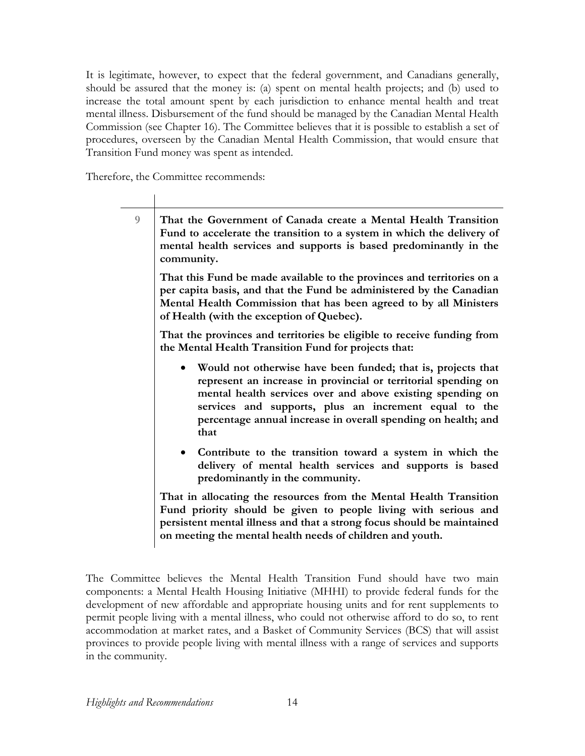It is legitimate, however, to expect that the federal government, and Canadians generally, should be assured that the money is: (a) spent on mental health projects; and (b) used to increase the total amount spent by each jurisdiction to enhance mental health and treat mental illness. Disbursement of the fund should be managed by the Canadian Mental Health Commission (see Chapter 16). The Committee believes that it is possible to establish a set of procedures, overseen by the Canadian Mental Health Commission, that would ensure that Transition Fund money was spent as intended.

Therefore, the Committee recommends:

| That the Government of Canada create a Mental Health Transition<br>Fund to accelerate the transition to a system in which the delivery of<br>mental health services and supports is based predominantly in the<br>community.                                                                                                   |
|--------------------------------------------------------------------------------------------------------------------------------------------------------------------------------------------------------------------------------------------------------------------------------------------------------------------------------|
| That this Fund be made available to the provinces and territories on a<br>per capita basis, and that the Fund be administered by the Canadian<br>Mental Health Commission that has been agreed to by all Ministers<br>of Health (with the exception of Quebec).                                                                |
| That the provinces and territories be eligible to receive funding from<br>the Mental Health Transition Fund for projects that:                                                                                                                                                                                                 |
| Would not otherwise have been funded; that is, projects that<br>represent an increase in provincial or territorial spending on<br>mental health services over and above existing spending on<br>services and supports, plus an increment equal to the<br>percentage annual increase in overall spending on health; and<br>that |
| Contribute to the transition toward a system in which the<br>delivery of mental health services and supports is based<br>predominantly in the community.                                                                                                                                                                       |
| That in allocating the resources from the Mental Health Transition<br>Fund priority should be given to people living with serious and<br>persistent mental illness and that a strong focus should be maintained<br>on meeting the mental health needs of children and youth.                                                   |
|                                                                                                                                                                                                                                                                                                                                |

The Committee believes the Mental Health Transition Fund should have two main components: a Mental Health Housing Initiative (MHHI) to provide federal funds for the development of new affordable and appropriate housing units and for rent supplements to permit people living with a mental illness, who could not otherwise afford to do so, to rent accommodation at market rates, and a Basket of Community Services (BCS) that will assist provinces to provide people living with mental illness with a range of services and supports in the community.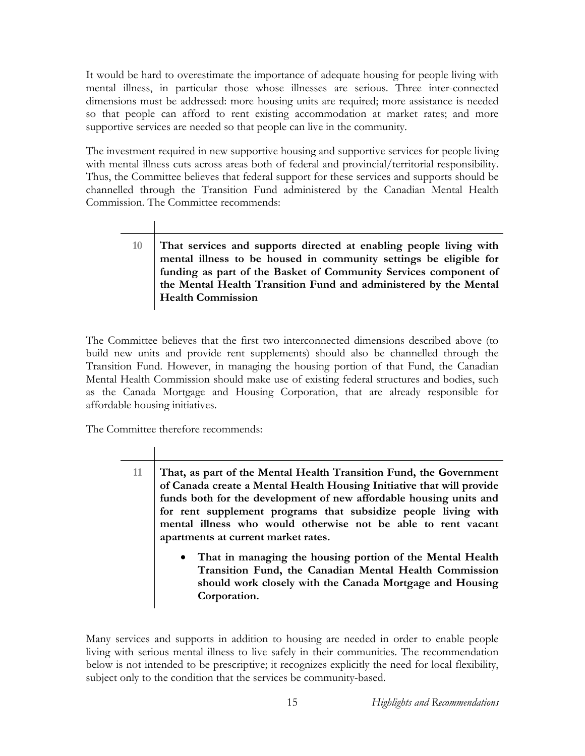It would be hard to overestimate the importance of adequate housing for people living with mental illness, in particular those whose illnesses are serious. Three inter-connected dimensions must be addressed: more housing units are required; more assistance is needed so that people can afford to rent existing accommodation at market rates; and more supportive services are needed so that people can live in the community.

The investment required in new supportive housing and supportive services for people living with mental illness cuts across areas both of federal and provincial/territorial responsibility. Thus, the Committee believes that federal support for these services and supports should be channelled through the Transition Fund administered by the Canadian Mental Health Commission. The Committee recommends:

> **10 That services and supports directed at enabling people living with mental illness to be housed in community settings be eligible for funding as part of the Basket of Community Services component of the Mental Health Transition Fund and administered by the Mental Health Commission**

The Committee believes that the first two interconnected dimensions described above (to build new units and provide rent supplements) should also be channelled through the Transition Fund. However, in managing the housing portion of that Fund, the Canadian Mental Health Commission should make use of existing federal structures and bodies, such as the Canada Mortgage and Housing Corporation, that are already responsible for affordable housing initiatives.

The Committee therefore recommends:

**11 That, as part of the Mental Health Transition Fund, the Government of Canada create a Mental Health Housing Initiative that will provide funds both for the development of new affordable housing units and for rent supplement programs that subsidize people living with mental illness who would otherwise not be able to rent vacant apartments at current market rates.** 

> • **That in managing the housing portion of the Mental Health Transition Fund, the Canadian Mental Health Commission should work closely with the Canada Mortgage and Housing Corporation.**

Many services and supports in addition to housing are needed in order to enable people living with serious mental illness to live safely in their communities. The recommendation below is not intended to be prescriptive; it recognizes explicitly the need for local flexibility, subject only to the condition that the services be community-based.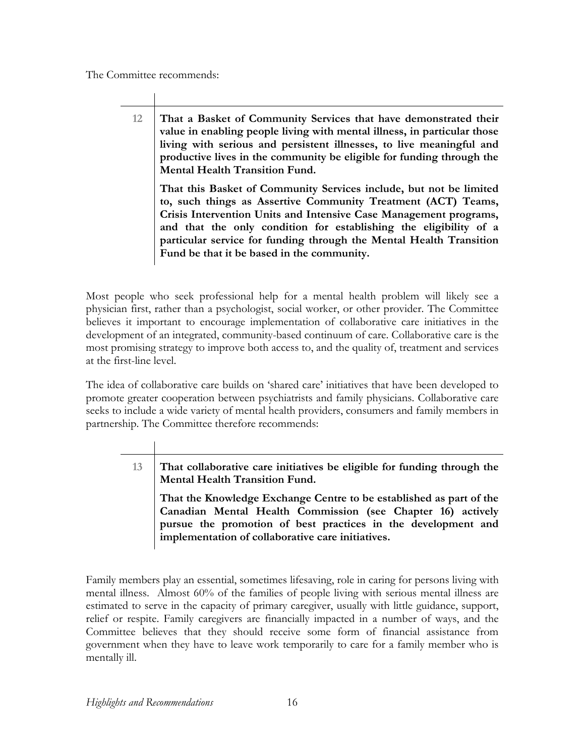The Committee recommends:

**12 That a Basket of Community Services that have demonstrated their value in enabling people living with mental illness, in particular those living with serious and persistent illnesses, to live meaningful and productive lives in the community be eligible for funding through the Mental Health Transition Fund. That this Basket of Community Services include, but not be limited** 

**to, such things as Assertive Community Treatment (ACT) Teams, Crisis Intervention Units and Intensive Case Management programs, and that the only condition for establishing the eligibility of a particular service for funding through the Mental Health Transition Fund be that it be based in the community.** 

Most people who seek professional help for a mental health problem will likely see a physician first, rather than a psychologist, social worker, or other provider. The Committee believes it important to encourage implementation of collaborative care initiatives in the development of an integrated, community-based continuum of care. Collaborative care is the most promising strategy to improve both access to, and the quality of, treatment and services at the first-line level.

The idea of collaborative care builds on 'shared care' initiatives that have been developed to promote greater cooperation between psychiatrists and family physicians. Collaborative care seeks to include a wide variety of mental health providers, consumers and family members in partnership. The Committee therefore recommends:

> **13 That collaborative care initiatives be eligible for funding through the Mental Health Transition Fund.**

**That the Knowledge Exchange Centre to be established as part of the Canadian Mental Health Commission (see Chapter 16) actively pursue the promotion of best practices in the development and implementation of collaborative care initiatives.** 

Family members play an essential, sometimes lifesaving, role in caring for persons living with mental illness. Almost 60% of the families of people living with serious mental illness are estimated to serve in the capacity of primary caregiver, usually with little guidance, support, relief or respite. Family caregivers are financially impacted in a number of ways, and the Committee believes that they should receive some form of financial assistance from government when they have to leave work temporarily to care for a family member who is mentally ill.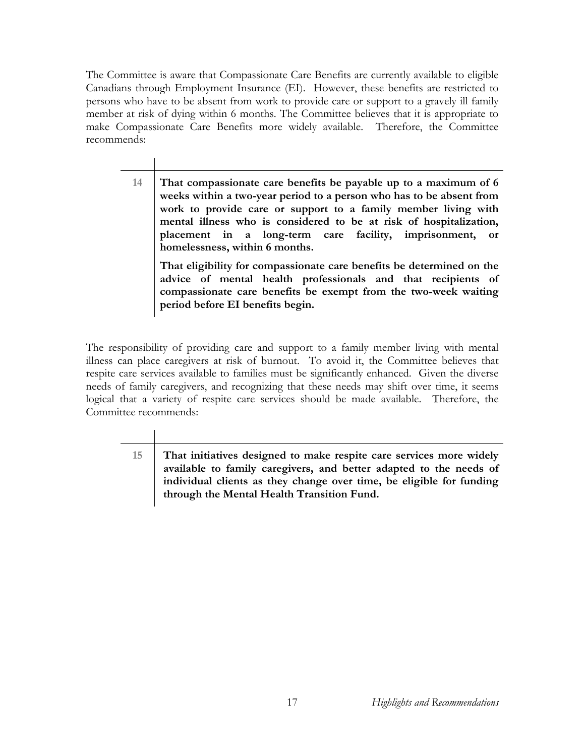The Committee is aware that Compassionate Care Benefits are currently available to eligible Canadians through Employment Insurance (EI). However, these benefits are restricted to persons who have to be absent from work to provide care or support to a gravely ill family member at risk of dying within 6 months. The Committee believes that it is appropriate to make Compassionate Care Benefits more widely available. Therefore, the Committee recommends:

> **14 That compassionate care benefits be payable up to a maximum of 6 weeks within a two-year period to a person who has to be absent from work to provide care or support to a family member living with mental illness who is considered to be at risk of hospitalization, placement in a long-term care facility, imprisonment, or homelessness, within 6 months.**

**That eligibility for compassionate care benefits be determined on the advice of mental health professionals and that recipients of compassionate care benefits be exempt from the two-week waiting period before EI benefits begin.** 

The responsibility of providing care and support to a family member living with mental illness can place caregivers at risk of burnout. To avoid it, the Committee believes that respite care services available to families must be significantly enhanced. Given the diverse needs of family caregivers, and recognizing that these needs may shift over time, it seems logical that a variety of respite care services should be made available. Therefore, the Committee recommends:

**15 That initiatives designed to make respite care services more widely available to family caregivers, and better adapted to the needs of individual clients as they change over time, be eligible for funding through the Mental Health Transition Fund.**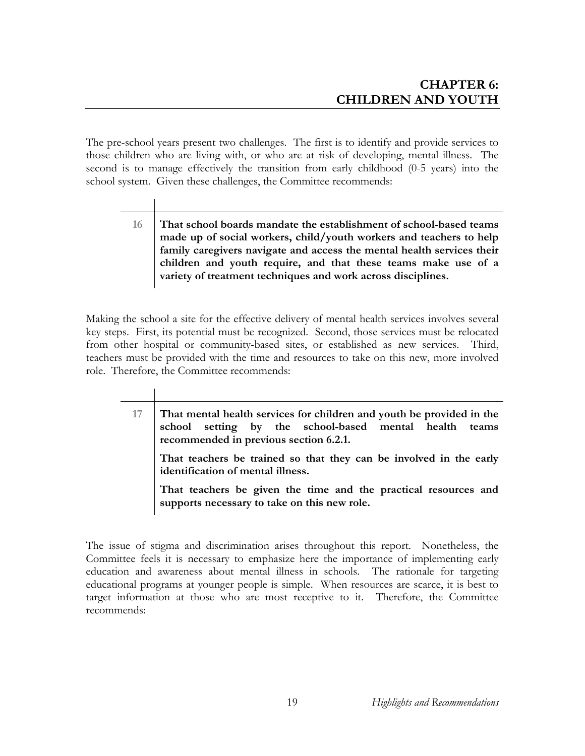The pre-school years present two challenges. The first is to identify and provide services to those children who are living with, or who are at risk of developing, mental illness. The second is to manage effectively the transition from early childhood (0-5 years) into the school system. Given these challenges, the Committee recommends:

> **16 That school boards mandate the establishment of school-based teams made up of social workers, child/youth workers and teachers to help family caregivers navigate and access the mental health services their children and youth require, and that these teams make use of a variety of treatment techniques and work across disciplines.**

Making the school a site for the effective delivery of mental health services involves several key steps. First, its potential must be recognized. Second, those services must be relocated from other hospital or community-based sites, or established as new services. Third, teachers must be provided with the time and resources to take on this new, more involved role. Therefore, the Committee recommends:

**17 That mental health services for children and youth be provided in the school setting by the school-based mental health teams recommended in previous section 6.2.1. That teachers be trained so that they can be involved in the early identification of mental illness. That teachers be given the time and the practical resources and supports necessary to take on this new role.** 

The issue of stigma and discrimination arises throughout this report. Nonetheless, the Committee feels it is necessary to emphasize here the importance of implementing early education and awareness about mental illness in schools. The rationale for targeting educational programs at younger people is simple. When resources are scarce, it is best to target information at those who are most receptive to it. Therefore, the Committee recommends: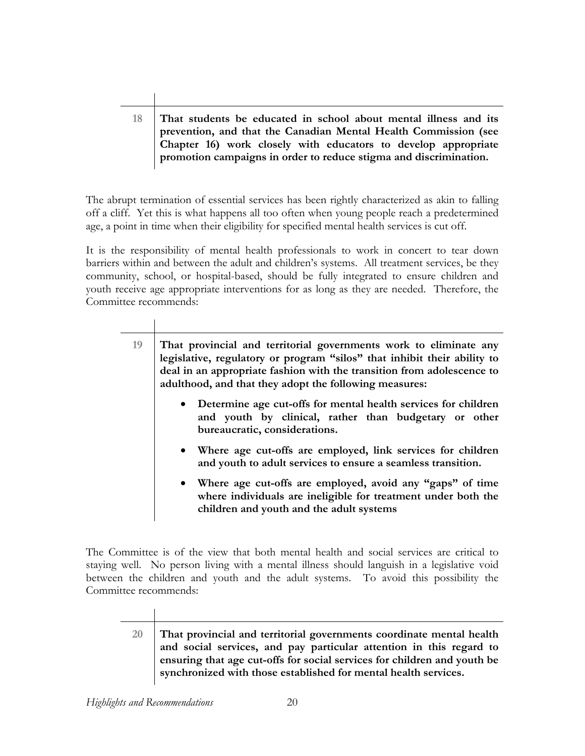#### **18 That students be educated in school about mental illness and its prevention, and that the Canadian Mental Health Commission (see Chapter 16) work closely with educators to develop appropriate promotion campaigns in order to reduce stigma and discrimination.**

The abrupt termination of essential services has been rightly characterized as akin to falling off a cliff. Yet this is what happens all too often when young people reach a predetermined age, a point in time when their eligibility for specified mental health services is cut off.

It is the responsibility of mental health professionals to work in concert to tear down barriers within and between the adult and children's systems. All treatment services, be they community, school, or hospital-based, should be fully integrated to ensure children and youth receive age appropriate interventions for as long as they are needed. Therefore, the Committee recommends:

| That provincial and territorial governments work to eliminate any<br>legislative, regulatory or program "silos" that inhibit their ability to<br>deal in an appropriate fashion with the transition from adolescence to<br>adulthood, and that they adopt the following measures: |
|-----------------------------------------------------------------------------------------------------------------------------------------------------------------------------------------------------------------------------------------------------------------------------------|
| • Determine age cut-offs for mental health services for children<br>and youth by clinical, rather than budgetary or other<br>bureaucratic, considerations.                                                                                                                        |
| • Where age cut-offs are employed, link services for children<br>and youth to adult services to ensure a seamless transition.                                                                                                                                                     |
| • Where age cut-offs are employed, avoid any "gaps" of time<br>where individuals are ineligible for treatment under both the<br>children and youth and the adult systems                                                                                                          |
|                                                                                                                                                                                                                                                                                   |

The Committee is of the view that both mental health and social services are critical to staying well. No person living with a mental illness should languish in a legislative void between the children and youth and the adult systems. To avoid this possibility the Committee recommends:

**20 That provincial and territorial governments coordinate mental health and social services, and pay particular attention in this regard to ensuring that age cut-offs for social services for children and youth be synchronized with those established for mental health services.**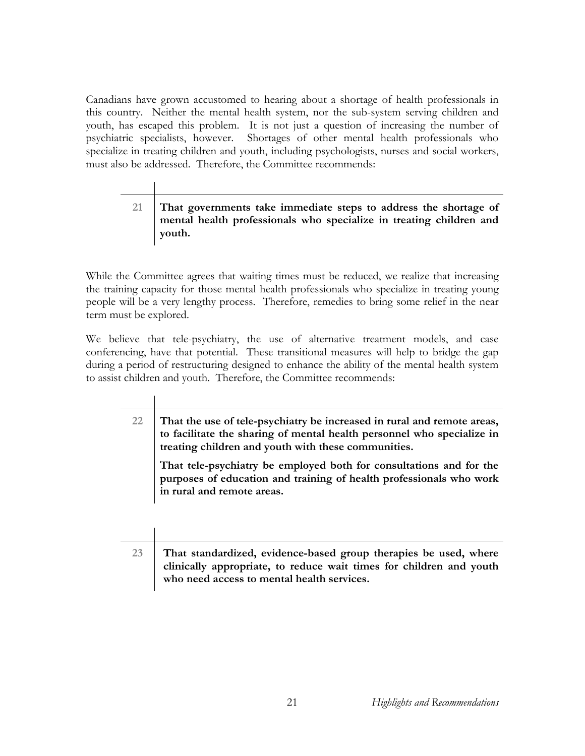Canadians have grown accustomed to hearing about a shortage of health professionals in this country. Neither the mental health system, nor the sub-system serving children and youth, has escaped this problem. It is not just a question of increasing the number of psychiatric specialists, however. Shortages of other mental health professionals who specialize in treating children and youth, including psychologists, nurses and social workers, must also be addressed. Therefore, the Committee recommends:

## **21 That governments take immediate steps to address the shortage of mental health professionals who specialize in treating children and youth.**

While the Committee agrees that waiting times must be reduced, we realize that increasing the training capacity for those mental health professionals who specialize in treating young people will be a very lengthy process. Therefore, remedies to bring some relief in the near term must be explored.

We believe that tele-psychiatry, the use of alternative treatment models, and case conferencing, have that potential. These transitional measures will help to bridge the gap during a period of restructuring designed to enhance the ability of the mental health system to assist children and youth. Therefore, the Committee recommends:

| 22 | That the use of tele-psychiatry be increased in rural and remote areas, |
|----|-------------------------------------------------------------------------|
|    | to facilitate the sharing of mental health personnel who specialize in  |
|    | treating children and youth with these communities.                     |

**That tele-psychiatry be employed both for consultations and for the purposes of education and training of health professionals who work in rural and remote areas.** 

| That standardized, evidence-based group therapies be used, where<br>clinically appropriate, to reduce wait times for children and youth |
|-----------------------------------------------------------------------------------------------------------------------------------------|
| who need access to mental health services.                                                                                              |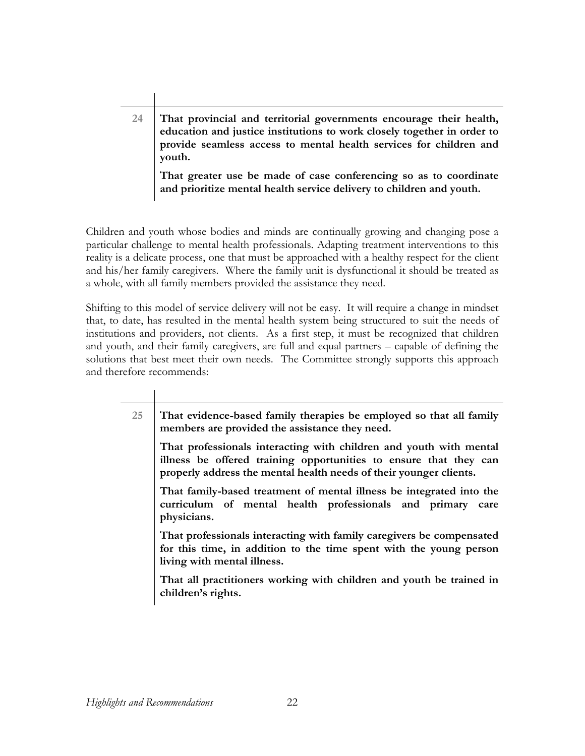# **24 That provincial and territorial governments encourage their health, education and justice institutions to work closely together in order to provide seamless access to mental health services for children and youth. That greater use be made of case conferencing so as to coordinate**

**and prioritize mental health service delivery to children and youth.** 

Children and youth whose bodies and minds are continually growing and changing pose a particular challenge to mental health professionals. Adapting treatment interventions to this reality is a delicate process, one that must be approached with a healthy respect for the client and his/her family caregivers. Where the family unit is dysfunctional it should be treated as a whole, with all family members provided the assistance they need.

Shifting to this model of service delivery will not be easy. It will require a change in mindset that, to date, has resulted in the mental health system being structured to suit the needs of institutions and providers, not clients. As a first step, it must be recognized that children and youth, and their family caregivers, are full and equal partners – capable of defining the solutions that best meet their own needs. The Committee strongly supports this approach and therefore recommends:

| 25 | That evidence-based family therapies be employed so that all family<br>members are provided the assistance they need.                                                                                         |
|----|---------------------------------------------------------------------------------------------------------------------------------------------------------------------------------------------------------------|
|    | That professionals interacting with children and youth with mental<br>illness be offered training opportunities to ensure that they can<br>properly address the mental health needs of their younger clients. |
|    | That family-based treatment of mental illness be integrated into the<br>curriculum of mental health professionals and primary care<br>physicians.                                                             |
|    | That professionals interacting with family caregivers be compensated<br>for this time, in addition to the time spent with the young person<br>living with mental illness.                                     |
|    | That all practitioners working with children and youth be trained in<br>children's rights.                                                                                                                    |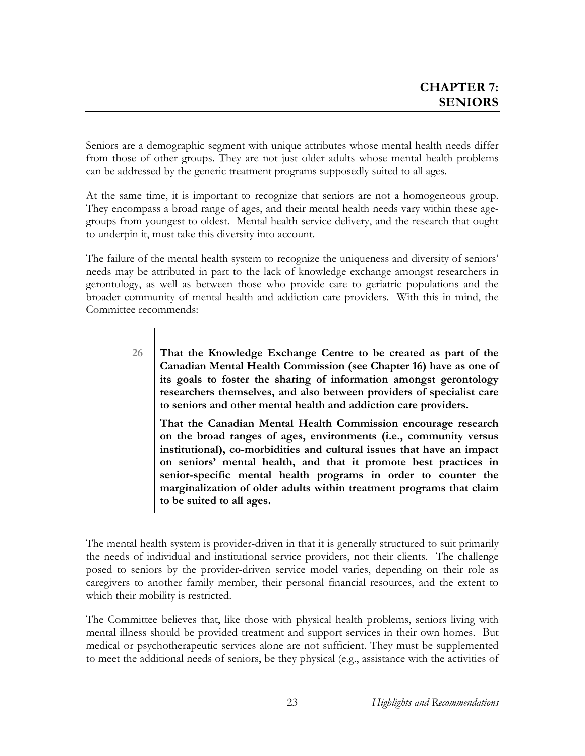Seniors are a demographic segment with unique attributes whose mental health needs differ from those of other groups. They are not just older adults whose mental health problems can be addressed by the generic treatment programs supposedly suited to all ages.

At the same time, it is important to recognize that seniors are not a homogeneous group. They encompass a broad range of ages, and their mental health needs vary within these agegroups from youngest to oldest. Mental health service delivery, and the research that ought to underpin it, must take this diversity into account.

The failure of the mental health system to recognize the uniqueness and diversity of seniors' needs may be attributed in part to the lack of knowledge exchange amongst researchers in gerontology, as well as between those who provide care to geriatric populations and the broader community of mental health and addiction care providers. With this in mind, the Committee recommends:

**26 That the Knowledge Exchange Centre to be created as part of the Canadian Mental Health Commission (see Chapter 16) have as one of its goals to foster the sharing of information amongst gerontology researchers themselves, and also between providers of specialist care to seniors and other mental health and addiction care providers.** 

**That the Canadian Mental Health Commission encourage research on the broad ranges of ages, environments (i.e., community versus institutional), co-morbidities and cultural issues that have an impact on seniors' mental health, and that it promote best practices in senior-specific mental health programs in order to counter the marginalization of older adults within treatment programs that claim to be suited to all ages.** 

The mental health system is provider-driven in that it is generally structured to suit primarily the needs of individual and institutional service providers, not their clients. The challenge posed to seniors by the provider-driven service model varies, depending on their role as caregivers to another family member, their personal financial resources, and the extent to which their mobility is restricted.

The Committee believes that, like those with physical health problems, seniors living with mental illness should be provided treatment and support services in their own homes. But medical or psychotherapeutic services alone are not sufficient. They must be supplemented to meet the additional needs of seniors, be they physical (e.g., assistance with the activities of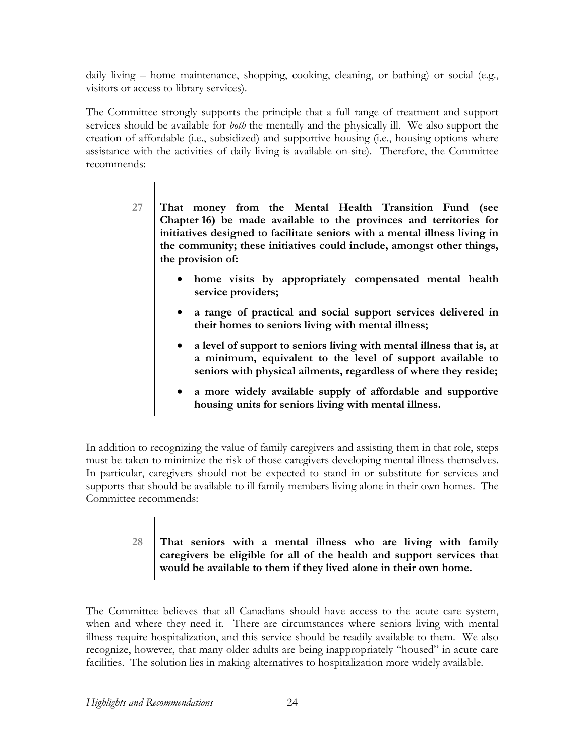daily living – home maintenance, shopping, cooking, cleaning, or bathing) or social (e.g., visitors or access to library services).

The Committee strongly supports the principle that a full range of treatment and support services should be available for *both* the mentally and the physically ill. We also support the creation of affordable (i.e., subsidized) and supportive housing (i.e., housing options where assistance with the activities of daily living is available on-site). Therefore, the Committee recommends:

| 27 | That money from the Mental Health Transition Fund (see<br>Chapter 16) be made available to the provinces and territories for<br>initiatives designed to facilitate seniors with a mental illness living in<br>the community; these initiatives could include, amongst other things,<br>the provision of: |
|----|----------------------------------------------------------------------------------------------------------------------------------------------------------------------------------------------------------------------------------------------------------------------------------------------------------|
|    | • home visits by appropriately compensated mental health<br>service providers;                                                                                                                                                                                                                           |
|    | • a range of practical and social support services delivered in<br>their homes to seniors living with mental illness;                                                                                                                                                                                    |
|    | • a level of support to seniors living with mental illness that is, at<br>a minimum, equivalent to the level of support available to<br>seniors with physical ailments, regardless of where they reside;                                                                                                 |
|    | a more widely available supply of affordable and supportive<br>housing units for seniors living with mental illness.                                                                                                                                                                                     |

In addition to recognizing the value of family caregivers and assisting them in that role, steps must be taken to minimize the risk of those caregivers developing mental illness themselves. In particular, caregivers should not be expected to stand in or substitute for services and supports that should be available to ill family members living alone in their own homes. The Committee recommends:

### **28 That seniors with a mental illness who are living with family caregivers be eligible for all of the health and support services that would be available to them if they lived alone in their own home.**

The Committee believes that all Canadians should have access to the acute care system, when and where they need it. There are circumstances where seniors living with mental illness require hospitalization, and this service should be readily available to them. We also recognize, however, that many older adults are being inappropriately "housed" in acute care facilities. The solution lies in making alternatives to hospitalization more widely available.

 $\mathbf{L}$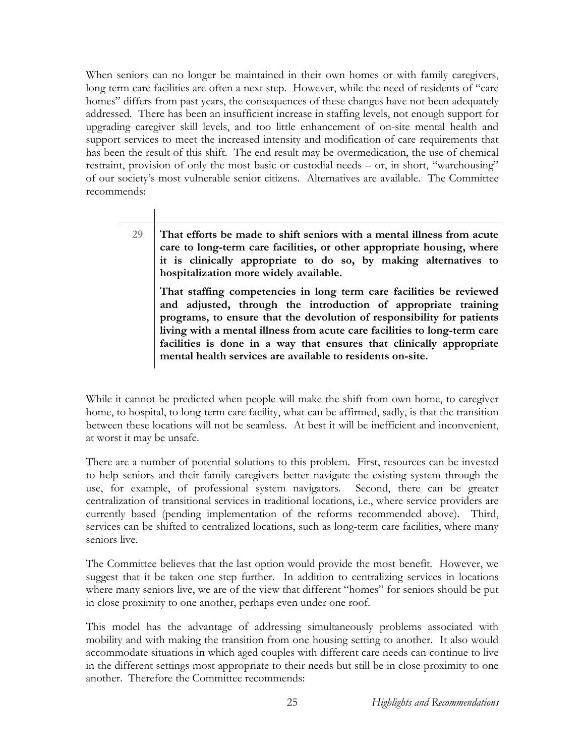When seniors can no longer be maintained in their own homes or with family caregivers, long term care facilities are often a next step. However, while the need of residents of "care homes" differs from past years, the consequences of these changes have not been adequately addressed. There has been an insufficient increase in staffing levels, not enough support for upgrading caregiver skill levels, and too little enhancement of on-site mental health and support services to meet the increased intensity and modification of care requirements that has been the result of this shift. The end result may be overmedication, the use of chemical restraint, provision of only the most basic or custodial needs – or, in short, "warehousing" of our society's most vulnerable senior citizens. Alternatives are available. The Committee recommends:

> **29 That efforts be made to shift seniors with a mental illness from acute care to long-term care facilities, or other appropriate housing, where it is clinically appropriate to do so, by making alternatives to hospitalization more widely available.**

**That staffing competencies in long term care facilities be reviewed and adjusted, through the introduction of appropriate training programs, to ensure that the devolution of responsibility for patients living with a mental illness from acute care facilities to long-term care facilities is done in a way that ensures that clinically appropriate mental health services are available to residents on-site.** 

While it cannot be predicted when people will make the shift from own home, to caregiver home, to hospital, to long-term care facility, what can be affirmed, sadly, is that the transition between these locations will not be seamless. At best it will be inefficient and inconvenient, at worst it may be unsafe.

There are a number of potential solutions to this problem. First, resources can be invested to help seniors and their family caregivers better navigate the existing system through the use, for example, of professional system navigators. Second, there can be greater centralization of transitional services in traditional locations, i.e., where service providers are currently based (pending implementation of the reforms recommended above). Third, services can be shifted to centralized locations, such as long-term care facilities, where many seniors live.

The Committee believes that the last option would provide the most benefit. However, we suggest that it be taken one step further. In addition to centralizing services in locations where many seniors live, we are of the view that different "homes" for seniors should be put in close proximity to one another, perhaps even under one roof.

This model has the advantage of addressing simultaneously problems associated with mobility and with making the transition from one housing setting to another. It also would accommodate situations in which aged couples with different care needs can continue to live in the different settings most appropriate to their needs but still be in close proximity to one another. Therefore the Committee recommends: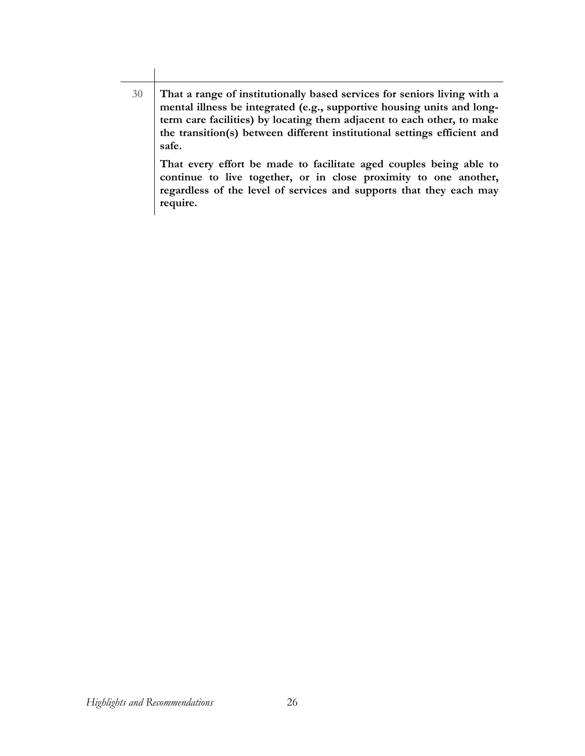**30 That a range of institutionally based services for seniors living with a mental illness be integrated (e.g., supportive housing units and longterm care facilities) by locating them adjacent to each other, to make the transition(s) between different institutional settings efficient and safe. That every effort be made to facilitate aged couples being able to** 

**continue to live together, or in close proximity to one another, regardless of the level of services and supports that they each may require.**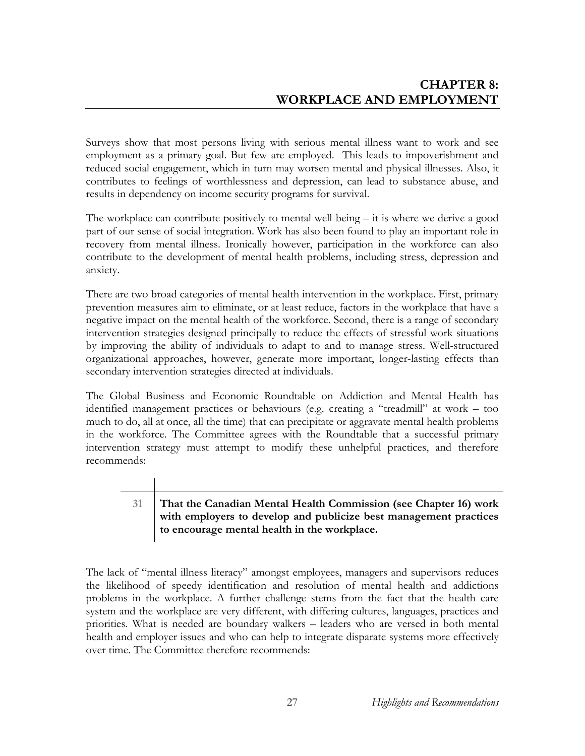Surveys show that most persons living with serious mental illness want to work and see employment as a primary goal. But few are employed. This leads to impoverishment and reduced social engagement, which in turn may worsen mental and physical illnesses. Also, it contributes to feelings of worthlessness and depression, can lead to substance abuse, and results in dependency on income security programs for survival.

The workplace can contribute positively to mental well-being – it is where we derive a good part of our sense of social integration. Work has also been found to play an important role in recovery from mental illness. Ironically however, participation in the workforce can also contribute to the development of mental health problems, including stress, depression and anxiety.

There are two broad categories of mental health intervention in the workplace. First, primary prevention measures aim to eliminate, or at least reduce, factors in the workplace that have a negative impact on the mental health of the workforce. Second, there is a range of secondary intervention strategies designed principally to reduce the effects of stressful work situations by improving the ability of individuals to adapt to and to manage stress. Well-structured organizational approaches, however, generate more important, longer-lasting effects than secondary intervention strategies directed at individuals.

The Global Business and Economic Roundtable on Addiction and Mental Health has identified management practices or behaviours (e.g. creating a "treadmill" at work – too much to do, all at once, all the time) that can precipitate or aggravate mental health problems in the workforce. The Committee agrees with the Roundtable that a successful primary intervention strategy must attempt to modify these unhelpful practices, and therefore recommends:

## **31 That the Canadian Mental Health Commission (see Chapter 16) work with employers to develop and publicize best management practices to encourage mental health in the workplace.**

The lack of "mental illness literacy" amongst employees, managers and supervisors reduces the likelihood of speedy identification and resolution of mental health and addictions problems in the workplace. A further challenge stems from the fact that the health care system and the workplace are very different, with differing cultures, languages, practices and priorities. What is needed are boundary walkers – leaders who are versed in both mental health and employer issues and who can help to integrate disparate systems more effectively over time. The Committee therefore recommends: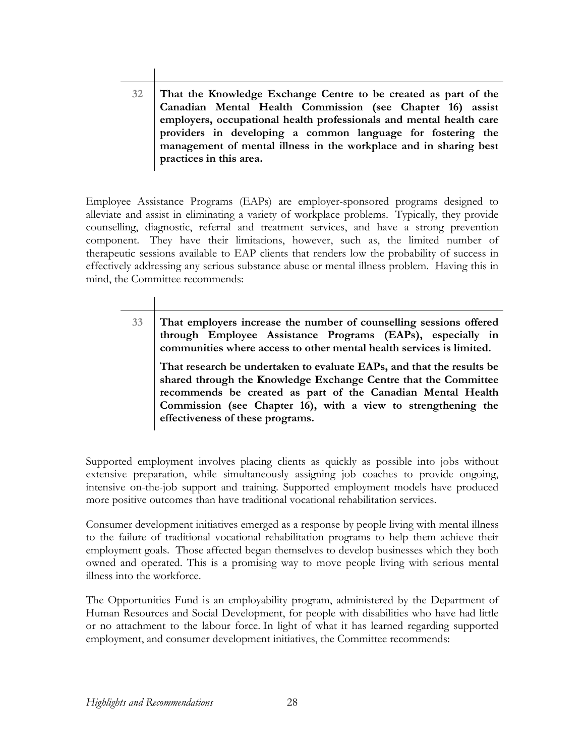**32 That the Knowledge Exchange Centre to be created as part of the Canadian Mental Health Commission (see Chapter 16) assist employers, occupational health professionals and mental health care providers in developing a common language for fostering the management of mental illness in the workplace and in sharing best practices in this area.** 

Employee Assistance Programs (EAPs) are employer-sponsored programs designed to alleviate and assist in eliminating a variety of workplace problems. Typically, they provide counselling, diagnostic, referral and treatment services, and have a strong prevention component. They have their limitations, however, such as, the limited number of therapeutic sessions available to EAP clients that renders low the probability of success in effectively addressing any serious substance abuse or mental illness problem. Having this in mind, the Committee recommends:

> **33 That employers increase the number of counselling sessions offered through Employee Assistance Programs (EAPs), especially in communities where access to other mental health services is limited. That research be undertaken to evaluate EAPs, and that the results be shared through the Knowledge Exchange Centre that the Committee recommends be created as part of the Canadian Mental Health Commission (see Chapter 16), with a view to strengthening the effectiveness of these programs.**

Supported employment involves placing clients as quickly as possible into jobs without extensive preparation, while simultaneously assigning job coaches to provide ongoing, intensive on-the-job support and training. Supported employment models have produced more positive outcomes than have traditional vocational rehabilitation services.

Consumer development initiatives emerged as a response by people living with mental illness to the failure of traditional vocational rehabilitation programs to help them achieve their employment goals. Those affected began themselves to develop businesses which they both owned and operated. This is a promising way to move people living with serious mental illness into the workforce.

The Opportunities Fund is an employability program, administered by the Department of Human Resources and Social Development, for people with disabilities who have had little or no attachment to the labour force. In light of what it has learned regarding supported employment, and consumer development initiatives, the Committee recommends: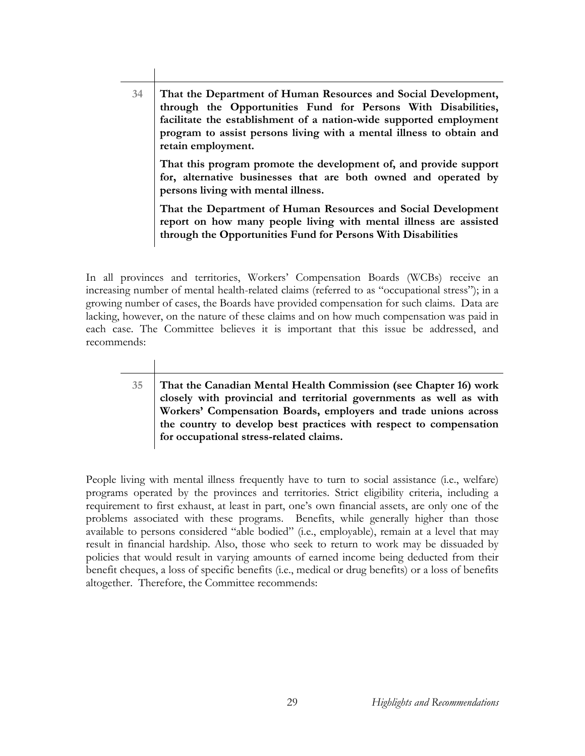**34 That the Department of Human Resources and Social Development, through the Opportunities Fund for Persons With Disabilities, facilitate the establishment of a nation-wide supported employment program to assist persons living with a mental illness to obtain and retain employment. That this program promote the development of, and provide support for, alternative businesses that are both owned and operated by persons living with mental illness.** 

**That the Department of Human Resources and Social Development report on how many people living with mental illness are assisted through the Opportunities Fund for Persons With Disabilities** 

In all provinces and territories, Workers' Compensation Boards (WCBs) receive an increasing number of mental health-related claims (referred to as "occupational stress"); in a growing number of cases, the Boards have provided compensation for such claims. Data are lacking, however, on the nature of these claims and on how much compensation was paid in each case. The Committee believes it is important that this issue be addressed, and recommends:

**35 That the Canadian Mental Health Commission (see Chapter 16) work closely with provincial and territorial governments as well as with Workers' Compensation Boards, employers and trade unions across the country to develop best practices with respect to compensation for occupational stress-related claims.** 

People living with mental illness frequently have to turn to social assistance (i.e., welfare) programs operated by the provinces and territories. Strict eligibility criteria, including a requirement to first exhaust, at least in part, one's own financial assets, are only one of the problems associated with these programs. Benefits, while generally higher than those available to persons considered "able bodied" (i.e., employable), remain at a level that may result in financial hardship. Also, those who seek to return to work may be dissuaded by policies that would result in varying amounts of earned income being deducted from their benefit cheques, a loss of specific benefits (i.e., medical or drug benefits) or a loss of benefits altogether. Therefore, the Committee recommends: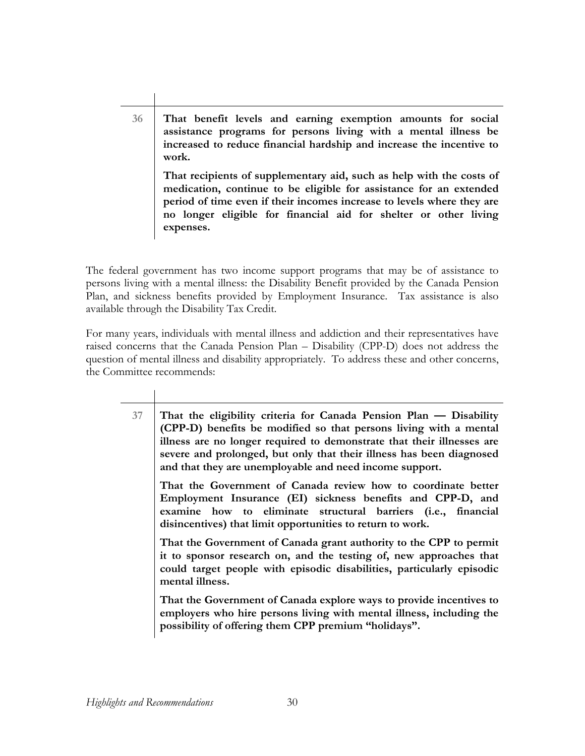**36 That benefit levels and earning exemption amounts for social assistance programs for persons living with a mental illness be increased to reduce financial hardship and increase the incentive to work. That recipients of supplementary aid, such as help with the costs of medication, continue to be eligible for assistance for an extended period of time even if their incomes increase to levels where they are no longer eligible for financial aid for shelter or other living** 

The federal government has two income support programs that may be of assistance to persons living with a mental illness: the Disability Benefit provided by the Canada Pension Plan, and sickness benefits provided by Employment Insurance. Tax assistance is also available through the Disability Tax Credit.

**expenses.** 

For many years, individuals with mental illness and addiction and their representatives have raised concerns that the Canada Pension Plan – Disability (CPP-D) does not address the question of mental illness and disability appropriately. To address these and other concerns, the Committee recommends:

**37 That the eligibility criteria for Canada Pension Plan — Disability (CPP-D) benefits be modified so that persons living with a mental illness are no longer required to demonstrate that their illnesses are severe and prolonged, but only that their illness has been diagnosed and that they are unemployable and need income support. That the Government of Canada review how to coordinate better Employment Insurance (EI) sickness benefits and CPP-D, and examine how to eliminate structural barriers (i.e., financial disincentives) that limit opportunities to return to work. That the Government of Canada grant authority to the CPP to permit it to sponsor research on, and the testing of, new approaches that could target people with episodic disabilities, particularly episodic mental illness. That the Government of Canada explore ways to provide incentives to employers who hire persons living with mental illness, including the possibility of offering them CPP premium "holidays".**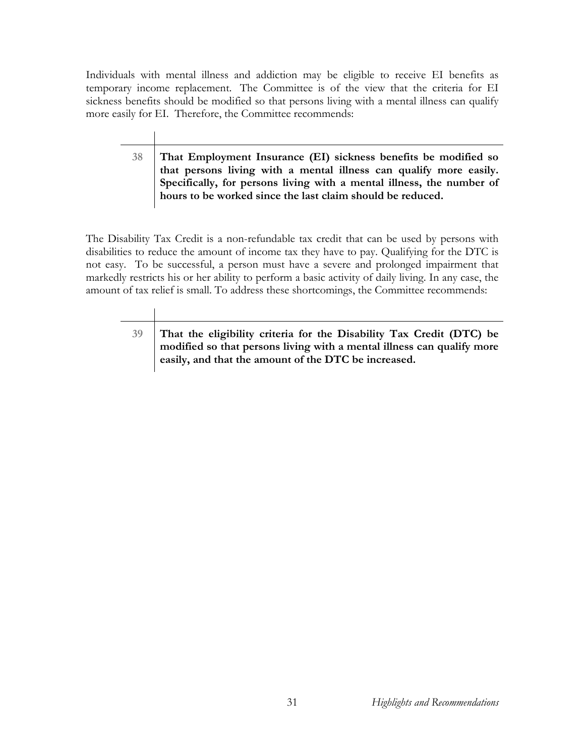Individuals with mental illness and addiction may be eligible to receive EI benefits as temporary income replacement. The Committee is of the view that the criteria for EI sickness benefits should be modified so that persons living with a mental illness can qualify more easily for EI. Therefore, the Committee recommends:

**38 That Employment Insurance (EI) sickness benefits be modified so that persons living with a mental illness can qualify more easily. Specifically, for persons living with a mental illness, the number of hours to be worked since the last claim should be reduced.** 

The Disability Tax Credit is a non-refundable tax credit that can be used by persons with disabilities to reduce the amount of income tax they have to pay. Qualifying for the DTC is not easy. To be successful, a person must have a severe and prolonged impairment that markedly restricts his or her ability to perform a basic activity of daily living. In any case, the amount of tax relief is small. To address these shortcomings, the Committee recommends:

**39 That the eligibility criteria for the Disability Tax Credit (DTC) be modified so that persons living with a mental illness can qualify more easily, and that the amount of the DTC be increased.**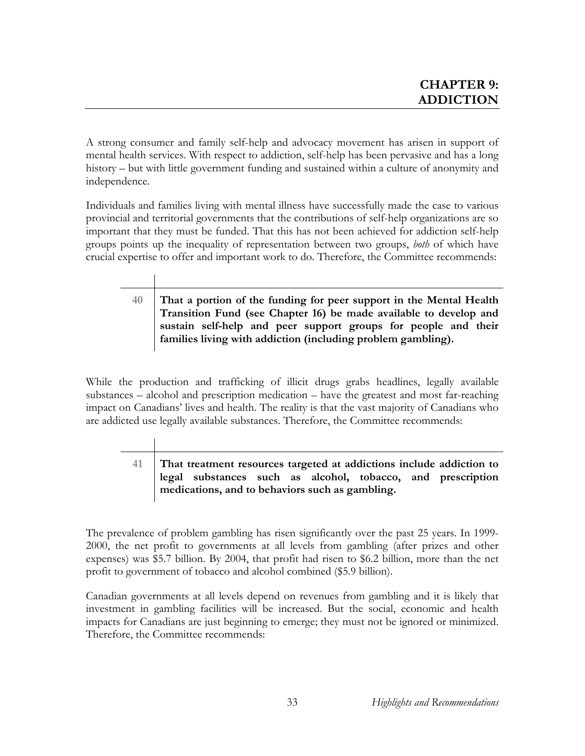A strong consumer and family self-help and advocacy movement has arisen in support of mental health services. With respect to addiction, self-help has been pervasive and has a long history – but with little government funding and sustained within a culture of anonymity and independence.

Individuals and families living with mental illness have successfully made the case to various provincial and territorial governments that the contributions of self-help organizations are so important that they must be funded. That this has not been achieved for addiction self-help groups points up the inequality of representation between two groups, *both* of which have crucial expertise to offer and important work to do. Therefore, the Committee recommends:

> **40 That a portion of the funding for peer support in the Mental Health Transition Fund (see Chapter 16) be made available to develop and sustain self-help and peer support groups for people and their families living with addiction (including problem gambling).**

While the production and trafficking of illicit drugs grabs headlines, legally available substances – alcohol and prescription medication – have the greatest and most far-reaching impact on Canadians' lives and health. The reality is that the vast majority of Canadians who are addicted use legally available substances. Therefore, the Committee recommends:

**41 That treatment resources targeted at addictions include addiction to legal substances such as alcohol, tobacco, and prescription medications, and to behaviors such as gambling.** 

The prevalence of problem gambling has risen significantly over the past 25 years. In 1999- 2000, the net profit to governments at all levels from gambling (after prizes and other expenses) was \$5.7 billion. By 2004, that profit had risen to \$6.2 billion, more than the net profit to government of tobacco and alcohol combined (\$5.9 billion).

Canadian governments at all levels depend on revenues from gambling and it is likely that investment in gambling facilities will be increased. But the social, economic and health impacts for Canadians are just beginning to emerge; they must not be ignored or minimized. Therefore, the Committee recommends: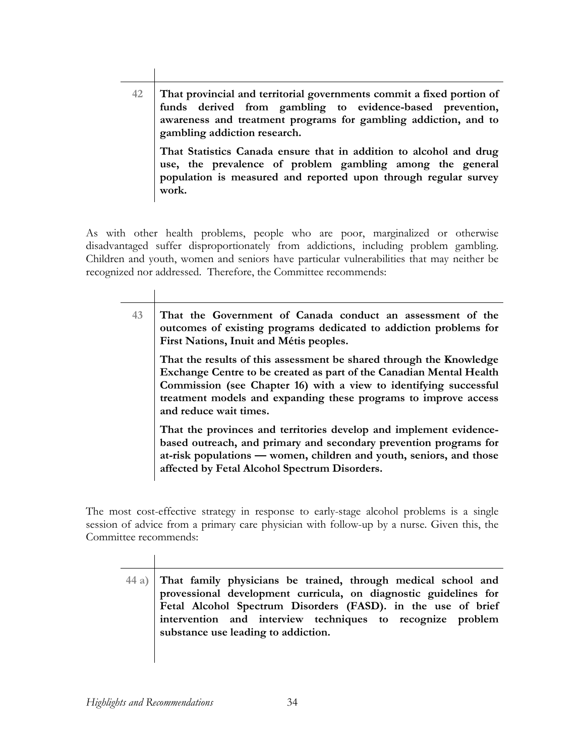**42 That provincial and territorial governments commit a fixed portion of funds derived from gambling to evidence-based prevention, awareness and treatment programs for gambling addiction, and to gambling addiction research. That Statistics Canada ensure that in addition to alcohol and drug** 

**use, the prevalence of problem gambling among the general population is measured and reported upon through regular survey work.** 

As with other health problems, people who are poor, marginalized or otherwise disadvantaged suffer disproportionately from addictions, including problem gambling. Children and youth, women and seniors have particular vulnerabilities that may neither be recognized nor addressed. Therefore, the Committee recommends:

> **43 That the Government of Canada conduct an assessment of the outcomes of existing programs dedicated to addiction problems for First Nations, Inuit and Métis peoples. That the results of this assessment be shared through the Knowledge**

**Exchange Centre to be created as part of the Canadian Mental Health Commission (see Chapter 16) with a view to identifying successful treatment models and expanding these programs to improve access and reduce wait times.** 

**That the provinces and territories develop and implement evidencebased outreach, and primary and secondary prevention programs for at-risk populations — women, children and youth, seniors, and those affected by Fetal Alcohol Spectrum Disorders.** 

The most cost-effective strategy in response to early-stage alcohol problems is a single session of advice from a primary care physician with follow-up by a nurse. Given this, the Committee recommends:

**44 a) That family physicians be trained, through medical school and provessional development curricula, on diagnostic guidelines for Fetal Alcohol Spectrum Disorders (FASD). in the use of brief intervention and interview techniques to recognize problem substance use leading to addiction.**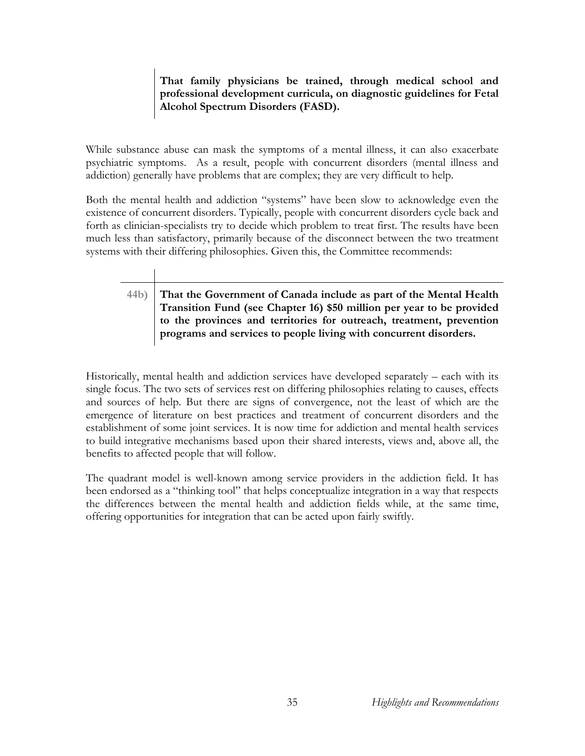### **That family physicians be trained, through medical school and professional development curricula, on diagnostic guidelines for Fetal Alcohol Spectrum Disorders (FASD).**

While substance abuse can mask the symptoms of a mental illness, it can also exacerbate psychiatric symptoms. As a result, people with concurrent disorders (mental illness and addiction) generally have problems that are complex; they are very difficult to help.

Both the mental health and addiction "systems" have been slow to acknowledge even the existence of concurrent disorders. Typically, people with concurrent disorders cycle back and forth as clinician-specialists try to decide which problem to treat first. The results have been much less than satisfactory, primarily because of the disconnect between the two treatment systems with their differing philosophies. Given this, the Committee recommends:

## **44b) That the Government of Canada include as part of the Mental Health Transition Fund (see Chapter 16) \$50 million per year to be provided to the provinces and territories for outreach, treatment, prevention programs and services to people living with concurrent disorders.**

Historically, mental health and addiction services have developed separately – each with its single focus. The two sets of services rest on differing philosophies relating to causes, effects and sources of help. But there are signs of convergence, not the least of which are the emergence of literature on best practices and treatment of concurrent disorders and the establishment of some joint services. It is now time for addiction and mental health services to build integrative mechanisms based upon their shared interests, views and, above all, the benefits to affected people that will follow.

The quadrant model is well-known among service providers in the addiction field. It has been endorsed as a "thinking tool" that helps conceptualize integration in a way that respects the differences between the mental health and addiction fields while, at the same time, offering opportunities for integration that can be acted upon fairly swiftly.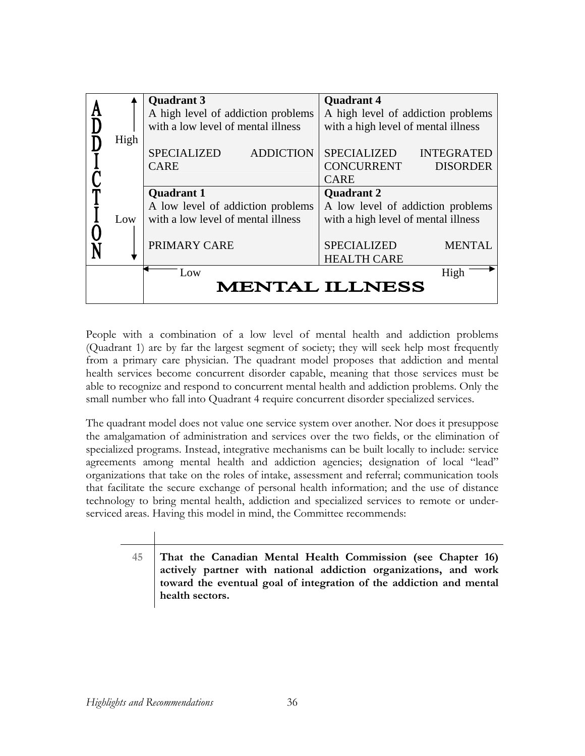|      | <b>Quadrant 3</b>                      | <b>Quadrant 4</b>                       |
|------|----------------------------------------|-----------------------------------------|
|      | A high level of addiction problems     | A high level of addiction problems      |
|      | with a low level of mental illness     | with a high level of mental illness     |
| High |                                        |                                         |
|      | <b>SPECIALIZED</b><br><b>ADDICTION</b> | <b>SPECIALIZED</b><br><b>INTEGRATED</b> |
|      | <b>CARE</b>                            | <b>CONCURRENT</b><br><b>DISORDER</b>    |
|      |                                        | <b>CARE</b>                             |
|      | <b>Quadrant 1</b>                      | <b>Quadrant 2</b>                       |
|      | A low level of addiction problems      | A low level of addiction problems       |
| Low  | with a low level of mental illness     | with a high level of mental illness     |
|      |                                        |                                         |
|      | PRIMARY CARE                           | <b>SPECIALIZED</b><br><b>MENTAL</b>     |
|      |                                        | <b>HEALTH CARE</b>                      |
|      | Low                                    | High                                    |
|      |                                        | <b>MENTAL ILLNESS</b>                   |
|      |                                        |                                         |

People with a combination of a low level of mental health and addiction problems (Quadrant 1) are by far the largest segment of society; they will seek help most frequently from a primary care physician. The quadrant model proposes that addiction and mental health services become concurrent disorder capable, meaning that those services must be able to recognize and respond to concurrent mental health and addiction problems. Only the small number who fall into Quadrant 4 require concurrent disorder specialized services.

The quadrant model does not value one service system over another. Nor does it presuppose the amalgamation of administration and services over the two fields, or the elimination of specialized programs. Instead, integrative mechanisms can be built locally to include: service agreements among mental health and addiction agencies; designation of local "lead" organizations that take on the roles of intake, assessment and referral; communication tools that facilitate the secure exchange of personal health information; and the use of distance technology to bring mental health, addiction and specialized services to remote or underserviced areas. Having this model in mind, the Committee recommends:

**45 That the Canadian Mental Health Commission (see Chapter 16) actively partner with national addiction organizations, and work toward the eventual goal of integration of the addiction and mental health sectors.**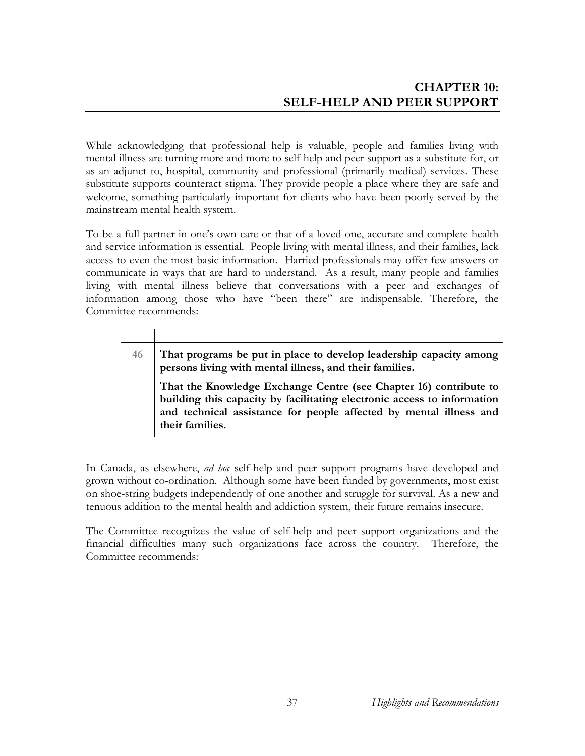While acknowledging that professional help is valuable, people and families living with mental illness are turning more and more to self-help and peer support as a substitute for, or as an adjunct to, hospital, community and professional (primarily medical) services. These substitute supports counteract stigma. They provide people a place where they are safe and welcome, something particularly important for clients who have been poorly served by the mainstream mental health system.

To be a full partner in one's own care or that of a loved one, accurate and complete health and service information is essential. People living with mental illness, and their families, lack access to even the most basic information. Harried professionals may offer few answers or communicate in ways that are hard to understand. As a result, many people and families living with mental illness believe that conversations with a peer and exchanges of information among those who have "been there" are indispensable. Therefore, the Committee recommends:

**46 That programs be put in place to develop leadership capacity among persons living with mental illness, and their families.** 

**That the Knowledge Exchange Centre (see Chapter 16) contribute to building this capacity by facilitating electronic access to information and technical assistance for people affected by mental illness and their families.** 

In Canada, as elsewhere, *ad hoc* self-help and peer support programs have developed and grown without co-ordination. Although some have been funded by governments, most exist on shoe-string budgets independently of one another and struggle for survival. As a new and tenuous addition to the mental health and addiction system, their future remains insecure.

The Committee recognizes the value of self-help and peer support organizations and the financial difficulties many such organizations face across the country. Therefore, the Committee recommends: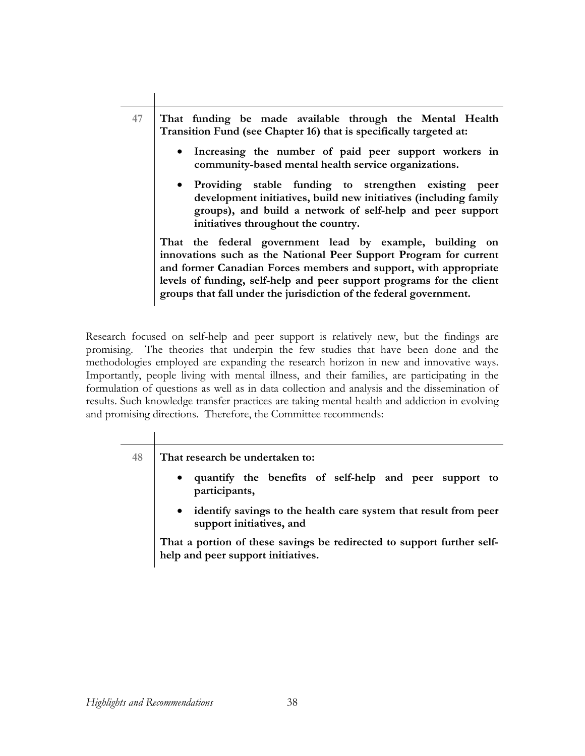| 47 | That funding be made available through the Mental Health<br>Transition Fund (see Chapter 16) that is specifically targeted at:                                                                                                                                                                                                                   |
|----|--------------------------------------------------------------------------------------------------------------------------------------------------------------------------------------------------------------------------------------------------------------------------------------------------------------------------------------------------|
|    | • Increasing the number of paid peer support workers in<br>community-based mental health service organizations.                                                                                                                                                                                                                                  |
|    | • Providing stable funding to strengthen existing peer<br>development initiatives, build new initiatives (including family<br>groups), and build a network of self-help and peer support<br>initiatives throughout the country.                                                                                                                  |
|    | That the federal government lead by example, building on<br>innovations such as the National Peer Support Program for current<br>and former Canadian Forces members and support, with appropriate<br>levels of funding, self-help and peer support programs for the client<br>groups that fall under the jurisdiction of the federal government. |

Research focused on self-help and peer support is relatively new, but the findings are promising. The theories that underpin the few studies that have been done and the methodologies employed are expanding the research horizon in new and innovative ways. Importantly, people living with mental illness, and their families, are participating in the formulation of questions as well as in data collection and analysis and the dissemination of results. Such knowledge transfer practices are taking mental health and addiction in evolving and promising directions. Therefore, the Committee recommends:

| 48 | That research be undertaken to:                                                                              |
|----|--------------------------------------------------------------------------------------------------------------|
|    | quantify the benefits of self-help and peer support to<br>$\bullet$<br>participants,                         |
|    | identify savings to the health care system that result from peer<br>$\bullet$<br>support initiatives, and    |
|    | That a portion of these savings be redirected to support further self-<br>help and peer support initiatives. |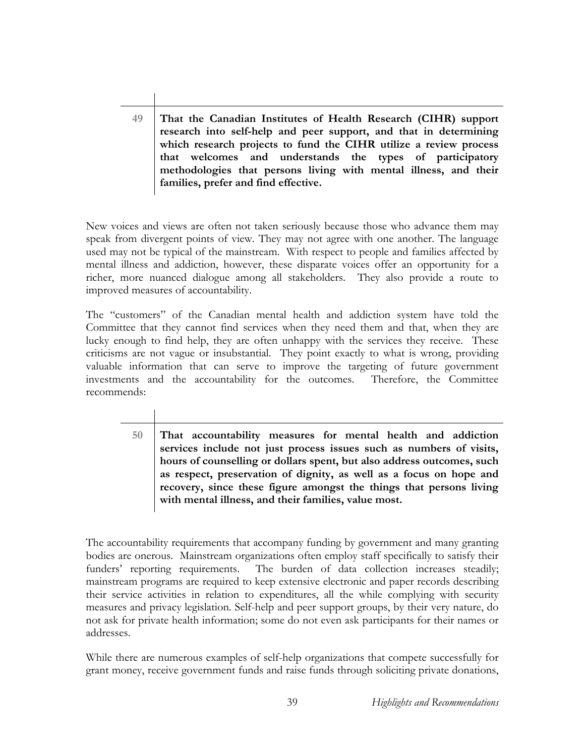**49 That the Canadian Institutes of Health Research (CIHR) support research into self-help and peer support, and that in determining which research projects to fund the CIHR utilize a review process that welcomes and understands the types of participatory methodologies that persons living with mental illness, and their families, prefer and find effective.** 

New voices and views are often not taken seriously because those who advance them may speak from divergent points of view. They may not agree with one another. The language used may not be typical of the mainstream. With respect to people and families affected by mental illness and addiction, however, these disparate voices offer an opportunity for a richer, more nuanced dialogue among all stakeholders. They also provide a route to improved measures of accountability.

The "customers" of the Canadian mental health and addiction system have told the Committee that they cannot find services when they need them and that, when they are lucky enough to find help, they are often unhappy with the services they receive. These criticisms are not vague or insubstantial. They point exactly to what is wrong, providing valuable information that can serve to improve the targeting of future government investments and the accountability for the outcomes. Therefore, the Committee recommends:

> **50 That accountability measures for mental health and addiction services include not just process issues such as numbers of visits, hours of counselling or dollars spent, but also address outcomes, such as respect, preservation of dignity, as well as a focus on hope and recovery, since these figure amongst the things that persons living with mental illness, and their families, value most.**

The accountability requirements that accompany funding by government and many granting bodies are onerous. Mainstream organizations often employ staff specifically to satisfy their funders' reporting requirements. The burden of data collection increases steadily; mainstream programs are required to keep extensive electronic and paper records describing their service activities in relation to expenditures, all the while complying with security measures and privacy legislation. Self-help and peer support groups, by their very nature, do not ask for private health information; some do not even ask participants for their names or addresses.

While there are numerous examples of self-help organizations that compete successfully for grant money, receive government funds and raise funds through soliciting private donations,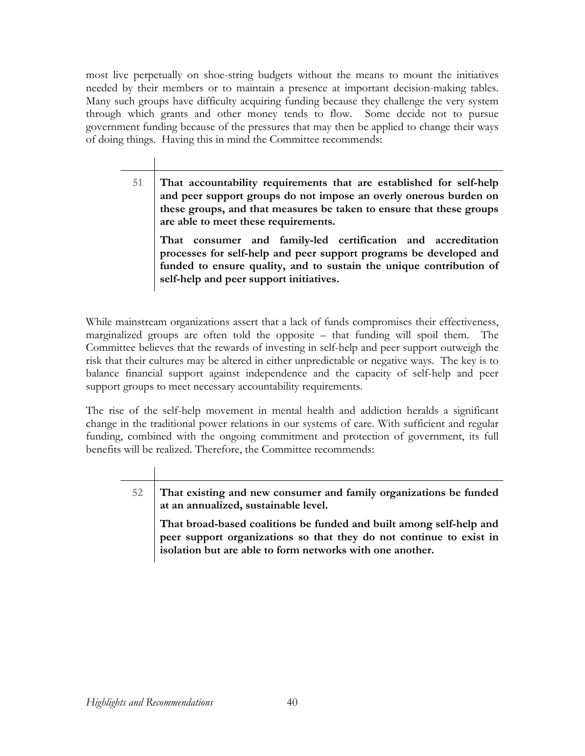most live perpetually on shoe-string budgets without the means to mount the initiatives needed by their members or to maintain a presence at important decision-making tables. Many such groups have difficulty acquiring funding because they challenge the very system through which grants and other money tends to flow. Some decide not to pursue government funding because of the pressures that may then be applied to change their ways of doing things. Having this in mind the Committee recommends:

> **51 That accountability requirements that are established for self-help and peer support groups do not impose an overly onerous burden on these groups, and that measures be taken to ensure that these groups are able to meet these requirements.**

**That consumer and family-led certification and accreditation processes for self-help and peer support programs be developed and funded to ensure quality, and to sustain the unique contribution of self-help and peer support initiatives.** 

While mainstream organizations assert that a lack of funds compromises their effectiveness, marginalized groups are often told the opposite – that funding will spoil them. The Committee believes that the rewards of investing in self-help and peer support outweigh the risk that their cultures may be altered in either unpredictable or negative ways. The key is to balance financial support against independence and the capacity of self-help and peer support groups to meet necessary accountability requirements.

The rise of the self-help movement in mental health and addiction heralds a significant change in the traditional power relations in our systems of care. With sufficient and regular funding, combined with the ongoing commitment and protection of government, its full benefits will be realized. Therefore, the Committee recommends:

> **52 That existing and new consumer and family organizations be funded at an annualized, sustainable level.**

**That broad-based coalitions be funded and built among self-help and peer support organizations so that they do not continue to exist in isolation but are able to form networks with one another.**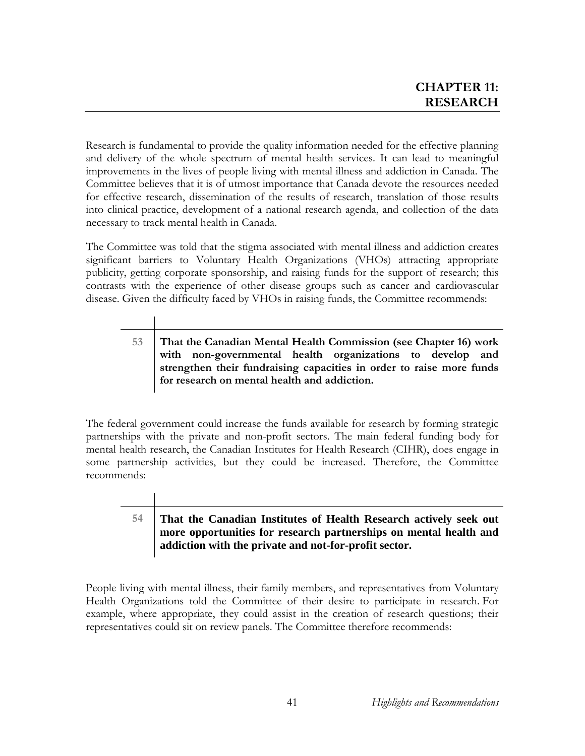Research is fundamental to provide the quality information needed for the effective planning and delivery of the whole spectrum of mental health services. It can lead to meaningful improvements in the lives of people living with mental illness and addiction in Canada. The Committee believes that it is of utmost importance that Canada devote the resources needed for effective research, dissemination of the results of research, translation of those results into clinical practice, development of a national research agenda, and collection of the data necessary to track mental health in Canada.

The Committee was told that the stigma associated with mental illness and addiction creates significant barriers to Voluntary Health Organizations (VHOs) attracting appropriate publicity, getting corporate sponsorship, and raising funds for the support of research; this contrasts with the experience of other disease groups such as cancer and cardiovascular disease. Given the difficulty faced by VHOs in raising funds, the Committee recommends:

**53 That the Canadian Mental Health Commission (see Chapter 16) work with non-governmental health organizations to develop and strengthen their fundraising capacities in order to raise more funds for research on mental health and addiction.** 

The federal government could increase the funds available for research by forming strategic partnerships with the private and non-profit sectors. The main federal funding body for mental health research, the Canadian Institutes for Health Research (CIHR), does engage in some partnership activities, but they could be increased. Therefore, the Committee recommends:

## **54 That the Canadian Institutes of Health Research actively seek out more opportunities for research partnerships on mental health and addiction with the private and not-for-profit sector.**

People living with mental illness, their family members, and representatives from Voluntary Health Organizations told the Committee of their desire to participate in research. For example, where appropriate, they could assist in the creation of research questions; their representatives could sit on review panels. The Committee therefore recommends: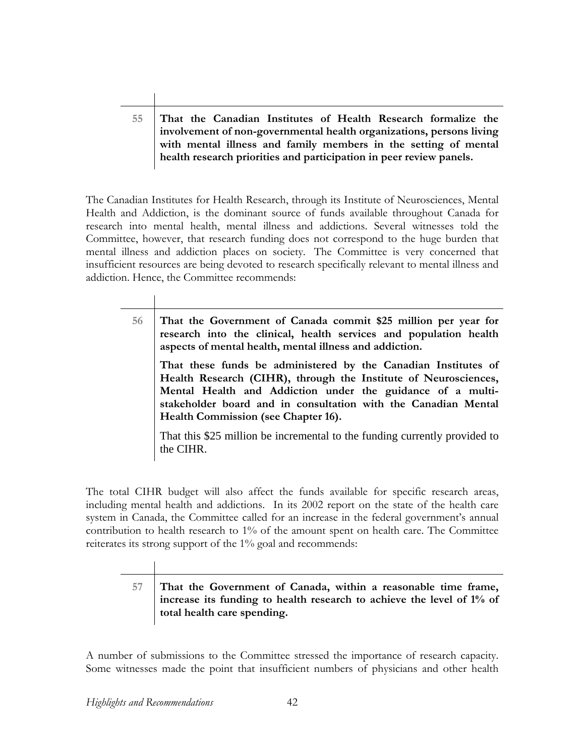## **55 That the Canadian Institutes of Health Research formalize the involvement of non-governmental health organizations, persons living with mental illness and family members in the setting of mental health research priorities and participation in peer review panels.**

The Canadian Institutes for Health Research, through its Institute of Neurosciences, Mental Health and Addiction, is the dominant source of funds available throughout Canada for research into mental health, mental illness and addictions. Several witnesses told the Committee, however, that research funding does not correspond to the huge burden that mental illness and addiction places on society. The Committee is very concerned that insufficient resources are being devoted to research specifically relevant to mental illness and addiction. Hence, the Committee recommends:

> **56 That the Government of Canada commit \$25 million per year for research into the clinical, health services and population health aspects of mental health, mental illness and addiction. That these funds be administered by the Canadian Institutes of Health Research (CIHR), through the Institute of Neurosciences, Mental Health and Addiction under the guidance of a multistakeholder board and in consultation with the Canadian Mental Health Commission (see Chapter 16).**  That this \$25 million be incremental to the funding currently provided to the CIHR.

The total CIHR budget will also affect the funds available for specific research areas, including mental health and addictions. In its 2002 report on the state of the health care system in Canada, the Committee called for an increase in the federal government's annual contribution to health research to 1% of the amount spent on health care. The Committee reiterates its strong support of the 1% goal and recommends:

**57 That the Government of Canada, within a reasonable time frame, increase its funding to health research to achieve the level of 1% of total health care spending.** 

A number of submissions to the Committee stressed the importance of research capacity. Some witnesses made the point that insufficient numbers of physicians and other health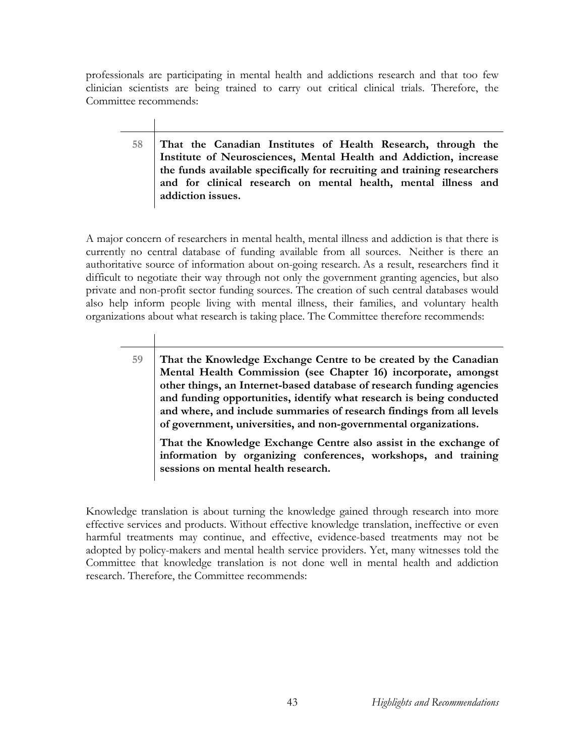professionals are participating in mental health and addictions research and that too few clinician scientists are being trained to carry out critical clinical trials. Therefore, the Committee recommends:

> **58 That the Canadian Institutes of Health Research, through the Institute of Neurosciences, Mental Health and Addiction, increase the funds available specifically for recruiting and training researchers and for clinical research on mental health, mental illness and addiction issues.**

A major concern of researchers in mental health, mental illness and addiction is that there is currently no central database of funding available from all sources. Neither is there an authoritative source of information about on-going research. As a result, researchers find it difficult to negotiate their way through not only the government granting agencies, but also private and non-profit sector funding sources. The creation of such central databases would also help inform people living with mental illness, their families, and voluntary health organizations about what research is taking place. The Committee therefore recommends:

**59 That the Knowledge Exchange Centre to be created by the Canadian Mental Health Commission (see Chapter 16) incorporate, amongst other things, an Internet-based database of research funding agencies and funding opportunities, identify what research is being conducted and where, and include summaries of research findings from all levels of government, universities, and non-governmental organizations.** 

**That the Knowledge Exchange Centre also assist in the exchange of information by organizing conferences, workshops, and training sessions on mental health research.** 

Knowledge translation is about turning the knowledge gained through research into more effective services and products. Without effective knowledge translation, ineffective or even harmful treatments may continue, and effective, evidence-based treatments may not be adopted by policy-makers and mental health service providers. Yet, many witnesses told the Committee that knowledge translation is not done well in mental health and addiction research. Therefore, the Committee recommends: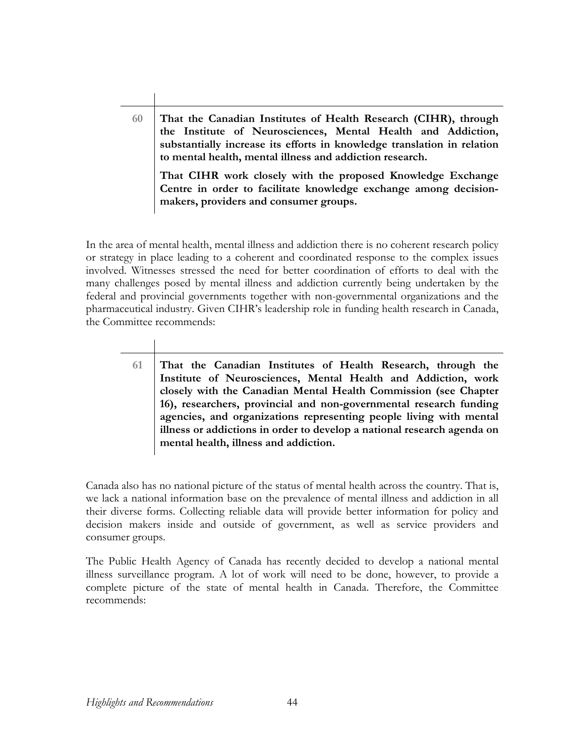**60 That the Canadian Institutes of Health Research (CIHR), through the Institute of Neurosciences, Mental Health and Addiction, substantially increase its efforts in knowledge translation in relation to mental health, mental illness and addiction research.** 

**That CIHR work closely with the proposed Knowledge Exchange Centre in order to facilitate knowledge exchange among decisionmakers, providers and consumer groups.** 

In the area of mental health, mental illness and addiction there is no coherent research policy or strategy in place leading to a coherent and coordinated response to the complex issues involved. Witnesses stressed the need for better coordination of efforts to deal with the many challenges posed by mental illness and addiction currently being undertaken by the federal and provincial governments together with non-governmental organizations and the pharmaceutical industry. Given CIHR's leadership role in funding health research in Canada, the Committee recommends:

**61 That the Canadian Institutes of Health Research, through the Institute of Neurosciences, Mental Health and Addiction, work closely with the Canadian Mental Health Commission (see Chapter 16), researchers, provincial and non-governmental research funding agencies, and organizations representing people living with mental illness or addictions in order to develop a national research agenda on mental health, illness and addiction.** 

Canada also has no national picture of the status of mental health across the country. That is, we lack a national information base on the prevalence of mental illness and addiction in all their diverse forms. Collecting reliable data will provide better information for policy and decision makers inside and outside of government, as well as service providers and consumer groups.

The Public Health Agency of Canada has recently decided to develop a national mental illness surveillance program. A lot of work will need to be done, however, to provide a complete picture of the state of mental health in Canada. Therefore, the Committee recommends: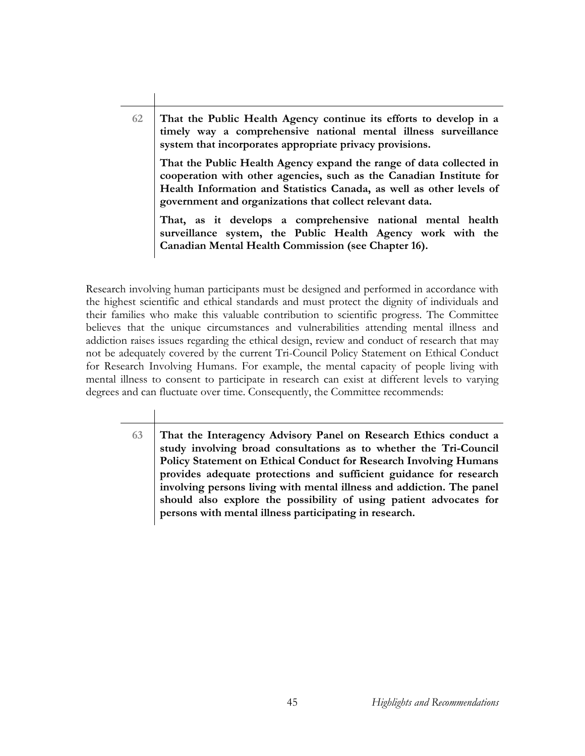**62 That the Public Health Agency continue its efforts to develop in a timely way a comprehensive national mental illness surveillance system that incorporates appropriate privacy provisions. That the Public Health Agency expand the range of data collected in cooperation with other agencies, such as the Canadian Institute for Health Information and Statistics Canada, as well as other levels of government and organizations that collect relevant data.** 

**That, as it develops a comprehensive national mental health surveillance system, the Public Health Agency work with the Canadian Mental Health Commission (see Chapter 16).** 

Research involving human participants must be designed and performed in accordance with the highest scientific and ethical standards and must protect the dignity of individuals and their families who make this valuable contribution to scientific progress. The Committee believes that the unique circumstances and vulnerabilities attending mental illness and addiction raises issues regarding the ethical design, review and conduct of research that may not be adequately covered by the current Tri-Council Policy Statement on Ethical Conduct for Research Involving Humans. For example, the mental capacity of people living with mental illness to consent to participate in research can exist at different levels to varying degrees and can fluctuate over time. Consequently, the Committee recommends:

**63 That the Interagency Advisory Panel on Research Ethics conduct a study involving broad consultations as to whether the Tri-Council Policy Statement on Ethical Conduct for Research Involving Humans provides adequate protections and sufficient guidance for research involving persons living with mental illness and addiction. The panel should also explore the possibility of using patient advocates for persons with mental illness participating in research.**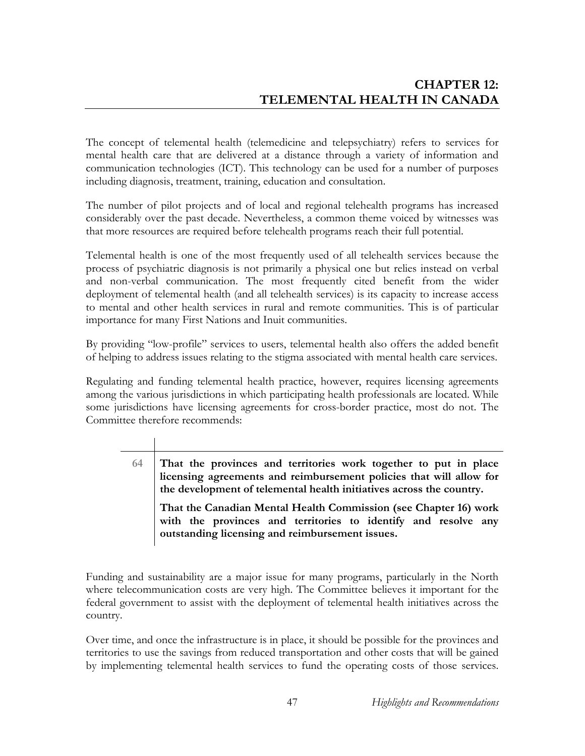The concept of telemental health (telemedicine and telepsychiatry) refers to services for mental health care that are delivered at a distance through a variety of information and communication technologies (ICT). This technology can be used for a number of purposes including diagnosis, treatment, training, education and consultation.

The number of pilot projects and of local and regional telehealth programs has increased considerably over the past decade. Nevertheless, a common theme voiced by witnesses was that more resources are required before telehealth programs reach their full potential.

Telemental health is one of the most frequently used of all telehealth services because the process of psychiatric diagnosis is not primarily a physical one but relies instead on verbal and non-verbal communication. The most frequently cited benefit from the wider deployment of telemental health (and all telehealth services) is its capacity to increase access to mental and other health services in rural and remote communities. This is of particular importance for many First Nations and Inuit communities.

By providing "low-profile" services to users, telemental health also offers the added benefit of helping to address issues relating to the stigma associated with mental health care services.

Regulating and funding telemental health practice, however, requires licensing agreements among the various jurisdictions in which participating health professionals are located. While some jurisdictions have licensing agreements for cross-border practice, most do not. The Committee therefore recommends:

> **64 That the provinces and territories work together to put in place licensing agreements and reimbursement policies that will allow for the development of telemental health initiatives across the country. That the Canadian Mental Health Commission (see Chapter 16) work with the provinces and territories to identify and resolve any outstanding licensing and reimbursement issues.**

Funding and sustainability are a major issue for many programs, particularly in the North where telecommunication costs are very high. The Committee believes it important for the federal government to assist with the deployment of telemental health initiatives across the country.

Over time, and once the infrastructure is in place, it should be possible for the provinces and territories to use the savings from reduced transportation and other costs that will be gained by implementing telemental health services to fund the operating costs of those services.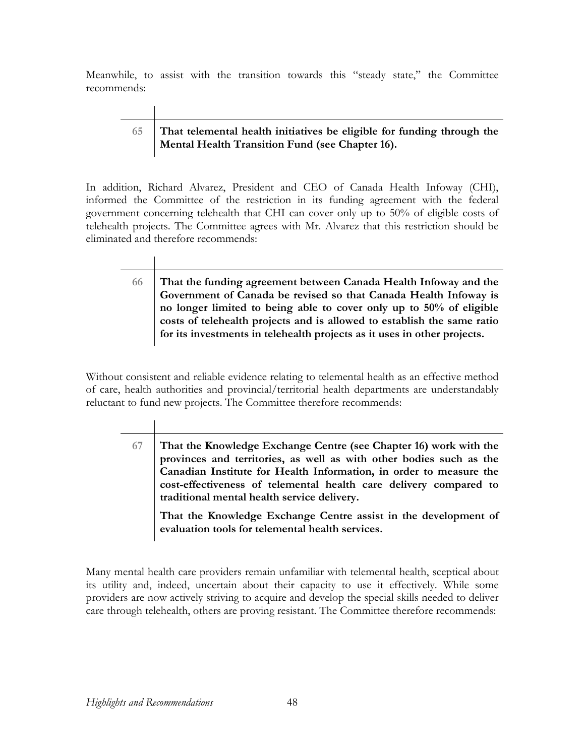Meanwhile, to assist with the transition towards this "steady state," the Committee recommends:

## **65 That telemental health initiatives be eligible for funding through the Mental Health Transition Fund (see Chapter 16).**

In addition, Richard Alvarez, President and CEO of Canada Health Infoway (CHI), informed the Committee of the restriction in its funding agreement with the federal government concerning telehealth that CHI can cover only up to 50% of eligible costs of telehealth projects. The Committee agrees with Mr. Alvarez that this restriction should be eliminated and therefore recommends:

# **66 That the funding agreement between Canada Health Infoway and the Government of Canada be revised so that Canada Health Infoway is no longer limited to being able to cover only up to 50% of eligible costs of telehealth projects and is allowed to establish the same ratio for its investments in telehealth projects as it uses in other projects.**

Without consistent and reliable evidence relating to telemental health as an effective method of care, health authorities and provincial/territorial health departments are understandably reluctant to fund new projects. The Committee therefore recommends:

> **67 That the Knowledge Exchange Centre (see Chapter 16) work with the provinces and territories, as well as with other bodies such as the Canadian Institute for Health Information, in order to measure the cost-effectiveness of telemental health care delivery compared to traditional mental health service delivery.**

**That the Knowledge Exchange Centre assist in the development of evaluation tools for telemental health services.** 

Many mental health care providers remain unfamiliar with telemental health, sceptical about its utility and, indeed, uncertain about their capacity to use it effectively. While some providers are now actively striving to acquire and develop the special skills needed to deliver care through telehealth, others are proving resistant. The Committee therefore recommends: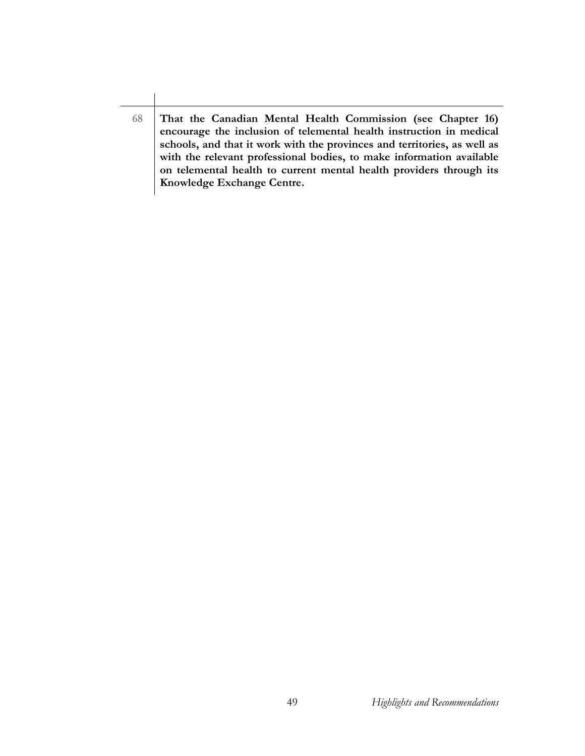**68 That the Canadian Mental Health Commission (see Chapter 16) encourage the inclusion of telemental health instruction in medical schools, and that it work with the provinces and territories, as well as with the relevant professional bodies, to make information available on telemental health to current mental health providers through its Knowledge Exchange Centre.**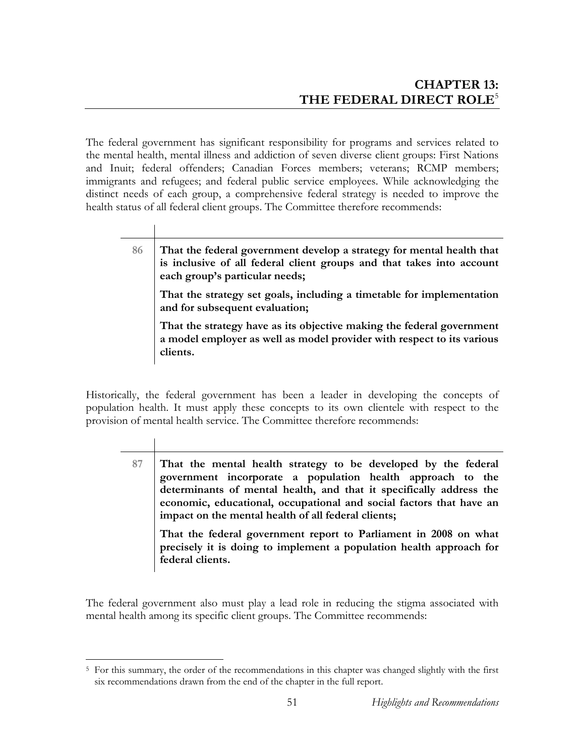The federal government has significant responsibility for programs and services related to the mental health, mental illness and addiction of seven diverse client groups: First Nations and Inuit; federal offenders; Canadian Forces members; veterans; RCMP members; immigrants and refugees; and federal public service employees. While acknowledging the distinct needs of each group, a comprehensive federal strategy is needed to improve the health status of all federal client groups. The Committee therefore recommends:

 $\mathbf{I}$ 

| 86 | That the federal government develop a strategy for mental health that<br>is inclusive of all federal client groups and that takes into account<br>each group's particular needs; |
|----|----------------------------------------------------------------------------------------------------------------------------------------------------------------------------------|
|    | That the strategy set goals, including a timetable for implementation<br>and for subsequent evaluation;                                                                          |
|    | That the strategy have as its objective making the federal government<br>a model employer as well as model provider with respect to its various<br>clients.                      |

Historically, the federal government has been a leader in developing the concepts of population health. It must apply these concepts to its own clientele with respect to the provision of mental health service. The Committee therefore recommends:

| 87 | That the mental health strategy to be developed by the federal<br>government incorporate a population health approach to the<br>determinants of mental health, and that it specifically address the<br>economic, educational, occupational and social factors that have an<br>impact on the mental health of all federal clients;<br>That the federal government report to Parliament in 2008 on what |
|----|-------------------------------------------------------------------------------------------------------------------------------------------------------------------------------------------------------------------------------------------------------------------------------------------------------------------------------------------------------------------------------------------------------|
|    | precisely it is doing to implement a population health approach for<br>federal clients.                                                                                                                                                                                                                                                                                                               |
|    |                                                                                                                                                                                                                                                                                                                                                                                                       |

The federal government also must play a lead role in reducing the stigma associated with mental health among its specific client groups. The Committee recommends:

 $\overline{a}$ <sup>5</sup> For this summary, the order of the recommendations in this chapter was changed slightly with the first six recommendations drawn from the end of the chapter in the full report.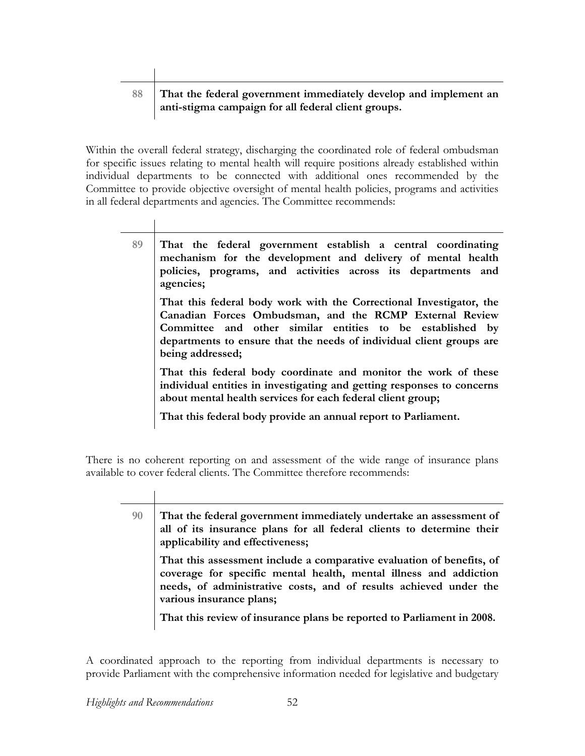$\mathbf{I}$ 

## **88 That the federal government immediately develop and implement an anti-stigma campaign for all federal client groups.**

Within the overall federal strategy, discharging the coordinated role of federal ombudsman for specific issues relating to mental health will require positions already established within individual departments to be connected with additional ones recommended by the Committee to provide objective oversight of mental health policies, programs and activities in all federal departments and agencies. The Committee recommends:

| 89 | That the federal government establish a central coordinating<br>mechanism for the development and delivery of mental health<br>policies, programs, and activities across its departments and<br>agencies;                                                                               |
|----|-----------------------------------------------------------------------------------------------------------------------------------------------------------------------------------------------------------------------------------------------------------------------------------------|
|    | That this federal body work with the Correctional Investigator, the<br>Canadian Forces Ombudsman, and the RCMP External Review<br>Committee and other similar entities to be established by<br>departments to ensure that the needs of individual client groups are<br>being addressed; |
|    | That this federal body coordinate and monitor the work of these<br>individual entities in investigating and getting responses to concerns<br>about mental health services for each federal client group;<br>That this federal body provide an annual report to Parliament.              |
|    |                                                                                                                                                                                                                                                                                         |

There is no coherent reporting on and assessment of the wide range of insurance plans available to cover federal clients. The Committee therefore recommends:

| 90<br>applicability and effectiveness; | That the federal government immediately undertake an assessment of<br>all of its insurance plans for all federal clients to determine their                                                                                                 |
|----------------------------------------|---------------------------------------------------------------------------------------------------------------------------------------------------------------------------------------------------------------------------------------------|
|                                        | That this assessment include a comparative evaluation of benefits, of<br>coverage for specific mental health, mental illness and addiction<br>needs, of administrative costs, and of results achieved under the<br>various insurance plans; |
|                                        | That this review of insurance plans be reported to Parliament in 2008.                                                                                                                                                                      |

A coordinated approach to the reporting from individual departments is necessary to provide Parliament with the comprehensive information needed for legislative and budgetary

 $\overline{\phantom{a}}$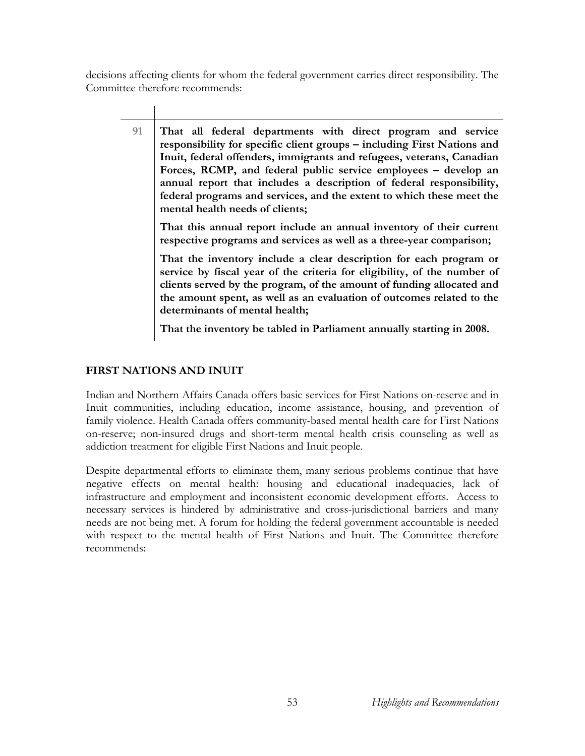decisions affecting clients for whom the federal government carries direct responsibility. The Committee therefore recommends:

**91 That all federal departments with direct program and service responsibility for specific client groups – including First Nations and Inuit, federal offenders, immigrants and refugees, veterans, Canadian Forces, RCMP, and federal public service employees – develop an annual report that includes a description of federal responsibility, federal programs and services, and the extent to which these meet the mental health needs of clients; That this annual report include an annual inventory of their current respective programs and services as well as a three-year comparison; That the inventory include a clear description for each program or service by fiscal year of the criteria for eligibility, of the number of clients served by the program, of the amount of funding allocated and the amount spent, as well as an evaluation of outcomes related to the determinants of mental health;** 

**That the inventory be tabled in Parliament annually starting in 2008.** 

## **FIRST NATIONS AND INUIT**

Indian and Northern Affairs Canada offers basic services for First Nations on-reserve and in Inuit communities, including education, income assistance, housing, and prevention of family violence. Health Canada offers community-based mental health care for First Nations on-reserve; non-insured drugs and short-term mental health crisis counseling as well as addiction treatment for eligible First Nations and Inuit people.

Despite departmental efforts to eliminate them, many serious problems continue that have negative effects on mental health: housing and educational inadequacies, lack of infrastructure and employment and inconsistent economic development efforts. Access to necessary services is hindered by administrative and cross-jurisdictional barriers and many needs are not being met. A forum for holding the federal government accountable is needed with respect to the mental health of First Nations and Inuit. The Committee therefore recommends: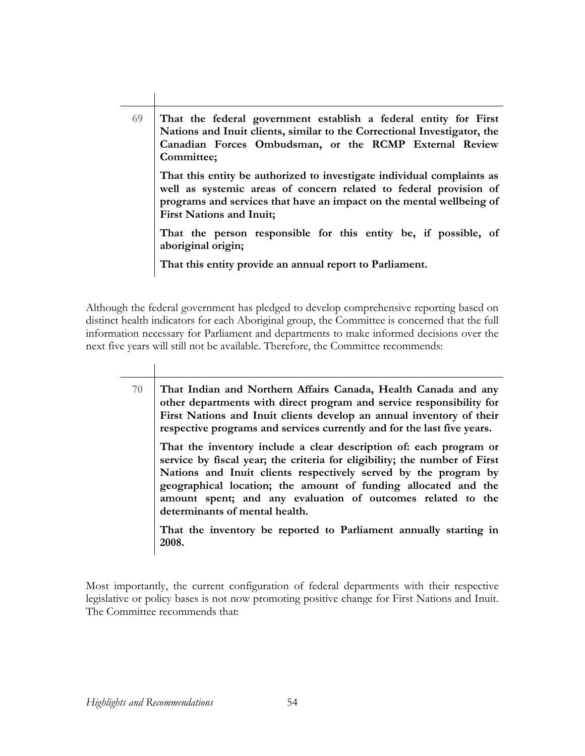**69 That the federal government establish a federal entity for First Nations and Inuit clients, similar to the Correctional Investigator, the Canadian Forces Ombudsman, or the RCMP External Review Committee; That this entity be authorized to investigate individual complaints as well as systemic areas of concern related to federal provision of programs and services that have an impact on the mental wellbeing of First Nations and Inuit; That the person responsible for this entity be, if possible, of aboriginal origin; That this entity provide an annual report to Parliament.** 

Although the federal government has pledged to develop comprehensive reporting based on distinct health indicators for each Aboriginal group, the Committee is concerned that the full information necessary for Parliament and departments to make informed decisions over the next five years will still not be available. Therefore, the Committee recommends:

> **70 That Indian and Northern Affairs Canada, Health Canada and any other departments with direct program and service responsibility for First Nations and Inuit clients develop an annual inventory of their respective programs and services currently and for the last five years.**

**That the inventory include a clear description of: each program or service by fiscal year; the criteria for eligibility; the number of First Nations and Inuit clients respectively served by the program by geographical location; the amount of funding allocated and the amount spent; and any evaluation of outcomes related to the determinants of mental health.** 

**That the inventory be reported to Parliament annually starting in 2008.** 

Most importantly, the current configuration of federal departments with their respective legislative or policy bases is not now promoting positive change for First Nations and Inuit. The Committee recommends that: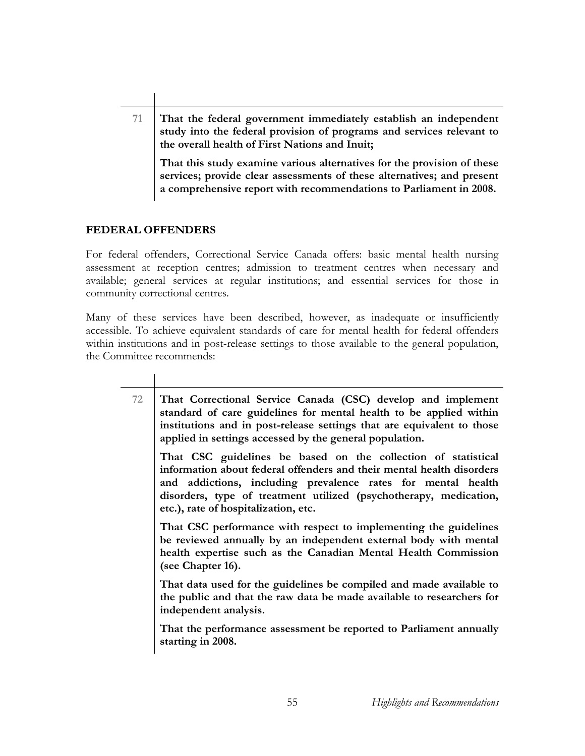**71 That the federal government immediately establish an independent study into the federal provision of programs and services relevant to the overall health of First Nations and Inuit;** 

**That this study examine various alternatives for the provision of these services; provide clear assessments of these alternatives; and present a comprehensive report with recommendations to Parliament in 2008.**

### **FEDERAL OFFENDERS**

For federal offenders, Correctional Service Canada offers: basic mental health nursing assessment at reception centres; admission to treatment centres when necessary and available; general services at regular institutions; and essential services for those in community correctional centres.

Many of these services have been described, however, as inadequate or insufficiently accessible. To achieve equivalent standards of care for mental health for federal offenders within institutions and in post-release settings to those available to the general population, the Committee recommends:

| 72 | That Correctional Service Canada (CSC) develop and implement<br>standard of care guidelines for mental health to be applied within<br>institutions and in post-release settings that are equivalent to those<br>applied in settings accessed by the general population.                                             |
|----|---------------------------------------------------------------------------------------------------------------------------------------------------------------------------------------------------------------------------------------------------------------------------------------------------------------------|
|    | That CSC guidelines be based on the collection of statistical<br>information about federal offenders and their mental health disorders<br>and addictions, including prevalence rates for mental health<br>disorders, type of treatment utilized (psychotherapy, medication,<br>etc.), rate of hospitalization, etc. |
|    | That CSC performance with respect to implementing the guidelines<br>be reviewed annually by an independent external body with mental<br>health expertise such as the Canadian Mental Health Commission<br>(see Chapter 16).                                                                                         |
|    | That data used for the guidelines be compiled and made available to<br>the public and that the raw data be made available to researchers for<br>independent analysis.                                                                                                                                               |
|    | That the performance assessment be reported to Parliament annually<br>starting in 2008.                                                                                                                                                                                                                             |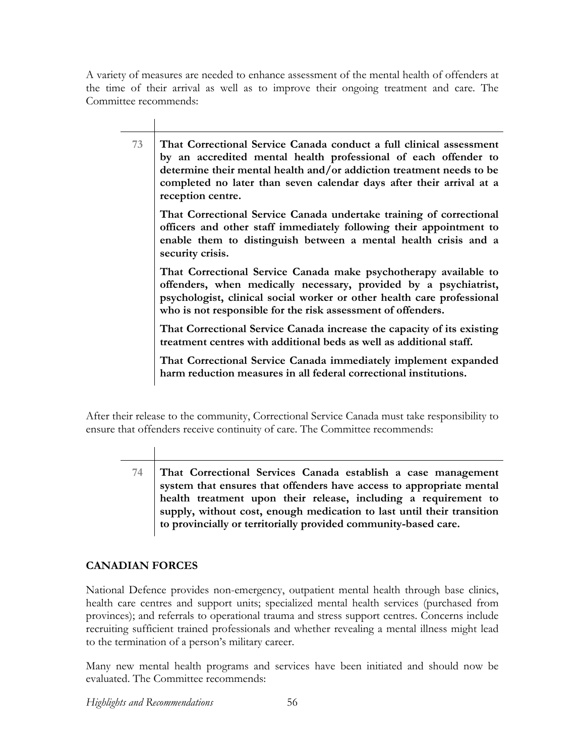A variety of measures are needed to enhance assessment of the mental health of offenders at the time of their arrival as well as to improve their ongoing treatment and care. The Committee recommends:

| 73 | That Correctional Service Canada conduct a full clinical assessment<br>by an accredited mental health professional of each offender to<br>determine their mental health and/or addiction treatment needs to be<br>completed no later than seven calendar days after their arrival at a<br>reception centre. |
|----|-------------------------------------------------------------------------------------------------------------------------------------------------------------------------------------------------------------------------------------------------------------------------------------------------------------|
|    | That Correctional Service Canada undertake training of correctional<br>officers and other staff immediately following their appointment to<br>enable them to distinguish between a mental health crisis and a<br>security crisis.                                                                           |
|    | That Correctional Service Canada make psychotherapy available to<br>offenders, when medically necessary, provided by a psychiatrist,<br>psychologist, clinical social worker or other health care professional<br>who is not responsible for the risk assessment of offenders.                              |
|    | That Correctional Service Canada increase the capacity of its existing<br>treatment centres with additional beds as well as additional staff.                                                                                                                                                               |
|    | That Correctional Service Canada immediately implement expanded<br>harm reduction measures in all federal correctional institutions.                                                                                                                                                                        |

After their release to the community, Correctional Service Canada must take responsibility to ensure that offenders receive continuity of care. The Committee recommends:

**74 That Correctional Services Canada establish a case management system that ensures that offenders have access to appropriate mental health treatment upon their release, including a requirement to supply, without cost, enough medication to last until their transition to provincially or territorially provided community-based care.** 

## **CANADIAN FORCES**

National Defence provides non-emergency, outpatient mental health through base clinics, health care centres and support units; specialized mental health services (purchased from provinces); and referrals to operational trauma and stress support centres. Concerns include recruiting sufficient trained professionals and whether revealing a mental illness might lead to the termination of a person's military career.

Many new mental health programs and services have been initiated and should now be evaluated. The Committee recommends:

*Highlights and Recommendations* 56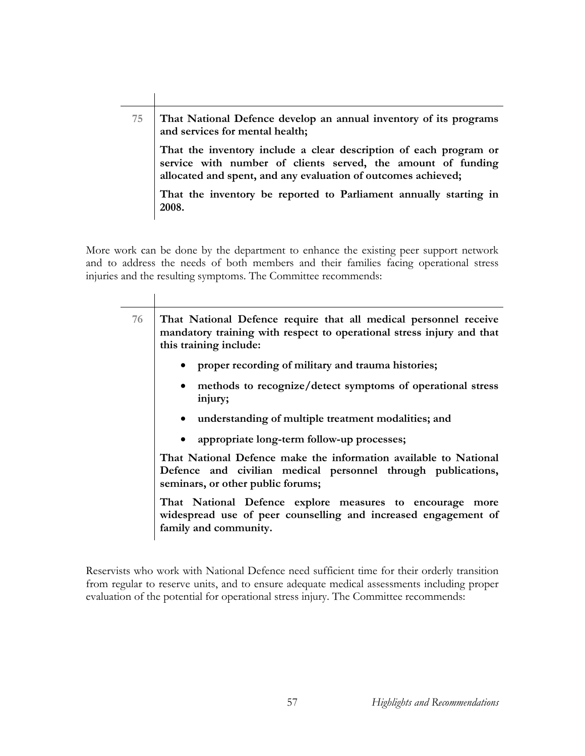**75 That National Defence develop an annual inventory of its programs and services for mental health; That the inventory include a clear description of each program or service with number of clients served, the amount of funding allocated and spent, and any evaluation of outcomes achieved; That the inventory be reported to Parliament annually starting in 2008.** 

More work can be done by the department to enhance the existing peer support network and to address the needs of both members and their families facing operational stress injuries and the resulting symptoms. The Committee recommends:

 $\overline{a}$ 

| 76 | That National Defence require that all medical personnel receive<br>mandatory training with respect to operational stress injury and that<br>this training include:   |  |
|----|-----------------------------------------------------------------------------------------------------------------------------------------------------------------------|--|
|    | • proper recording of military and trauma histories;                                                                                                                  |  |
|    | • methods to recognize/detect symptoms of operational stress<br>injury;                                                                                               |  |
|    | • understanding of multiple treatment modalities; and                                                                                                                 |  |
|    | • appropriate long-term follow-up processes;                                                                                                                          |  |
|    | That National Defence make the information available to National<br>Defence and civilian medical personnel through publications,<br>seminars, or other public forums; |  |
|    | That National Defence explore measures to encourage more<br>widespread use of peer counselling and increased engagement of<br>family and community.                   |  |

Reservists who work with National Defence need sufficient time for their orderly transition from regular to reserve units, and to ensure adequate medical assessments including proper evaluation of the potential for operational stress injury. The Committee recommends: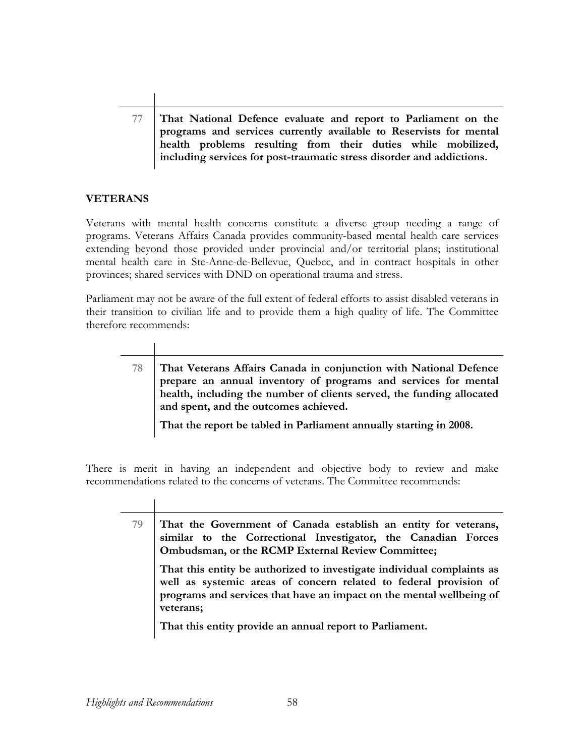**77 That National Defence evaluate and report to Parliament on the programs and services currently available to Reservists for mental health problems resulting from their duties while mobilized, including services for post-traumatic stress disorder and addictions.** 

## **VETERANS**

Veterans with mental health concerns constitute a diverse group needing a range of programs. Veterans Affairs Canada provides community-based mental health care services extending beyond those provided under provincial and/or territorial plans; institutional mental health care in Ste-Anne-de-Bellevue, Quebec, and in contract hospitals in other provinces; shared services with DND on operational trauma and stress.

Parliament may not be aware of the full extent of federal efforts to assist disabled veterans in their transition to civilian life and to provide them a high quality of life. The Committee therefore recommends:

**78 That Veterans Affairs Canada in conjunction with National Defence prepare an annual inventory of programs and services for mental health, including the number of clients served, the funding allocated and spent, and the outcomes achieved.** 

**That the report be tabled in Parliament annually starting in 2008.** 

There is merit in having an independent and objective body to review and make recommendations related to the concerns of veterans. The Committee recommends:

| 79 | That the Government of Canada establish an entity for veterans,<br>similar to the Correctional Investigator, the Canadian Forces<br>Ombudsman, or the RCMP External Review Committee;<br>That this entity be authorized to investigate individual complaints as<br>well as systemic areas of concern related to federal provision of<br>programs and services that have an impact on the mental wellbeing of<br>veterans;<br>That this entity provide an annual report to Parliament. |
|----|---------------------------------------------------------------------------------------------------------------------------------------------------------------------------------------------------------------------------------------------------------------------------------------------------------------------------------------------------------------------------------------------------------------------------------------------------------------------------------------|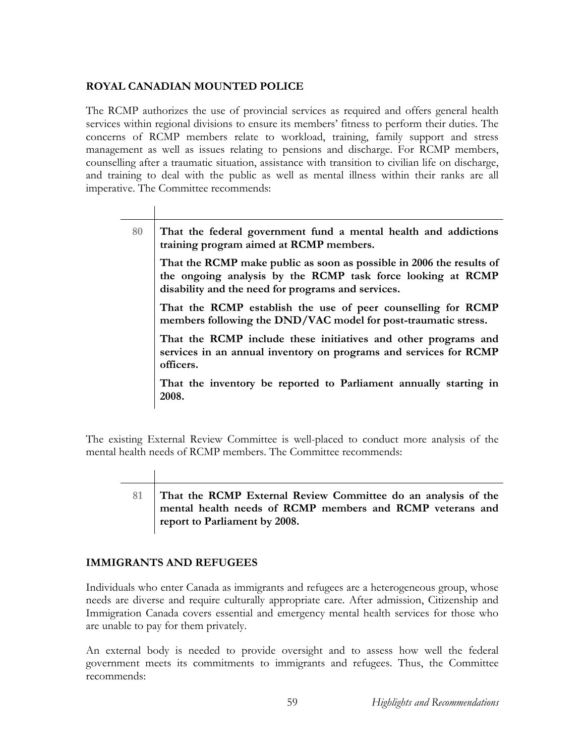### **ROYAL CANADIAN MOUNTED POLICE**

The RCMP authorizes the use of provincial services as required and offers general health services within regional divisions to ensure its members' fitness to perform their duties. The concerns of RCMP members relate to workload, training, family support and stress management as well as issues relating to pensions and discharge. For RCMP members, counselling after a traumatic situation, assistance with transition to civilian life on discharge, and training to deal with the public as well as mental illness within their ranks are all imperative. The Committee recommends:

**80 That the federal government fund a mental health and addictions training program aimed at RCMP members.** 

**That the RCMP make public as soon as possible in 2006 the results of the ongoing analysis by the RCMP task force looking at RCMP disability and the need for programs and services.** 

**That the RCMP establish the use of peer counselling for RCMP members following the DND/VAC model for post-traumatic stress.** 

**That the RCMP include these initiatives and other programs and services in an annual inventory on programs and services for RCMP officers.** 

**That the inventory be reported to Parliament annually starting in 2008.** 

The existing External Review Committee is well-placed to conduct more analysis of the mental health needs of RCMP members. The Committee recommends:

- 
- **81 That the RCMP External Review Committee do an analysis of the mental health needs of RCMP members and RCMP veterans and report to Parliament by 2008.**

## **IMMIGRANTS AND REFUGEES**

Individuals who enter Canada as immigrants and refugees are a heterogeneous group, whose needs are diverse and require culturally appropriate care. After admission, Citizenship and Immigration Canada covers essential and emergency mental health services for those who are unable to pay for them privately.

An external body is needed to provide oversight and to assess how well the federal government meets its commitments to immigrants and refugees. Thus, the Committee recommends: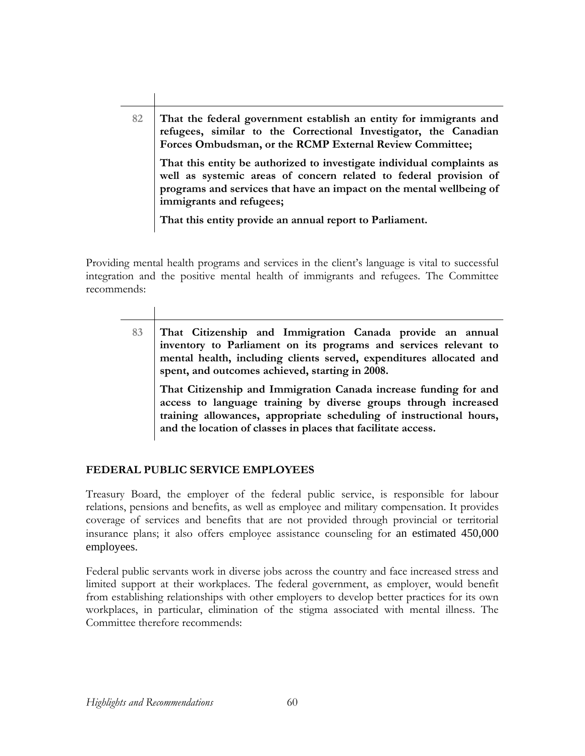**82 That the federal government establish an entity for immigrants and refugees, similar to the Correctional Investigator, the Canadian Forces Ombudsman, or the RCMP External Review Committee; That this entity be authorized to investigate individual complaints as well as systemic areas of concern related to federal provision of programs and services that have an impact on the mental wellbeing of immigrants and refugees;** 

**That this entity provide an annual report to Parliament.** 

Providing mental health programs and services in the client's language is vital to successful integration and the positive mental health of immigrants and refugees. The Committee recommends:

**83 That Citizenship and Immigration Canada provide an annual inventory to Parliament on its programs and services relevant to mental health, including clients served, expenditures allocated and spent, and outcomes achieved, starting in 2008. That Citizenship and Immigration Canada increase funding for and** 

**access to language training by diverse groups through increased training allowances, appropriate scheduling of instructional hours, and the location of classes in places that facilitate access.** 

## **FEDERAL PUBLIC SERVICE EMPLOYEES**

Treasury Board, the employer of the federal public service, is responsible for labour relations, pensions and benefits, as well as employee and military compensation. It provides coverage of services and benefits that are not provided through provincial or territorial insurance plans; it also offers employee assistance counseling for an estimated 450,000 employees.

Federal public servants work in diverse jobs across the country and face increased stress and limited support at their workplaces. The federal government, as employer, would benefit from establishing relationships with other employers to develop better practices for its own workplaces, in particular, elimination of the stigma associated with mental illness. The Committee therefore recommends: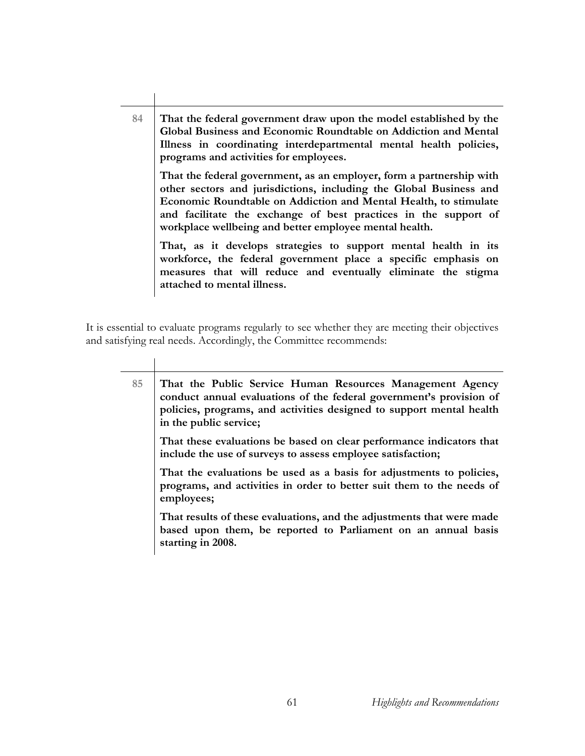**84 That the federal government draw upon the model established by the Global Business and Economic Roundtable on Addiction and Mental Illness in coordinating interdepartmental mental health policies, programs and activities for employees. That the federal government, as an employer, form a partnership with other sectors and jurisdictions, including the Global Business and Economic Roundtable on Addiction and Mental Health, to stimulate and facilitate the exchange of best practices in the support of workplace wellbeing and better employee mental health. That, as it develops strategies to support mental health in its workforce, the federal government place a specific emphasis on measures that will reduce and eventually eliminate the stigma attached to mental illness.** 

It is essential to evaluate programs regularly to see whether they are meeting their objectives and satisfying real needs. Accordingly, the Committee recommends:

**85 That the Public Service Human Resources Management Agency conduct annual evaluations of the federal government's provision of policies, programs, and activities designed to support mental health in the public service; That these evaluations be based on clear performance indicators that include the use of surveys to assess employee satisfaction; That the evaluations be used as a basis for adjustments to policies, programs, and activities in order to better suit them to the needs of employees; That results of these evaluations, and the adjustments that were made based upon them, be reported to Parliament on an annual basis starting in 2008.**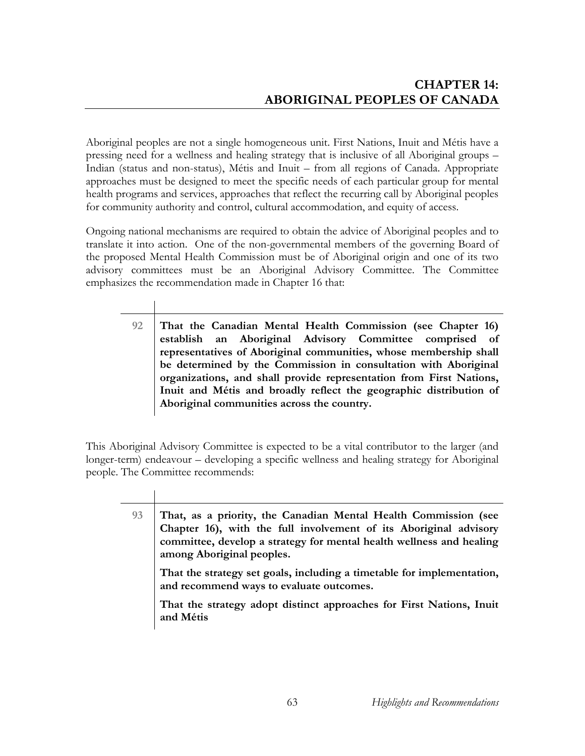Aboriginal peoples are not a single homogeneous unit. First Nations, Inuit and Métis have a pressing need for a wellness and healing strategy that is inclusive of all Aboriginal groups – Indian (status and non-status), Métis and Inuit – from all regions of Canada. Appropriate approaches must be designed to meet the specific needs of each particular group for mental health programs and services, approaches that reflect the recurring call by Aboriginal peoples for community authority and control, cultural accommodation, and equity of access.

Ongoing national mechanisms are required to obtain the advice of Aboriginal peoples and to translate it into action. One of the non-governmental members of the governing Board of the proposed Mental Health Commission must be of Aboriginal origin and one of its two advisory committees must be an Aboriginal Advisory Committee. The Committee emphasizes the recommendation made in Chapter 16 that:

> **92 That the Canadian Mental Health Commission (see Chapter 16) establish an Aboriginal Advisory Committee comprised of representatives of Aboriginal communities, whose membership shall be determined by the Commission in consultation with Aboriginal organizations, and shall provide representation from First Nations, Inuit and Métis and broadly reflect the geographic distribution of Aboriginal communities across the country.**

This Aboriginal Advisory Committee is expected to be a vital contributor to the larger (and longer-term) endeavour – developing a specific wellness and healing strategy for Aboriginal people. The Committee recommends:

 $\overline{\phantom{a}}$ 

| That, as a priority, the Canadian Mental Health Commission (see<br>Chapter 16), with the full involvement of its Aboriginal advisory<br>committee, develop a strategy for mental health wellness and healing<br>among Aboriginal peoples. |
|-------------------------------------------------------------------------------------------------------------------------------------------------------------------------------------------------------------------------------------------|
| That the strategy set goals, including a timetable for implementation,<br>and recommend ways to evaluate outcomes.                                                                                                                        |
| That the strategy adopt distinct approaches for First Nations, Inuit<br>and Métis                                                                                                                                                         |
|                                                                                                                                                                                                                                           |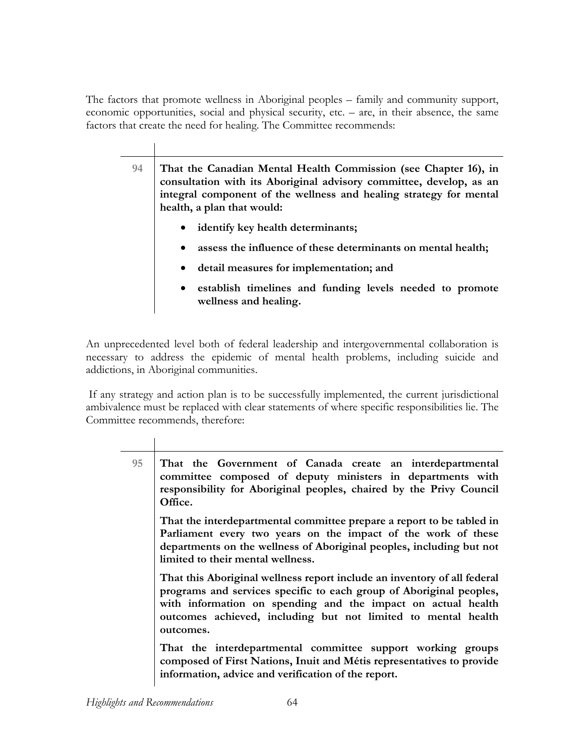The factors that promote wellness in Aboriginal peoples – family and community support, economic opportunities, social and physical security, etc. *–* are, in their absence, the same factors that create the need for healing. The Committee recommends:

> **94 That the Canadian Mental Health Commission (see Chapter 16), in consultation with its Aboriginal advisory committee, develop, as an integral component of the wellness and healing strategy for mental health, a plan that would:**

- **identify key health determinants;**
- **assess the influence of these determinants on mental health;**
- **detail measures for implementation; and**
- **establish timelines and funding levels needed to promote wellness and healing.**

An unprecedented level both of federal leadership and intergovernmental collaboration is necessary to address the epidemic of mental health problems, including suicide and addictions, in Aboriginal communities.

 If any strategy and action plan is to be successfully implemented, the current jurisdictional ambivalence must be replaced with clear statements of where specific responsibilities lie. The Committee recommends, therefore:

| 95<br>That the Government of Canada create an interdepartmental<br>committee composed of deputy ministers in departments with<br>responsibility for Aboriginal peoples, chaired by the Privy Council<br>Office. |                                                                                                                                                                                                                                                                                  |
|-----------------------------------------------------------------------------------------------------------------------------------------------------------------------------------------------------------------|----------------------------------------------------------------------------------------------------------------------------------------------------------------------------------------------------------------------------------------------------------------------------------|
| limited to their mental wellness.<br>outcomes.<br>information, advice and verification of the report.                                                                                                           | That the interdepartmental committee prepare a report to be tabled in<br>Parliament every two years on the impact of the work of these<br>departments on the wellness of Aboriginal peoples, including but not                                                                   |
|                                                                                                                                                                                                                 | That this Aboriginal wellness report include an inventory of all federal<br>programs and services specific to each group of Aboriginal peoples,<br>with information on spending and the impact on actual health<br>outcomes achieved, including but not limited to mental health |
|                                                                                                                                                                                                                 | That the interdepartmental committee support working groups<br>composed of First Nations, Inuit and Métis representatives to provide                                                                                                                                             |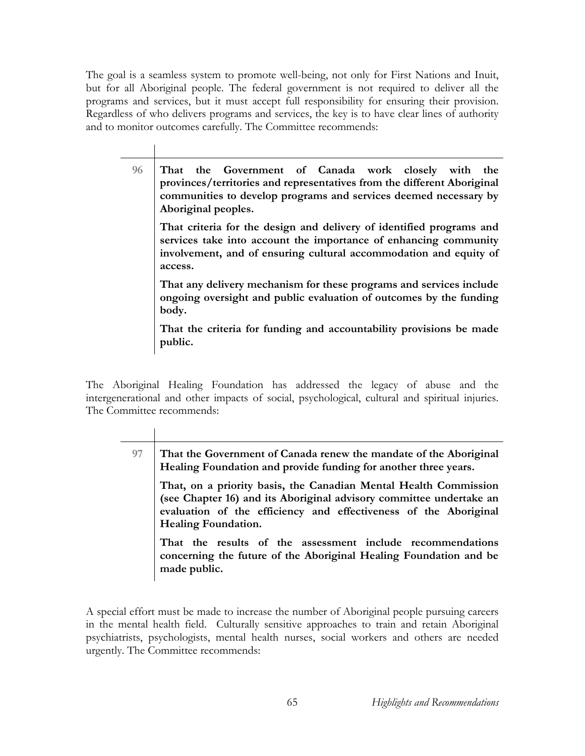The goal is a seamless system to promote well-being, not only for First Nations and Inuit, but for all Aboriginal people. The federal government is not required to deliver all the programs and services, but it must accept full responsibility for ensuring their provision. Regardless of who delivers programs and services, the key is to have clear lines of authority and to monitor outcomes carefully. The Committee recommends:

**96 That the Government of Canada work closely with the provinces/territories and representatives from the different Aboriginal communities to develop programs and services deemed necessary by Aboriginal peoples. That criteria for the design and delivery of identified programs and services take into account the importance of enhancing community involvement, and of ensuring cultural accommodation and equity of access. That any delivery mechanism for these programs and services include ongoing oversight and public evaluation of outcomes by the funding body. That the criteria for funding and accountability provisions be made public.** 

The Aboriginal Healing Foundation has addressed the legacy of abuse and the intergenerational and other impacts of social, psychological, cultural and spiritual injuries. The Committee recommends:

| 97 | That the Government of Canada renew the mandate of the Aboriginal<br>Healing Foundation and provide funding for another three years.                                                                                                      |
|----|-------------------------------------------------------------------------------------------------------------------------------------------------------------------------------------------------------------------------------------------|
|    | That, on a priority basis, the Canadian Mental Health Commission<br>(see Chapter 16) and its Aboriginal advisory committee undertake an<br>evaluation of the efficiency and effectiveness of the Aboriginal<br><b>Healing Foundation.</b> |
|    | That the results of the assessment include recommendations<br>concerning the future of the Aboriginal Healing Foundation and be<br>made public.                                                                                           |

A special effort must be made to increase the number of Aboriginal people pursuing careers in the mental health field. Culturally sensitive approaches to train and retain Aboriginal psychiatrists, psychologists, mental health nurses, social workers and others are needed urgently. The Committee recommends: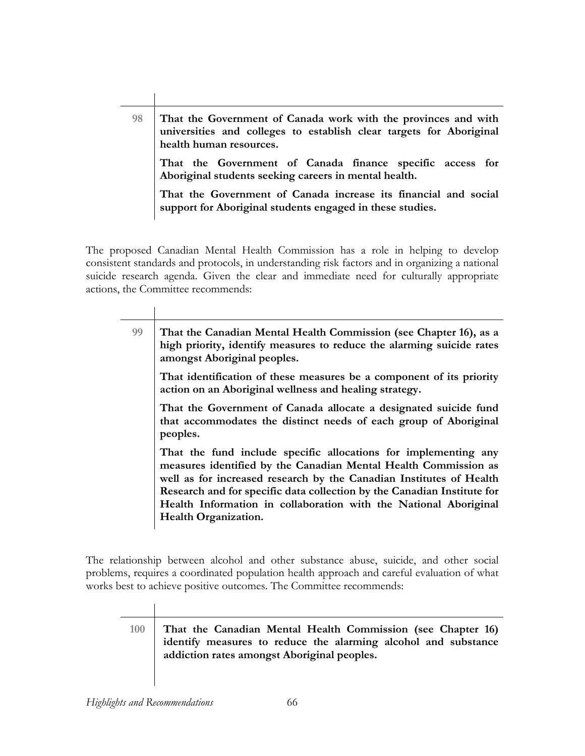**98 That the Government of Canada work with the provinces and with universities and colleges to establish clear targets for Aboriginal health human resources. That the Government of Canada finance specific access for Aboriginal students seeking careers in mental health. That the Government of Canada increase its financial and social support for Aboriginal students engaged in these studies.** 

The proposed Canadian Mental Health Commission has a role in helping to develop consistent standards and protocols, in understanding risk factors and in organizing a national suicide research agenda. Given the clear and immediate need for culturally appropriate actions, the Committee recommends:

| 99                               | That the Canadian Mental Health Commission (see Chapter 16), as a<br>high priority, identify measures to reduce the alarming suicide rates<br>amongst Aboriginal peoples.                                                                                                                                                                                |  |
|----------------------------------|----------------------------------------------------------------------------------------------------------------------------------------------------------------------------------------------------------------------------------------------------------------------------------------------------------------------------------------------------------|--|
|                                  | That identification of these measures be a component of its priority<br>action on an Aboriginal wellness and healing strategy.                                                                                                                                                                                                                           |  |
| peoples.<br>Health Organization. | That the Government of Canada allocate a designated suicide fund<br>that accommodates the distinct needs of each group of Aboriginal                                                                                                                                                                                                                     |  |
|                                  | That the fund include specific allocations for implementing any<br>measures identified by the Canadian Mental Health Commission as<br>well as for increased research by the Canadian Institutes of Health<br>Research and for specific data collection by the Canadian Institute for<br>Health Information in collaboration with the National Aboriginal |  |

The relationship between alcohol and other substance abuse, suicide, and other social problems, requires a coordinated population health approach and careful evaluation of what works best to achieve positive outcomes. The Committee recommends:

**100 That the Canadian Mental Health Commission (see Chapter 16) identify measures to reduce the alarming alcohol and substance addiction rates amongst Aboriginal peoples.** 

 $\overline{1}$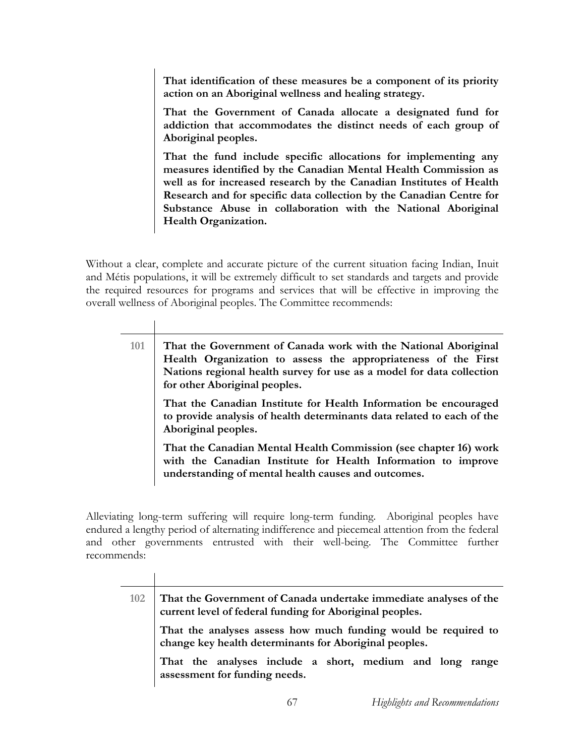**That identification of these measures be a component of its priority action on an Aboriginal wellness and healing strategy.** 

**That the Government of Canada allocate a designated fund for addiction that accommodates the distinct needs of each group of Aboriginal peoples.** 

**That the fund include specific allocations for implementing any measures identified by the Canadian Mental Health Commission as well as for increased research by the Canadian Institutes of Health Research and for specific data collection by the Canadian Centre for Substance Abuse in collaboration with the National Aboriginal Health Organization.** 

Without a clear, complete and accurate picture of the current situation facing Indian, Inuit and Métis populations, it will be extremely difficult to set standards and targets and provide the required resources for programs and services that will be effective in improving the overall wellness of Aboriginal peoples. The Committee recommends:

| That the Government of Canada work with the National Aboriginal<br>Health Organization to assess the appropriateness of the First<br>Nations regional health survey for use as a model for data collection<br>for other Aboriginal peoples. |
|---------------------------------------------------------------------------------------------------------------------------------------------------------------------------------------------------------------------------------------------|
| That the Canadian Institute for Health Information be encouraged<br>to provide analysis of health determinants data related to each of the<br>Aboriginal peoples.                                                                           |
| That the Canadian Mental Health Commission (see chapter 16) work<br>with the Canadian Institute for Health Information to improve<br>understanding of mental health causes and outcomes.                                                    |
|                                                                                                                                                                                                                                             |

Alleviating long-term suffering will require long-term funding. Aboriginal peoples have endured a lengthy period of alternating indifference and piecemeal attention from the federal and other governments entrusted with their well-being. The Committee further recommends:

| 102 | That the Government of Canada undertake immediate analyses of the<br>current level of federal funding for Aboriginal peoples. |  |  |  |  |
|-----|-------------------------------------------------------------------------------------------------------------------------------|--|--|--|--|
|     | That the analyses assess how much funding would be required to<br>change key health determinants for Aboriginal peoples.      |  |  |  |  |
|     | That the analyses include a short, medium and long range<br>assessment for funding needs.                                     |  |  |  |  |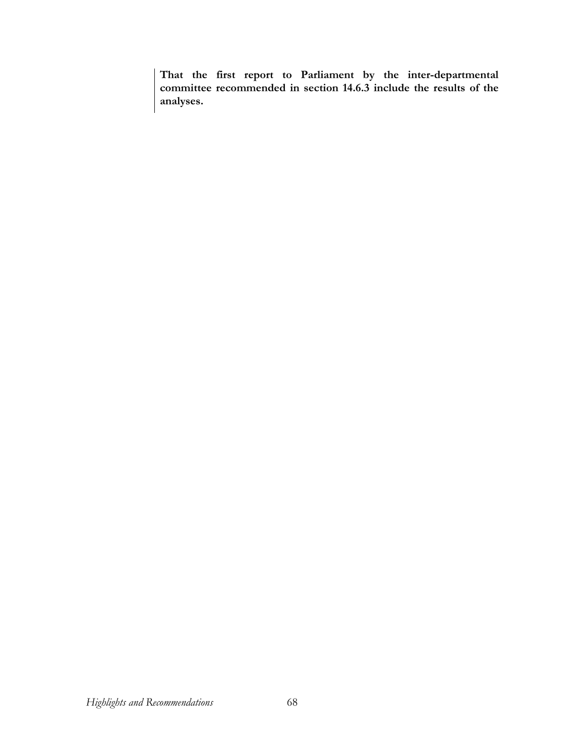**That the first report to Parliament by the inter-departmental committee recommended in section 14.6.3 include the results of the analyses.**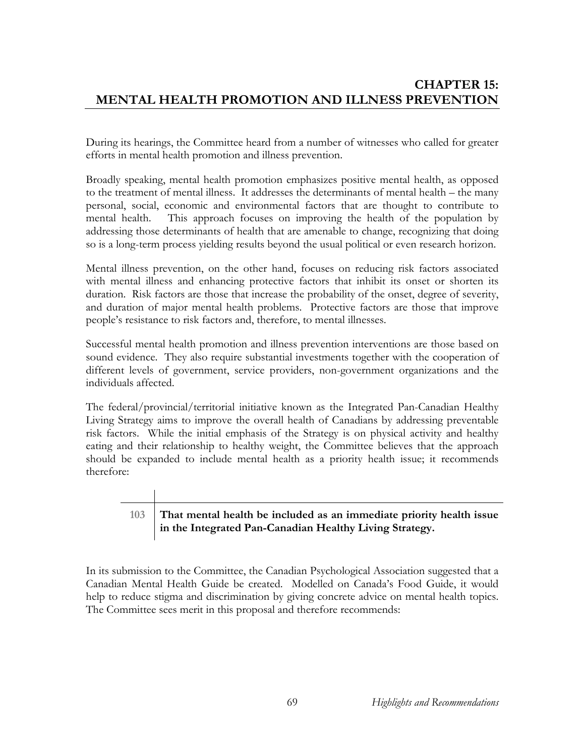# **CHAPTER 15: MENTAL HEALTH PROMOTION AND ILLNESS PREVENTION**

During its hearings, the Committee heard from a number of witnesses who called for greater efforts in mental health promotion and illness prevention.

Broadly speaking, mental health promotion emphasizes positive mental health, as opposed to the treatment of mental illness. It addresses the determinants of mental health – the many personal, social, economic and environmental factors that are thought to contribute to mental health. This approach focuses on improving the health of the population by addressing those determinants of health that are amenable to change, recognizing that doing so is a long-term process yielding results beyond the usual political or even research horizon.

Mental illness prevention, on the other hand, focuses on reducing risk factors associated with mental illness and enhancing protective factors that inhibit its onset or shorten its duration. Risk factors are those that increase the probability of the onset, degree of severity, and duration of major mental health problems. Protective factors are those that improve people's resistance to risk factors and, therefore, to mental illnesses.

Successful mental health promotion and illness prevention interventions are those based on sound evidence. They also require substantial investments together with the cooperation of different levels of government, service providers, non-government organizations and the individuals affected.

The federal/provincial/territorial initiative known as the Integrated Pan-Canadian Healthy Living Strategy aims to improve the overall health of Canadians by addressing preventable risk factors. While the initial emphasis of the Strategy is on physical activity and healthy eating and their relationship to healthy weight, the Committee believes that the approach should be expanded to include mental health as a priority health issue; it recommends therefore:

# **103 That mental health be included as an immediate priority health issue in the Integrated Pan-Canadian Healthy Living Strategy.**

In its submission to the Committee, the Canadian Psychological Association suggested that a Canadian Mental Health Guide be created. Modelled on Canada's Food Guide, it would help to reduce stigma and discrimination by giving concrete advice on mental health topics. The Committee sees merit in this proposal and therefore recommends: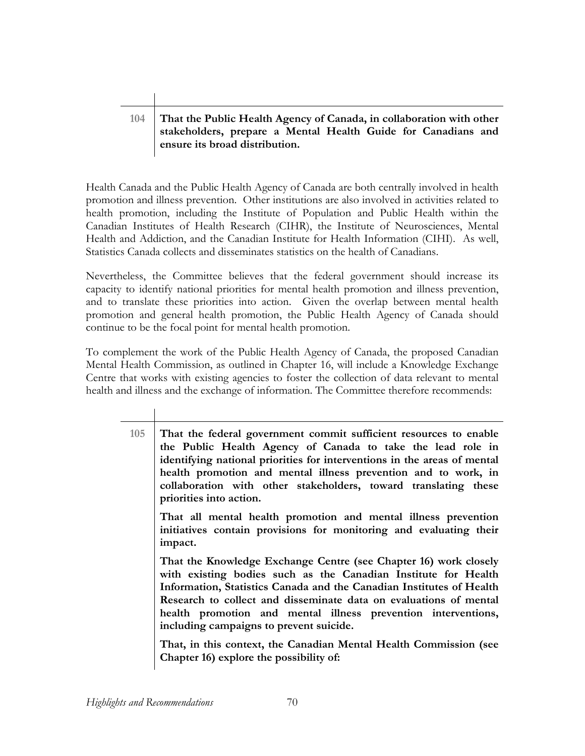# **104 That the Public Health Agency of Canada, in collaboration with other stakeholders, prepare a Mental Health Guide for Canadians and ensure its broad distribution.**

Health Canada and the Public Health Agency of Canada are both centrally involved in health promotion and illness prevention. Other institutions are also involved in activities related to health promotion, including the Institute of Population and Public Health within the Canadian Institutes of Health Research (CIHR), the Institute of Neurosciences, Mental Health and Addiction, and the Canadian Institute for Health Information (CIHI). As well, Statistics Canada collects and disseminates statistics on the health of Canadians.

Nevertheless, the Committee believes that the federal government should increase its capacity to identify national priorities for mental health promotion and illness prevention, and to translate these priorities into action. Given the overlap between mental health promotion and general health promotion, the Public Health Agency of Canada should continue to be the focal point for mental health promotion.

To complement the work of the Public Health Agency of Canada, the proposed Canadian Mental Health Commission, as outlined in Chapter 16, will include a Knowledge Exchange Centre that works with existing agencies to foster the collection of data relevant to mental health and illness and the exchange of information. The Committee therefore recommends:

| 105 | That the federal government commit sufficient resources to enable<br>the Public Health Agency of Canada to take the lead role in<br>identifying national priorities for interventions in the areas of mental |  |  |
|-----|--------------------------------------------------------------------------------------------------------------------------------------------------------------------------------------------------------------|--|--|
|     | health promotion and mental illness prevention and to work, in<br>collaboration with other stakeholders, toward translating these<br>priorities into action.                                                 |  |  |
|     | That all mental health promotion and mental illness prevention<br>initiatives contain provisions for monitoring and evaluating their<br>impact.                                                              |  |  |

**That the Knowledge Exchange Centre (see Chapter 16) work closely with existing bodies such as the Canadian Institute for Health Information, Statistics Canada and the Canadian Institutes of Health Research to collect and disseminate data on evaluations of mental health promotion and mental illness prevention interventions, including campaigns to prevent suicide.** 

**That, in this context, the Canadian Mental Health Commission (see Chapter 16) explore the possibility of:**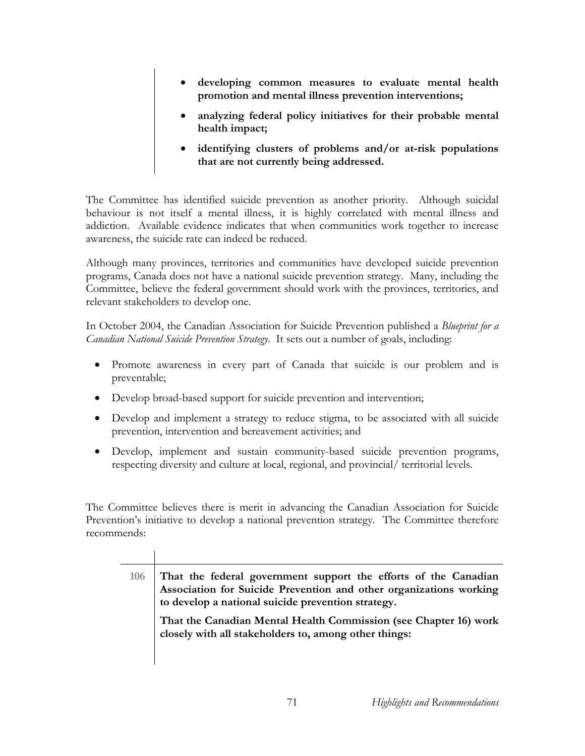- **developing common measures to evaluate mental health promotion and mental illness prevention interventions;**
- **analyzing federal policy initiatives for their probable mental health impact;**
- **identifying clusters of problems and/or at-risk populations that are not currently being addressed.**

The Committee has identified suicide prevention as another priority. Although suicidal behaviour is not itself a mental illness, it is highly correlated with mental illness and addiction. Available evidence indicates that when communities work together to increase awareness, the suicide rate can indeed be reduced.

Although many provinces, territories and communities have developed suicide prevention programs, Canada does not have a national suicide prevention strategy. Many, including the Committee, believe the federal government should work with the provinces, territories, and relevant stakeholders to develop one.

In October 2004, the Canadian Association for Suicide Prevention published a *Blueprint for a Canadian National Suicide Prevention Strategy*. It sets out a number of goals, including:

- Promote awareness in every part of Canada that suicide is our problem and is preventable;
- Develop broad-based support for suicide prevention and intervention;
- Develop and implement a strategy to reduce stigma, to be associated with all suicide prevention, intervention and bereavement activities; and
- Develop, implement and sustain community-based suicide prevention programs, respecting diversity and culture at local, regional, and provincial/ territorial levels.

The Committee believes there is merit in advancing the Canadian Association for Suicide Prevention's initiative to develop a national prevention strategy. The Committee therefore recommends:

| <b>106</b> | That the federal government support the efforts of the Canadian<br>Association for Suicide Prevention and other organizations working<br>to develop a national suicide prevention strategy. |
|------------|---------------------------------------------------------------------------------------------------------------------------------------------------------------------------------------------|
|            | That the Canadian Mental Health Commission (see Chapter 16) work<br>closely with all stakeholders to, among other things:                                                                   |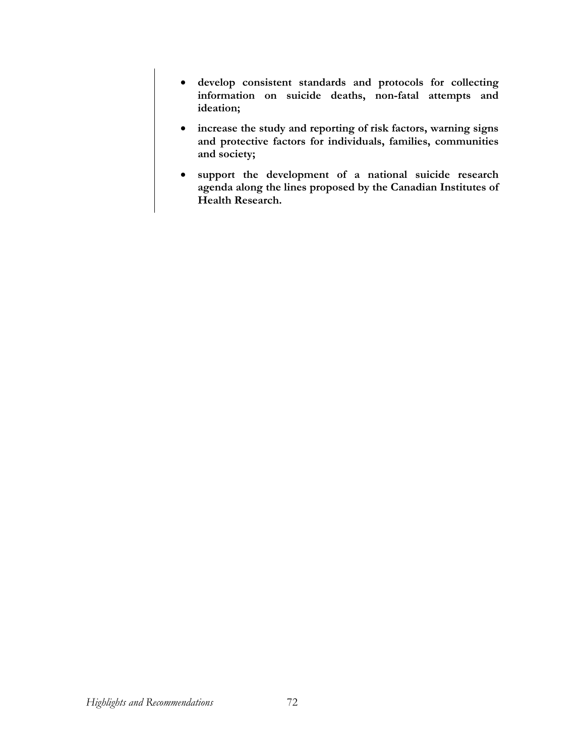- **develop consistent standards and protocols for collecting information on suicide deaths, non-fatal attempts and ideation;**
- **increase the study and reporting of risk factors, warning signs and protective factors for individuals, families, communities and society;**
- **support the development of a national suicide research agenda along the lines proposed by the Canadian Institutes of Health Research.**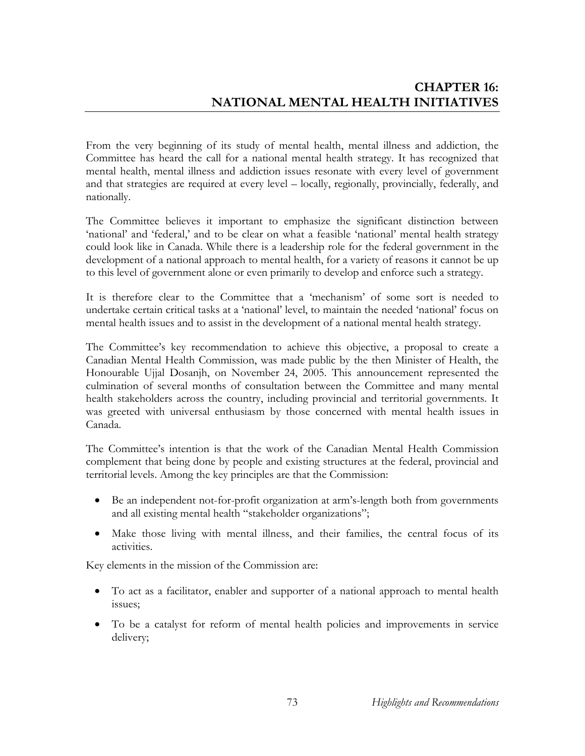From the very beginning of its study of mental health, mental illness and addiction, the Committee has heard the call for a national mental health strategy. It has recognized that mental health, mental illness and addiction issues resonate with every level of government and that strategies are required at every level – locally, regionally, provincially, federally, and nationally.

The Committee believes it important to emphasize the significant distinction between 'national' and 'federal,' and to be clear on what a feasible 'national' mental health strategy could look like in Canada. While there is a leadership role for the federal government in the development of a national approach to mental health, for a variety of reasons it cannot be up to this level of government alone or even primarily to develop and enforce such a strategy.

It is therefore clear to the Committee that a 'mechanism' of some sort is needed to undertake certain critical tasks at a 'national' level, to maintain the needed 'national' focus on mental health issues and to assist in the development of a national mental health strategy.

The Committee's key recommendation to achieve this objective, a proposal to create a Canadian Mental Health Commission, was made public by the then Minister of Health, the Honourable Ujjal Dosanjh, on November 24, 2005. This announcement represented the culmination of several months of consultation between the Committee and many mental health stakeholders across the country, including provincial and territorial governments. It was greeted with universal enthusiasm by those concerned with mental health issues in Canada.

The Committee's intention is that the work of the Canadian Mental Health Commission complement that being done by people and existing structures at the federal, provincial and territorial levels. Among the key principles are that the Commission:

- Be an independent not-for-profit organization at arm's-length both from governments and all existing mental health "stakeholder organizations";
- Make those living with mental illness, and their families, the central focus of its activities.

Key elements in the mission of the Commission are:

- To act as a facilitator, enabler and supporter of a national approach to mental health issues;
- To be a catalyst for reform of mental health policies and improvements in service delivery;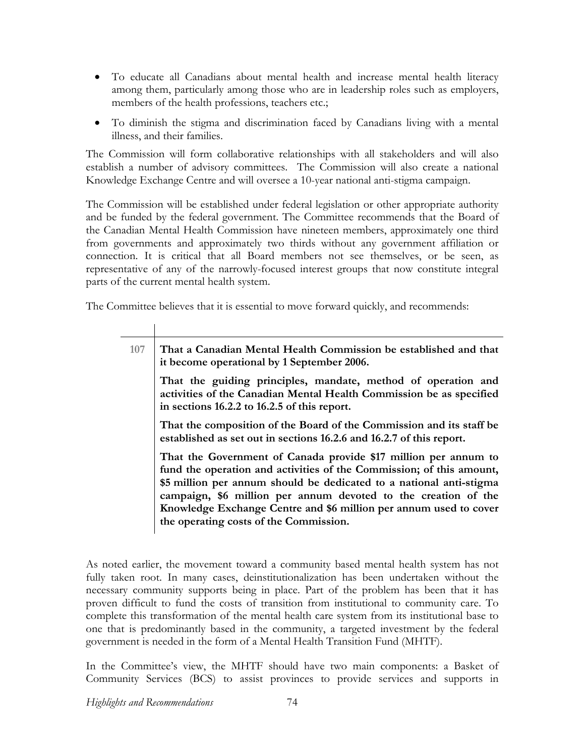- To educate all Canadians about mental health and increase mental health literacy among them, particularly among those who are in leadership roles such as employers, members of the health professions, teachers etc.;
- To diminish the stigma and discrimination faced by Canadians living with a mental illness, and their families.

The Commission will form collaborative relationships with all stakeholders and will also establish a number of advisory committees. The Commission will also create a national Knowledge Exchange Centre and will oversee a 10-year national anti-stigma campaign.

The Commission will be established under federal legislation or other appropriate authority and be funded by the federal government. The Committee recommends that the Board of the Canadian Mental Health Commission have nineteen members, approximately one third from governments and approximately two thirds without any government affiliation or connection. It is critical that all Board members not see themselves, or be seen, as representative of any of the narrowly-focused interest groups that now constitute integral parts of the current mental health system.

The Committee believes that it is essential to move forward quickly, and recommends:

| 107                                                                                                                                                                                  | That a Canadian Mental Health Commission be established and that<br>it become operational by 1 September 2006.                                                                                                                                                                                                                                        |
|--------------------------------------------------------------------------------------------------------------------------------------------------------------------------------------|-------------------------------------------------------------------------------------------------------------------------------------------------------------------------------------------------------------------------------------------------------------------------------------------------------------------------------------------------------|
| That the guiding principles, mandate, method of operation and<br>activities of the Canadian Mental Health Commission be as specified<br>in sections 16.2.2 to 16.2.5 of this report. |                                                                                                                                                                                                                                                                                                                                                       |
| the operating costs of the Commission.                                                                                                                                               | That the composition of the Board of the Commission and its staff be<br>established as set out in sections 16.2.6 and 16.2.7 of this report.                                                                                                                                                                                                          |
|                                                                                                                                                                                      | That the Government of Canada provide \$17 million per annum to<br>fund the operation and activities of the Commission; of this amount,<br>\$5 million per annum should be dedicated to a national anti-stigma<br>campaign, \$6 million per annum devoted to the creation of the<br>Knowledge Exchange Centre and \$6 million per annum used to cover |

As noted earlier, the movement toward a community based mental health system has not fully taken root. In many cases, deinstitutionalization has been undertaken without the necessary community supports being in place. Part of the problem has been that it has proven difficult to fund the costs of transition from institutional to community care. To complete this transformation of the mental health care system from its institutional base to one that is predominantly based in the community, a targeted investment by the federal government is needed in the form of a Mental Health Transition Fund (MHTF).

In the Committee's view, the MHTF should have two main components: a Basket of Community Services (BCS) to assist provinces to provide services and supports in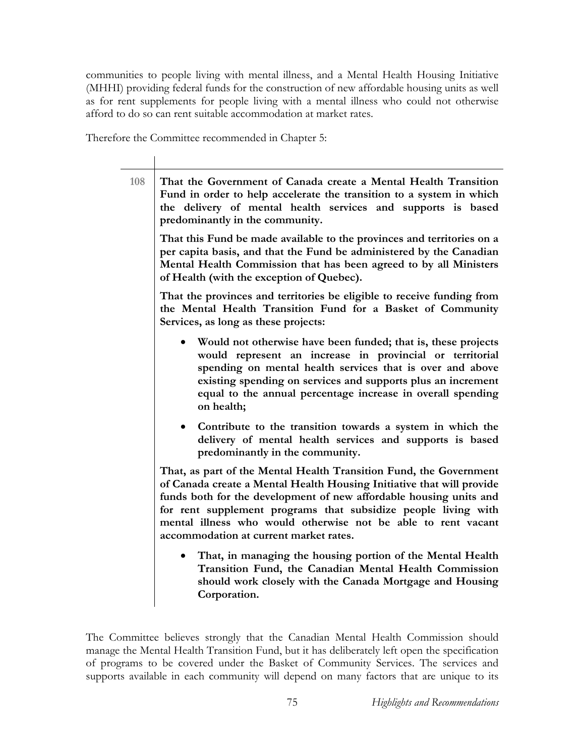communities to people living with mental illness, and a Mental Health Housing Initiative (MHHI) providing federal funds for the construction of new affordable housing units as well as for rent supplements for people living with a mental illness who could not otherwise afford to do so can rent suitable accommodation at market rates.

Therefore the Committee recommended in Chapter 5:

**108 That the Government of Canada create a Mental Health Transition Fund in order to help accelerate the transition to a system in which the delivery of mental health services and supports is based predominantly in the community. That this Fund be made available to the provinces and territories on a per capita basis, and that the Fund be administered by the Canadian Mental Health Commission that has been agreed to by all Ministers of Health (with the exception of Quebec). That the provinces and territories be eligible to receive funding from the Mental Health Transition Fund for a Basket of Community Services, as long as these projects:**  • **Would not otherwise have been funded; that is, these projects would represent an increase in provincial or territorial spending on mental health services that is over and above existing spending on services and supports plus an increment equal to the annual percentage increase in overall spending on health;**  • **Contribute to the transition towards a system in which the delivery of mental health services and supports is based predominantly in the community. That, as part of the Mental Health Transition Fund, the Government of Canada create a Mental Health Housing Initiative that will provide funds both for the development of new affordable housing units and for rent supplement programs that subsidize people living with mental illness who would otherwise not be able to rent vacant accommodation at current market rates.**  • **That, in managing the housing portion of the Mental Health Transition Fund, the Canadian Mental Health Commission should work closely with the Canada Mortgage and Housing Corporation.** 

The Committee believes strongly that the Canadian Mental Health Commission should manage the Mental Health Transition Fund, but it has deliberately left open the specification of programs to be covered under the Basket of Community Services. The services and supports available in each community will depend on many factors that are unique to its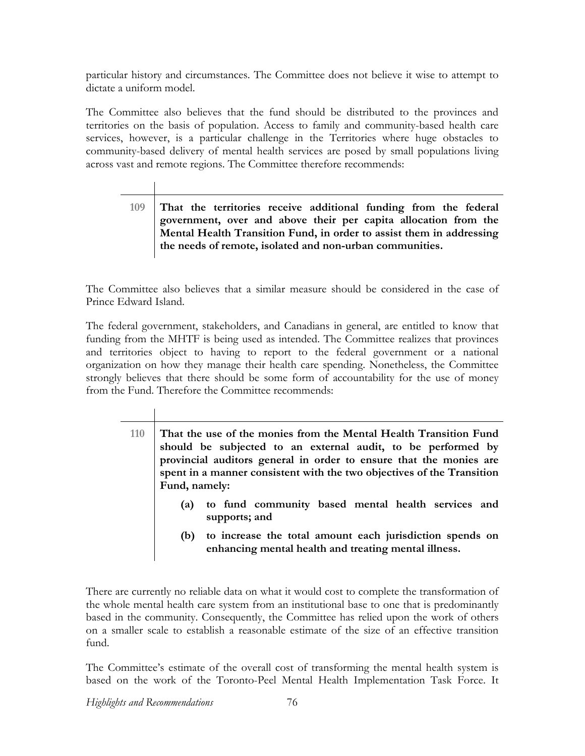particular history and circumstances. The Committee does not believe it wise to attempt to dictate a uniform model.

The Committee also believes that the fund should be distributed to the provinces and territories on the basis of population. Access to family and community-based health care services, however, is a particular challenge in the Territories where huge obstacles to community-based delivery of mental health services are posed by small populations living across vast and remote regions. The Committee therefore recommends:

> **109 That the territories receive additional funding from the federal government, over and above their per capita allocation from the Mental Health Transition Fund, in order to assist them in addressing the needs of remote, isolated and non-urban communities.**

The Committee also believes that a similar measure should be considered in the case of Prince Edward Island.

The federal government, stakeholders, and Canadians in general, are entitled to know that funding from the MHTF is being used as intended. The Committee realizes that provinces and territories object to having to report to the federal government or a national organization on how they manage their health care spending. Nonetheless, the Committee strongly believes that there should be some form of accountability for the use of money from the Fund. Therefore the Committee recommends:

> **110 That the use of the monies from the Mental Health Transition Fund should be subjected to an external audit, to be performed by provincial auditors general in order to ensure that the monies are spent in a manner consistent with the two objectives of the Transition Fund, namely:**

- **(a) to fund community based mental health services and supports; and**
- **(b) to increase the total amount each jurisdiction spends on enhancing mental health and treating mental illness.**

There are currently no reliable data on what it would cost to complete the transformation of the whole mental health care system from an institutional base to one that is predominantly based in the community. Consequently, the Committee has relied upon the work of others on a smaller scale to establish a reasonable estimate of the size of an effective transition fund.

The Committee's estimate of the overall cost of transforming the mental health system is based on the work of the Toronto-Peel Mental Health Implementation Task Force. It

*Highlights and Recommendations* 76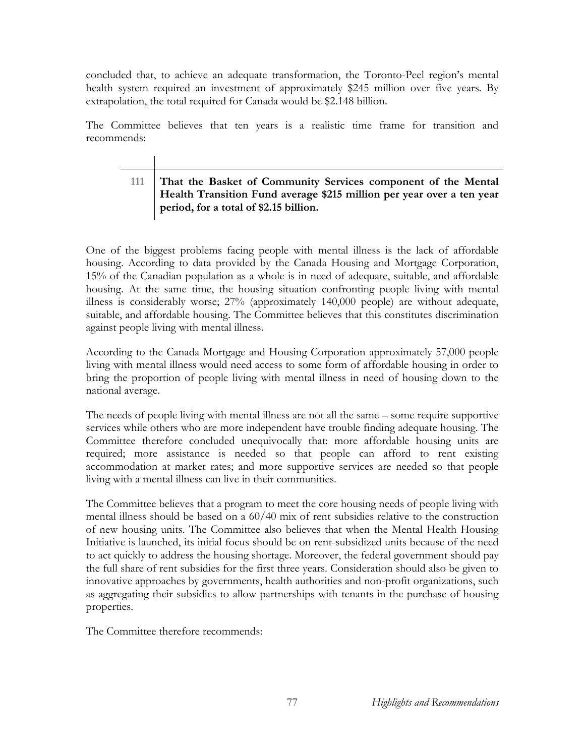concluded that, to achieve an adequate transformation, the Toronto-Peel region's mental health system required an investment of approximately \$245 million over five years. By extrapolation, the total required for Canada would be \$2.148 billion.

The Committee believes that ten years is a realistic time frame for transition and recommends:

# **111 That the Basket of Community Services component of the Mental Health Transition Fund average \$215 million per year over a ten year period, for a total of \$2.15 billion.**

One of the biggest problems facing people with mental illness is the lack of affordable housing. According to data provided by the Canada Housing and Mortgage Corporation, 15% of the Canadian population as a whole is in need of adequate, suitable, and affordable housing. At the same time, the housing situation confronting people living with mental illness is considerably worse; 27% (approximately 140,000 people) are without adequate, suitable, and affordable housing. The Committee believes that this constitutes discrimination against people living with mental illness.

According to the Canada Mortgage and Housing Corporation approximately 57,000 people living with mental illness would need access to some form of affordable housing in order to bring the proportion of people living with mental illness in need of housing down to the national average.

The needs of people living with mental illness are not all the same – some require supportive services while others who are more independent have trouble finding adequate housing. The Committee therefore concluded unequivocally that: more affordable housing units are required; more assistance is needed so that people can afford to rent existing accommodation at market rates; and more supportive services are needed so that people living with a mental illness can live in their communities.

The Committee believes that a program to meet the core housing needs of people living with mental illness should be based on a 60/40 mix of rent subsidies relative to the construction of new housing units. The Committee also believes that when the Mental Health Housing Initiative is launched, its initial focus should be on rent-subsidized units because of the need to act quickly to address the housing shortage. Moreover, the federal government should pay the full share of rent subsidies for the first three years. Consideration should also be given to innovative approaches by governments, health authorities and non-profit organizations, such as aggregating their subsidies to allow partnerships with tenants in the purchase of housing properties.

The Committee therefore recommends: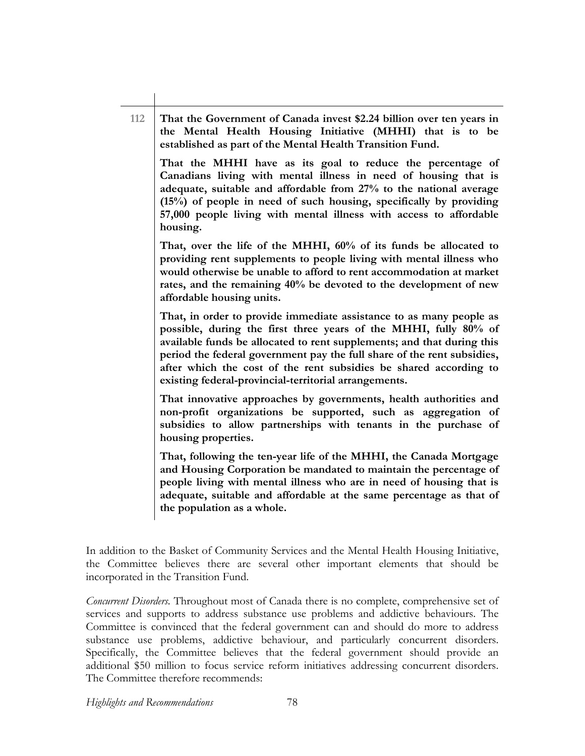## **112 That the Government of Canada invest \$2.24 billion over ten years in the Mental Health Housing Initiative (MHHI) that is to be established as part of the Mental Health Transition Fund.**

**That the MHHI have as its goal to reduce the percentage of Canadians living with mental illness in need of housing that is adequate, suitable and affordable from 27% to the national average (15%) of people in need of such housing, specifically by providing 57,000 people living with mental illness with access to affordable housing.** 

**That, over the life of the MHHI, 60% of its funds be allocated to providing rent supplements to people living with mental illness who would otherwise be unable to afford to rent accommodation at market rates, and the remaining 40% be devoted to the development of new affordable housing units.** 

**That, in order to provide immediate assistance to as many people as possible, during the first three years of the MHHI, fully 80% of available funds be allocated to rent supplements; and that during this period the federal government pay the full share of the rent subsidies, after which the cost of the rent subsidies be shared according to existing federal-provincial-territorial arrangements.** 

**That innovative approaches by governments, health authorities and non-profit organizations be supported, such as aggregation of subsidies to allow partnerships with tenants in the purchase of housing properties.** 

**That, following the ten-year life of the MHHI, the Canada Mortgage and Housing Corporation be mandated to maintain the percentage of people living with mental illness who are in need of housing that is adequate, suitable and affordable at the same percentage as that of the population as a whole.** 

In addition to the Basket of Community Services and the Mental Health Housing Initiative, the Committee believes there are several other important elements that should be incorporated in the Transition Fund.

*Concurrent Disorders.* Throughout most of Canada there is no complete, comprehensive set of services and supports to address substance use problems and addictive behaviours. The Committee is convinced that the federal government can and should do more to address substance use problems, addictive behaviour, and particularly concurrent disorders. Specifically, the Committee believes that the federal government should provide an additional \$50 million to focus service reform initiatives addressing concurrent disorders. The Committee therefore recommends:

*Highlights and Recommendations* 78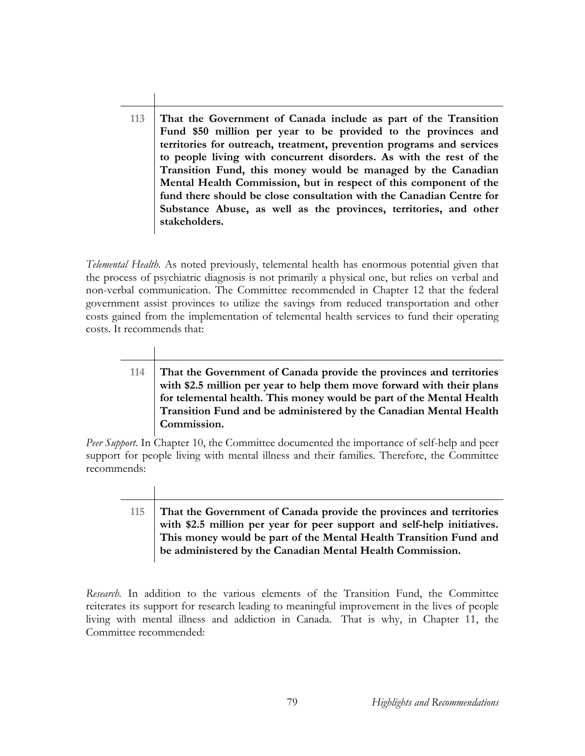**113 That the Government of Canada include as part of the Transition Fund \$50 million per year to be provided to the provinces and territories for outreach, treatment, prevention programs and services to people living with concurrent disorders. As with the rest of the Transition Fund, this money would be managed by the Canadian Mental Health Commission, but in respect of this component of the fund there should be close consultation with the Canadian Centre for Substance Abuse, as well as the provinces, territories, and other stakeholders.** 

*Telemental Health.* As noted previously, telemental health has enormous potential given that the process of psychiatric diagnosis is not primarily a physical one, but relies on verbal and non-verbal communication. The Committee recommended in Chapter 12 that the federal government assist provinces to utilize the savings from reduced transportation and other costs gained from the implementation of telemental health services to fund their operating costs. It recommends that:

# **114 That the Government of Canada provide the provinces and territories with \$2.5 million per year to help them move forward with their plans for telemental health. This money would be part of the Mental Health Transition Fund and be administered by the Canadian Mental Health Commission.**

*Peer Support.* In Chapter 10, the Committee documented the importance of self-help and peer support for people living with mental illness and their families. Therefore, the Committee recommends:

# **115 That the Government of Canada provide the provinces and territories with \$2.5 million per year for peer support and self-help initiatives. This money would be part of the Mental Health Transition Fund and be administered by the Canadian Mental Health Commission.**

*Research.* In addition to the various elements of the Transition Fund, the Committee reiterates its support for research leading to meaningful improvement in the lives of people living with mental illness and addiction in Canada. That is why, in Chapter 11, the Committee recommended: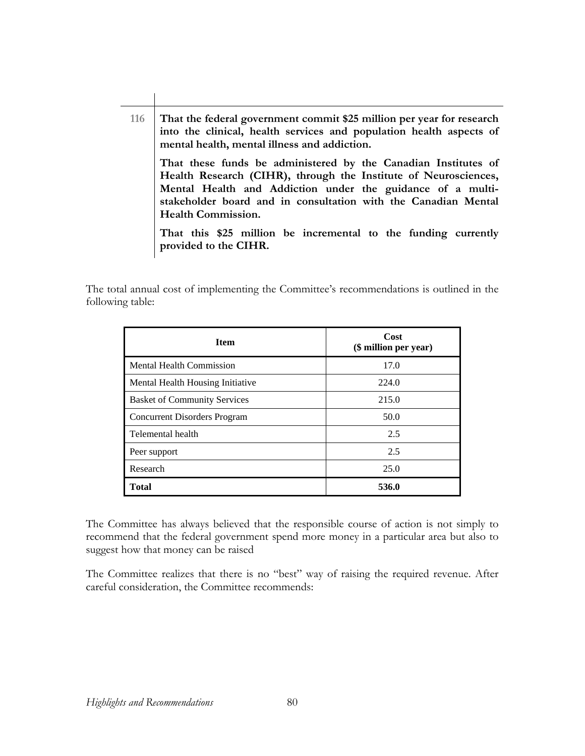**116 That the federal government commit \$25 million per year for research into the clinical, health services and population health aspects of mental health, mental illness and addiction. That these funds be administered by the Canadian Institutes of Health Research (CIHR), through the Institute of Neurosciences, Mental Health and Addiction under the guidance of a multistakeholder board and in consultation with the Canadian Mental Health Commission. That this \$25 million be incremental to the funding currently provided to the CIHR.** 

The total annual cost of implementing the Committee's recommendations is outlined in the following table:

| <b>Item</b>                         | Cost<br>(\$ million per year) |
|-------------------------------------|-------------------------------|
| <b>Mental Health Commission</b>     | 17.0                          |
| Mental Health Housing Initiative    | 224.0                         |
| <b>Basket of Community Services</b> | 215.0                         |
| <b>Concurrent Disorders Program</b> | 50.0                          |
| Telemental health                   | 2.5                           |
| Peer support                        | 2.5                           |
| Research                            | 25.0                          |
| Total                               | 536.0                         |

The Committee has always believed that the responsible course of action is not simply to recommend that the federal government spend more money in a particular area but also to suggest how that money can be raised

The Committee realizes that there is no "best" way of raising the required revenue. After careful consideration, the Committee recommends: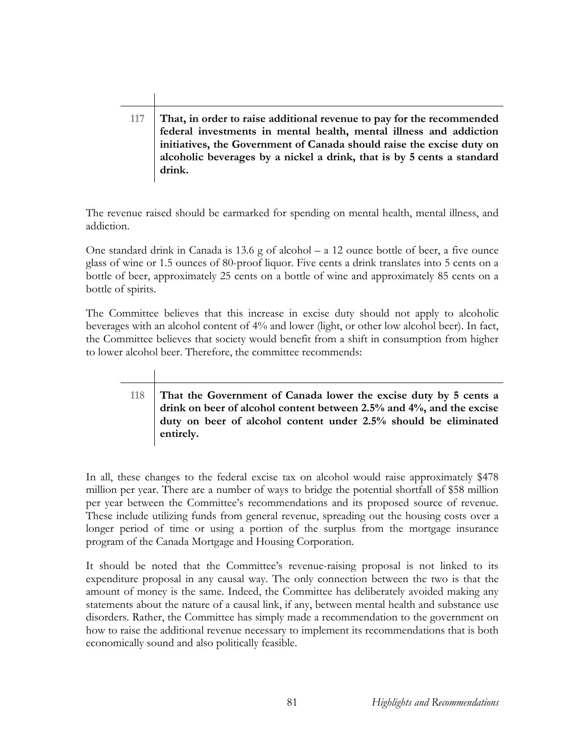**117 That, in order to raise additional revenue to pay for the recommended federal investments in mental health, mental illness and addiction initiatives, the Government of Canada should raise the excise duty on alcoholic beverages by a nickel a drink, that is by 5 cents a standard drink.** 

The revenue raised should be earmarked for spending on mental health, mental illness, and addiction.

One standard drink in Canada is 13.6 g of alcohol – a 12 ounce bottle of beer, a five ounce glass of wine or 1.5 ounces of 80-proof liquor. Five cents a drink translates into 5 cents on a bottle of beer, approximately 25 cents on a bottle of wine and approximately 85 cents on a bottle of spirits.

The Committee believes that this increase in excise duty should not apply to alcoholic beverages with an alcohol content of 4% and lower (light, or other low alcohol beer). In fact, the Committee believes that society would benefit from a shift in consumption from higher to lower alcohol beer. Therefore, the committee recommends:

> **118 That the Government of Canada lower the excise duty by 5 cents a drink on beer of alcohol content between 2.5% and 4%, and the excise duty on beer of alcohol content under 2.5% should be eliminated entirely.**

In all, these changes to the federal excise tax on alcohol would raise approximately \$478 million per year. There are a number of ways to bridge the potential shortfall of \$58 million per year between the Committee's recommendations and its proposed source of revenue. These include utilizing funds from general revenue, spreading out the housing costs over a longer period of time or using a portion of the surplus from the mortgage insurance program of the Canada Mortgage and Housing Corporation.

It should be noted that the Committee's revenue-raising proposal is not linked to its expenditure proposal in any causal way. The only connection between the two is that the amount of money is the same. Indeed, the Committee has deliberately avoided making any statements about the nature of a causal link, if any, between mental health and substance use disorders. Rather, the Committee has simply made a recommendation to the government on how to raise the additional revenue necessary to implement its recommendations that is both economically sound and also politically feasible.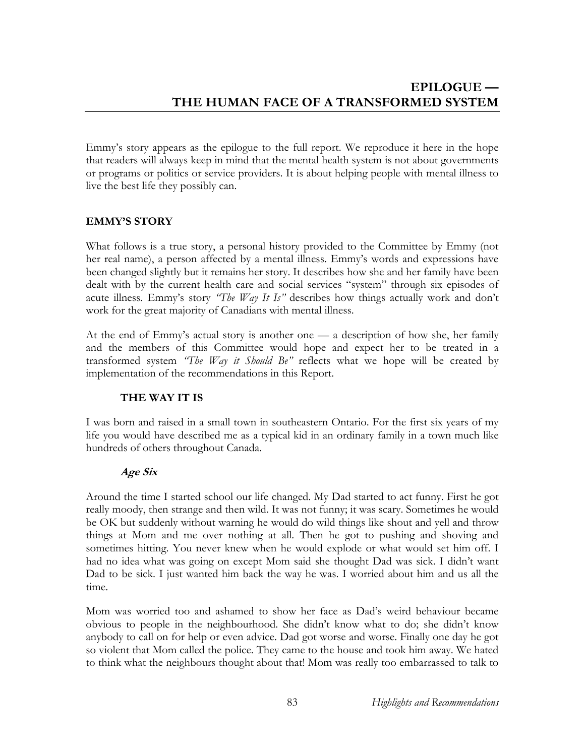Emmy's story appears as the epilogue to the full report. We reproduce it here in the hope that readers will always keep in mind that the mental health system is not about governments or programs or politics or service providers. It is about helping people with mental illness to live the best life they possibly can.

# **EMMY'S STORY**

What follows is a true story, a personal history provided to the Committee by Emmy (not her real name), a person affected by a mental illness. Emmy's words and expressions have been changed slightly but it remains her story. It describes how she and her family have been dealt with by the current health care and social services "system" through six episodes of acute illness. Emmy's story *"The Way It Is"* describes how things actually work and don't work for the great majority of Canadians with mental illness.

At the end of Emmy's actual story is another one — a description of how she, her family and the members of this Committee would hope and expect her to be treated in a transformed system *"The Way it Should Be"* reflects what we hope will be created by implementation of the recommendations in this Report.

# **THE WAY IT IS**

I was born and raised in a small town in southeastern Ontario. For the first six years of my life you would have described me as a typical kid in an ordinary family in a town much like hundreds of others throughout Canada.

# **Age Six**

Around the time I started school our life changed. My Dad started to act funny. First he got really moody, then strange and then wild. It was not funny; it was scary. Sometimes he would be OK but suddenly without warning he would do wild things like shout and yell and throw things at Mom and me over nothing at all. Then he got to pushing and shoving and sometimes hitting. You never knew when he would explode or what would set him off. I had no idea what was going on except Mom said she thought Dad was sick. I didn't want Dad to be sick. I just wanted him back the way he was. I worried about him and us all the time.

Mom was worried too and ashamed to show her face as Dad's weird behaviour became obvious to people in the neighbourhood. She didn't know what to do; she didn't know anybody to call on for help or even advice. Dad got worse and worse. Finally one day he got so violent that Mom called the police. They came to the house and took him away. We hated to think what the neighbours thought about that! Mom was really too embarrassed to talk to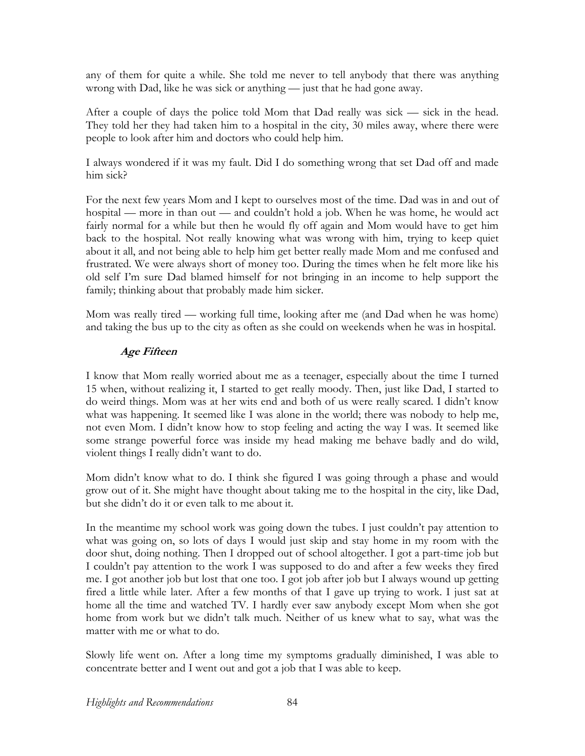any of them for quite a while. She told me never to tell anybody that there was anything wrong with Dad, like he was sick or anything — just that he had gone away.

After a couple of days the police told Mom that Dad really was sick — sick in the head. They told her they had taken him to a hospital in the city, 30 miles away, where there were people to look after him and doctors who could help him.

I always wondered if it was my fault. Did I do something wrong that set Dad off and made him sick?

For the next few years Mom and I kept to ourselves most of the time. Dad was in and out of hospital — more in than out — and couldn't hold a job. When he was home, he would act fairly normal for a while but then he would fly off again and Mom would have to get him back to the hospital. Not really knowing what was wrong with him, trying to keep quiet about it all, and not being able to help him get better really made Mom and me confused and frustrated. We were always short of money too. During the times when he felt more like his old self I'm sure Dad blamed himself for not bringing in an income to help support the family; thinking about that probably made him sicker.

Mom was really tired — working full time, looking after me (and Dad when he was home) and taking the bus up to the city as often as she could on weekends when he was in hospital.

# **Age Fifteen**

I know that Mom really worried about me as a teenager, especially about the time I turned 15 when, without realizing it, I started to get really moody. Then, just like Dad, I started to do weird things. Mom was at her wits end and both of us were really scared. I didn't know what was happening. It seemed like I was alone in the world; there was nobody to help me, not even Mom. I didn't know how to stop feeling and acting the way I was. It seemed like some strange powerful force was inside my head making me behave badly and do wild, violent things I really didn't want to do.

Mom didn't know what to do. I think she figured I was going through a phase and would grow out of it. She might have thought about taking me to the hospital in the city, like Dad, but she didn't do it or even talk to me about it.

In the meantime my school work was going down the tubes. I just couldn't pay attention to what was going on, so lots of days I would just skip and stay home in my room with the door shut, doing nothing. Then I dropped out of school altogether. I got a part-time job but I couldn't pay attention to the work I was supposed to do and after a few weeks they fired me. I got another job but lost that one too. I got job after job but I always wound up getting fired a little while later. After a few months of that I gave up trying to work. I just sat at home all the time and watched TV. I hardly ever saw anybody except Mom when she got home from work but we didn't talk much. Neither of us knew what to say, what was the matter with me or what to do.

Slowly life went on. After a long time my symptoms gradually diminished, I was able to concentrate better and I went out and got a job that I was able to keep.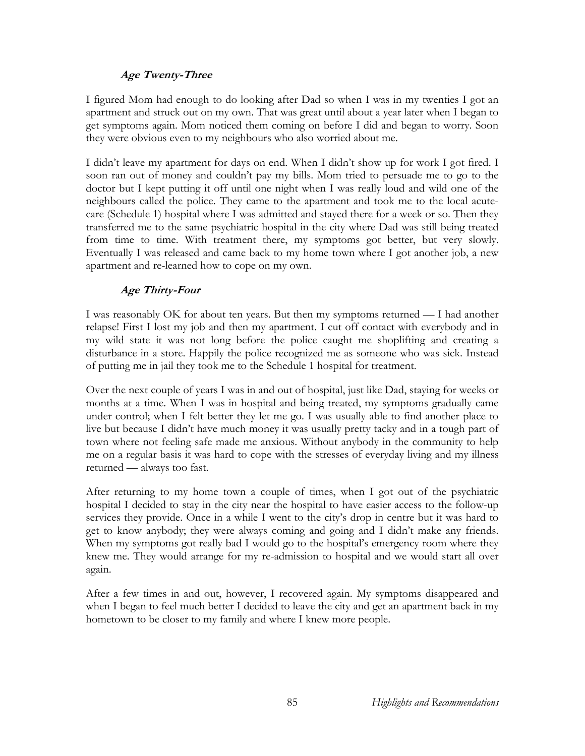# **Age Twenty-Three**

I figured Mom had enough to do looking after Dad so when I was in my twenties I got an apartment and struck out on my own. That was great until about a year later when I began to get symptoms again. Mom noticed them coming on before I did and began to worry. Soon they were obvious even to my neighbours who also worried about me.

I didn't leave my apartment for days on end. When I didn't show up for work I got fired. I soon ran out of money and couldn't pay my bills. Mom tried to persuade me to go to the doctor but I kept putting it off until one night when I was really loud and wild one of the neighbours called the police. They came to the apartment and took me to the local acutecare (Schedule 1) hospital where I was admitted and stayed there for a week or so. Then they transferred me to the same psychiatric hospital in the city where Dad was still being treated from time to time. With treatment there, my symptoms got better, but very slowly. Eventually I was released and came back to my home town where I got another job, a new apartment and re-learned how to cope on my own.

# **Age Thirty-Four**

I was reasonably OK for about ten years. But then my symptoms returned — I had another relapse! First I lost my job and then my apartment. I cut off contact with everybody and in my wild state it was not long before the police caught me shoplifting and creating a disturbance in a store. Happily the police recognized me as someone who was sick. Instead of putting me in jail they took me to the Schedule 1 hospital for treatment.

Over the next couple of years I was in and out of hospital, just like Dad, staying for weeks or months at a time. When I was in hospital and being treated, my symptoms gradually came under control; when I felt better they let me go. I was usually able to find another place to live but because I didn't have much money it was usually pretty tacky and in a tough part of town where not feeling safe made me anxious. Without anybody in the community to help me on a regular basis it was hard to cope with the stresses of everyday living and my illness returned — always too fast.

After returning to my home town a couple of times, when I got out of the psychiatric hospital I decided to stay in the city near the hospital to have easier access to the follow-up services they provide. Once in a while I went to the city's drop in centre but it was hard to get to know anybody; they were always coming and going and I didn't make any friends. When my symptoms got really bad I would go to the hospital's emergency room where they knew me. They would arrange for my re-admission to hospital and we would start all over again.

After a few times in and out, however, I recovered again. My symptoms disappeared and when I began to feel much better I decided to leave the city and get an apartment back in my hometown to be closer to my family and where I knew more people.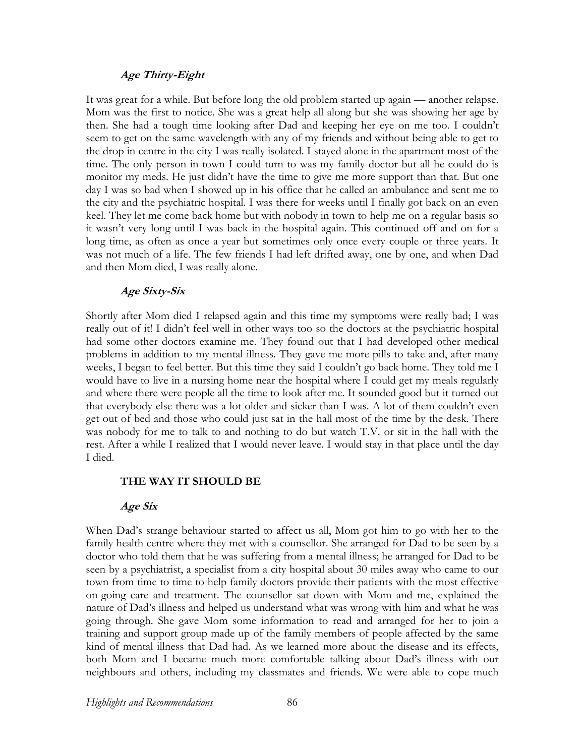#### **Age Thirty-Eight**

It was great for a while. But before long the old problem started up again — another relapse. Mom was the first to notice. She was a great help all along but she was showing her age by then. She had a tough time looking after Dad and keeping her eye on me too. I couldn't seem to get on the same wavelength with any of my friends and without being able to get to the drop in centre in the city I was really isolated. I stayed alone in the apartment most of the time. The only person in town I could turn to was my family doctor but all he could do is monitor my meds. He just didn't have the time to give me more support than that. But one day I was so bad when I showed up in his office that he called an ambulance and sent me to the city and the psychiatric hospital. I was there for weeks until I finally got back on an even keel. They let me come back home but with nobody in town to help me on a regular basis so it wasn't very long until I was back in the hospital again. This continued off and on for a long time, as often as once a year but sometimes only once every couple or three years. It was not much of a life. The few friends I had left drifted away, one by one, and when Dad and then Mom died, I was really alone.

#### **Age Sixty-Six**

Shortly after Mom died I relapsed again and this time my symptoms were really bad; I was really out of it! I didn't feel well in other ways too so the doctors at the psychiatric hospital had some other doctors examine me. They found out that I had developed other medical problems in addition to my mental illness. They gave me more pills to take and, after many weeks, I began to feel better. But this time they said I couldn't go back home. They told me I would have to live in a nursing home near the hospital where I could get my meals regularly and where there were people all the time to look after me. It sounded good but it turned out that everybody else there was a lot older and sicker than I was. A lot of them couldn't even get out of bed and those who could just sat in the hall most of the time by the desk. There was nobody for me to talk to and nothing to do but watch T.V. or sit in the hall with the rest. After a while I realized that I would never leave. I would stay in that place until the day I died.

#### **THE WAY IT SHOULD BE**

#### **Age Six**

When Dad's strange behaviour started to affect us all, Mom got him to go with her to the family health centre where they met with a counsellor. She arranged for Dad to be seen by a doctor who told them that he was suffering from a mental illness; he arranged for Dad to be seen by a psychiatrist, a specialist from a city hospital about 30 miles away who came to our town from time to time to help family doctors provide their patients with the most effective on-going care and treatment. The counsellor sat down with Mom and me, explained the nature of Dad's illness and helped us understand what was wrong with him and what he was going through. She gave Mom some information to read and arranged for her to join a training and support group made up of the family members of people affected by the same kind of mental illness that Dad had. As we learned more about the disease and its effects, both Mom and I became much more comfortable talking about Dad's illness with our neighbours and others, including my classmates and friends. We were able to cope much

*Highlights and Recommendations* 86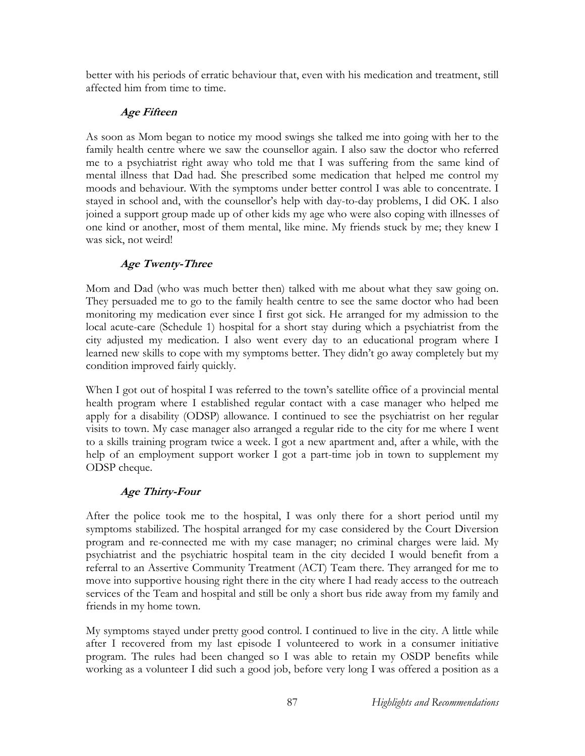better with his periods of erratic behaviour that, even with his medication and treatment, still affected him from time to time.

# **Age Fifteen**

As soon as Mom began to notice my mood swings she talked me into going with her to the family health centre where we saw the counsellor again. I also saw the doctor who referred me to a psychiatrist right away who told me that I was suffering from the same kind of mental illness that Dad had. She prescribed some medication that helped me control my moods and behaviour. With the symptoms under better control I was able to concentrate. I stayed in school and, with the counsellor's help with day-to-day problems, I did OK. I also joined a support group made up of other kids my age who were also coping with illnesses of one kind or another, most of them mental, like mine. My friends stuck by me; they knew I was sick, not weird!

# **Age Twenty-Three**

Mom and Dad (who was much better then) talked with me about what they saw going on. They persuaded me to go to the family health centre to see the same doctor who had been monitoring my medication ever since I first got sick. He arranged for my admission to the local acute-care (Schedule 1) hospital for a short stay during which a psychiatrist from the city adjusted my medication. I also went every day to an educational program where I learned new skills to cope with my symptoms better. They didn't go away completely but my condition improved fairly quickly.

When I got out of hospital I was referred to the town's satellite office of a provincial mental health program where I established regular contact with a case manager who helped me apply for a disability (ODSP) allowance. I continued to see the psychiatrist on her regular visits to town. My case manager also arranged a regular ride to the city for me where I went to a skills training program twice a week. I got a new apartment and, after a while, with the help of an employment support worker I got a part-time job in town to supplement my ODSP cheque.

# **Age Thirty-Four**

After the police took me to the hospital, I was only there for a short period until my symptoms stabilized. The hospital arranged for my case considered by the Court Diversion program and re-connected me with my case manager; no criminal charges were laid. My psychiatrist and the psychiatric hospital team in the city decided I would benefit from a referral to an Assertive Community Treatment (ACT) Team there. They arranged for me to move into supportive housing right there in the city where I had ready access to the outreach services of the Team and hospital and still be only a short bus ride away from my family and friends in my home town.

My symptoms stayed under pretty good control. I continued to live in the city. A little while after I recovered from my last episode I volunteered to work in a consumer initiative program. The rules had been changed so I was able to retain my OSDP benefits while working as a volunteer I did such a good job, before very long I was offered a position as a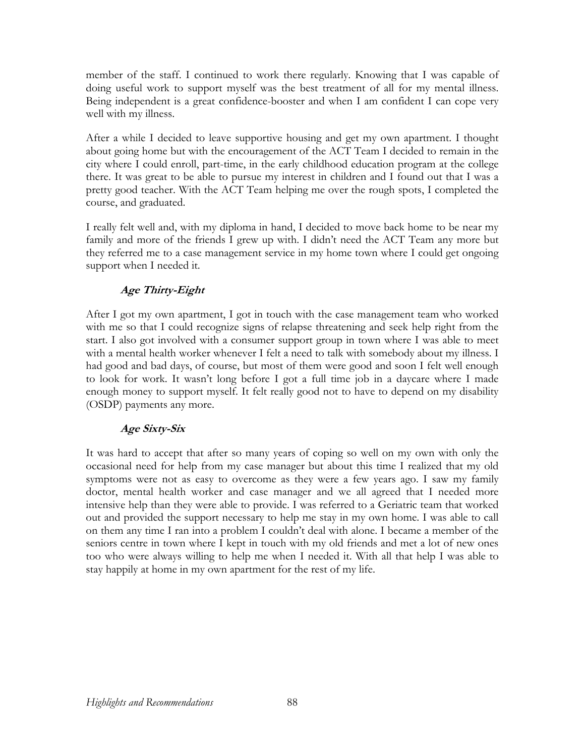member of the staff. I continued to work there regularly. Knowing that I was capable of doing useful work to support myself was the best treatment of all for my mental illness. Being independent is a great confidence-booster and when I am confident I can cope very well with my illness.

After a while I decided to leave supportive housing and get my own apartment. I thought about going home but with the encouragement of the ACT Team I decided to remain in the city where I could enroll, part-time, in the early childhood education program at the college there. It was great to be able to pursue my interest in children and I found out that I was a pretty good teacher. With the ACT Team helping me over the rough spots, I completed the course, and graduated.

I really felt well and, with my diploma in hand, I decided to move back home to be near my family and more of the friends I grew up with. I didn't need the ACT Team any more but they referred me to a case management service in my home town where I could get ongoing support when I needed it.

# **Age Thirty-Eight**

After I got my own apartment, I got in touch with the case management team who worked with me so that I could recognize signs of relapse threatening and seek help right from the start. I also got involved with a consumer support group in town where I was able to meet with a mental health worker whenever I felt a need to talk with somebody about my illness. I had good and bad days, of course, but most of them were good and soon I felt well enough to look for work. It wasn't long before I got a full time job in a daycare where I made enough money to support myself. It felt really good not to have to depend on my disability (OSDP) payments any more.

# **Age Sixty-Six**

It was hard to accept that after so many years of coping so well on my own with only the occasional need for help from my case manager but about this time I realized that my old symptoms were not as easy to overcome as they were a few years ago. I saw my family doctor, mental health worker and case manager and we all agreed that I needed more intensive help than they were able to provide. I was referred to a Geriatric team that worked out and provided the support necessary to help me stay in my own home. I was able to call on them any time I ran into a problem I couldn't deal with alone. I became a member of the seniors centre in town where I kept in touch with my old friends and met a lot of new ones too who were always willing to help me when I needed it. With all that help I was able to stay happily at home in my own apartment for the rest of my life.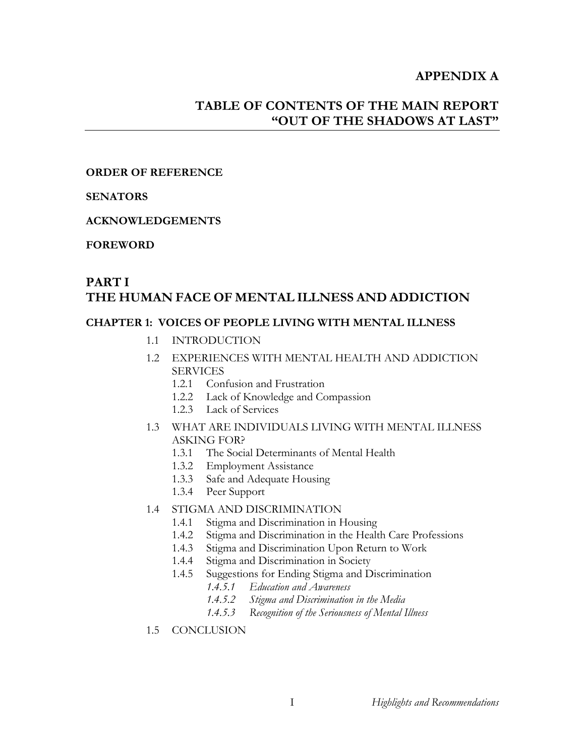## **APPENDIX A**

# **TABLE OF CONTENTS OF THE MAIN REPORT "OUT OF THE SHADOWS AT LAST"**

#### **ORDER OF REFERENCE**

#### **SENATORS**

#### **ACKNOWLEDGEMENTS**

#### **FOREWORD**

# **PART I THE HUMAN FACE OF MENTAL ILLNESS AND ADDICTION**

#### **CHAPTER 1: VOICES OF PEOPLE LIVING WITH MENTAL ILLNESS**

- 1.1 INTRODUCTION
- 1.2 EXPERIENCES WITH MENTAL HEALTH AND ADDICTION **SERVICES** 
	- 1.2.1 Confusion and Frustration
	- 1.2.2 Lack of Knowledge and Compassion
	- 1.2.3 Lack of Services
- 1.3 WHAT ARE INDIVIDUALS LIVING WITH MENTAL ILLNESS ASKING FOR?
	- 1.3.1 The Social Determinants of Mental Health
	- 1.3.2 Employment Assistance
	- 1.3.3 Safe and Adequate Housing
	- 1.3.4 Peer Support

#### 1.4 STIGMA AND DISCRIMINATION

- 1.4.1 Stigma and Discrimination in Housing
- 1.4.2 Stigma and Discrimination in the Health Care Professions
- 1.4.3 Stigma and Discrimination Upon Return to Work
- 1.4.4 Stigma and Discrimination in Society
- 1.4.5 Suggestions for Ending Stigma and Discrimination
	- *1.4.5.1 Education and Awareness*
	- *1.4.5.2 Stigma and Discrimination in the Media*
	- *1.4.5.3 Recognition of the Seriousness of Mental Illness*
- 1.5 CONCLUSION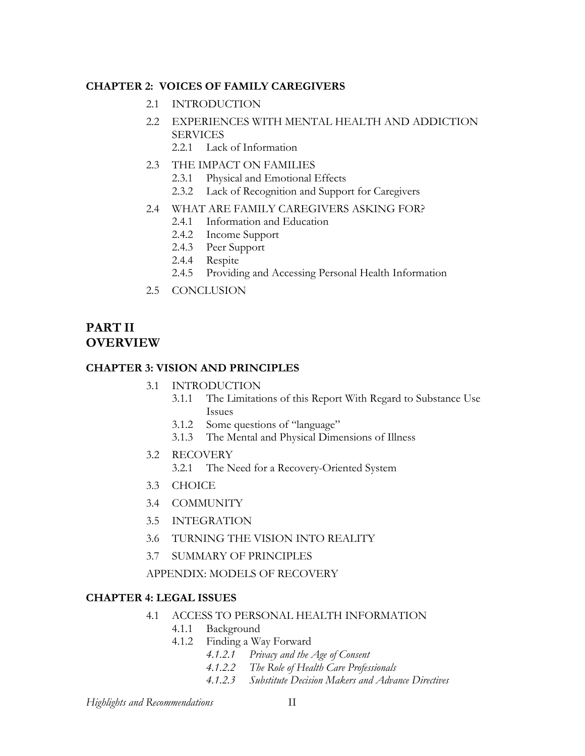## **CHAPTER 2: VOICES OF FAMILY CAREGIVERS**

- 2.1 INTRODUCTION
- 2.2 EXPERIENCES WITH MENTAL HEALTH AND ADDICTION SERVICES
	- 2.2.1 Lack of Information
- 2.3 THE IMPACT ON FAMILIES
	- 2.3.1 Physical and Emotional Effects
	- 2.3.2 Lack of Recognition and Support for Caregivers
- 2.4 WHAT ARE FAMILY CAREGIVERS ASKING FOR?
	- 2.4.1 Information and Education
	- 2.4.2 Income Support
	- 2.4.3 Peer Support
	- 2.4.4 Respite
	- 2.4.5 Providing and Accessing Personal Health Information
- 2.5 CONCLUSION

# **PART II OVERVIEW**

#### **CHAPTER 3: VISION AND PRINCIPLES**

- 3.1 INTRODUCTION
	- 3.1.1 The Limitations of this Report With Regard to Substance Use Issues
	- 3.1.2 Some questions of "language"
	- 3.1.3 The Mental and Physical Dimensions of Illness
- 3.2 RECOVERY
	- 3.2.1 The Need for a Recovery-Oriented System
- 3.3 CHOICE
- 3.4 COMMUNITY
- 3.5 INTEGRATION
- 3.6 TURNING THE VISION INTO REALITY
- 3.7 SUMMARY OF PRINCIPLES

### APPENDIX: MODELS OF RECOVERY

### **CHAPTER 4: LEGAL ISSUES**

- 4.1 ACCESS TO PERSONAL HEALTH INFORMATION
	- 4.1.1 Background
	- 4.1.2 Finding a Way Forward
		- *4.1.2.1 Privacy and the Age of Consent*
		- *4.1.2.2 The Role of Health Care Professionals*
		- *4.1.2.3 Substitute Decision Makers and Advance Directives*

*Highlights and Recommendations* II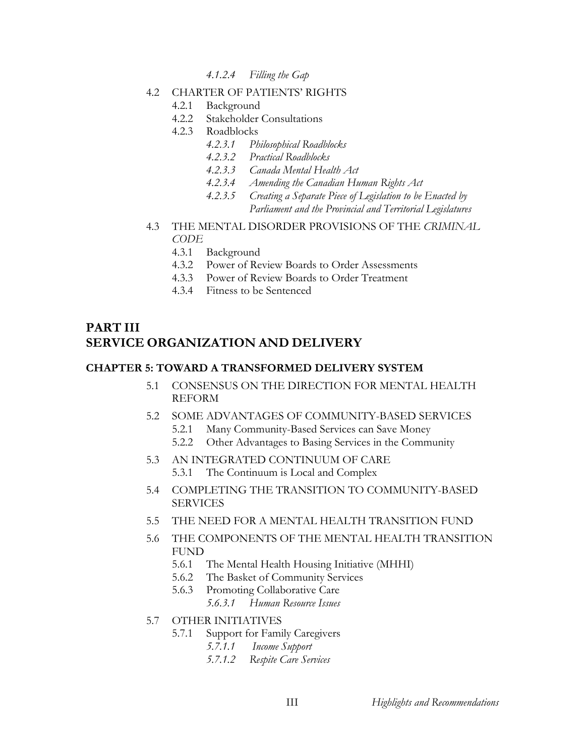- *4.1.2.4 Filling the Gap*
- 4.2 CHARTER OF PATIENTS' RIGHTS
	- 4.2.1 Background
	- 4.2.2 Stakeholder Consultations
	- 4.2.3 Roadblocks
		- *4.2.3.1 Philosophical Roadblocks*
		- *4.2.3.2 Practical Roadblocks*
		- *4.2.3.3 Canada Mental Health Act*
		- *4.2.3.4 Amending the Canadian Human Rights Act*
		- *4.2.3.5 Creating a Separate Piece of Legislation to be Enacted by Parliament and the Provincial and Territorial Legislatures*
- 4.3 THE MENTAL DISORDER PROVISIONS OF THE *CRIMINAL CODE*
	- 4.3.1 Background
	- 4.3.2 Power of Review Boards to Order Assessments
	- 4.3.3 Power of Review Boards to Order Treatment
	- 4.3.4 Fitness to be Sentenced

# **PART III SERVICE ORGANIZATION AND DELIVERY**

#### **CHAPTER 5: TOWARD A TRANSFORMED DELIVERY SYSTEM**

- 5.1 CONSENSUS ON THE DIRECTION FOR MENTAL HEALTH REFORM
- 5.2 SOME ADVANTAGES OF COMMUNITY-BASED SERVICES
	- 5.2.1 Many Community-Based Services can Save Money
	- 5.2.2 Other Advantages to Basing Services in the Community
- 5.3 AN INTEGRATED CONTINUUM OF CARE 5.3.1 The Continuum is Local and Complex
- 5.4 COMPLETING THE TRANSITION TO COMMUNITY-BASED SERVICES
- 5.5 THE NEED FOR A MENTAL HEALTH TRANSITION FUND
- 5.6 THE COMPONENTS OF THE MENTAL HEALTH TRANSITION FUND
	- 5.6.1 The Mental Health Housing Initiative (MHHI)
	- 5.6.2 The Basket of Community Services
	- 5.6.3 Promoting Collaborative Care *5.6.3.1 Human Resource Issues*
- 5.7 OTHER INITIATIVES
	- 5.7.1 Support for Family Caregivers
		- *5.7.1.1 Income Support*
		- *5.7.1.2 Respite Care Services*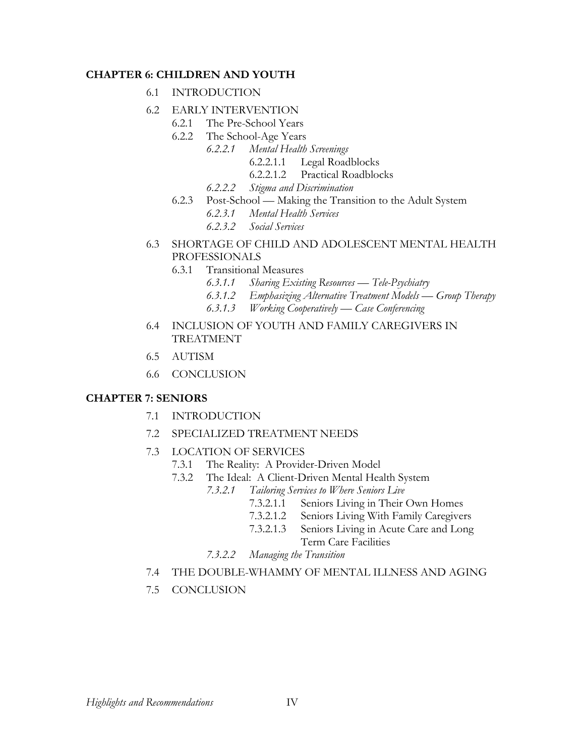#### **CHAPTER 6: CHILDREN AND YOUTH**

- 6.1 INTRODUCTION
- 6.2 EARLY INTERVENTION
	- 6.2.1 The Pre-School Years
		- 6.2.2 The School-Age Years
			- *6.2.2.1 Mental Health Screenings* 
				- 6.2.2.1.1 Legal Roadblocks
				- 6.2.2.1.2 Practical Roadblocks
			- *6.2.2.2 Stigma and Discrimination*
		- 6.2.3 Post-School Making the Transition to the Adult System *6.2.3.1 Mental Health Services 6.2.3.2 Social Services*
- 6.3 SHORTAGE OF CHILD AND ADOLESCENT MENTAL HEALTH PROFESSIONALS
	- 6.3.1 Transitional Measures
		- *6.3.1.1 Sharing Existing Resources Tele-Psychiatry*
		- *6.3.1.2 Emphasizing Alternative Treatment Models Group Therapy*
		- *6.3.1.3 Working Cooperatively Case Conferencing*
- 6.4 INCLUSION OF YOUTH AND FAMILY CAREGIVERS IN TREATMENT
- 6.5 AUTISM
- 6.6 CONCLUSION

# **CHAPTER 7: SENIORS**

- 7.1 INTRODUCTION
- 7.2 SPECIALIZED TREATMENT NEEDS
- 7.3 LOCATION OF SERVICES
	- 7.3.1 The Reality: A Provider-Driven Model
	- 7.3.2 The Ideal: A Client-Driven Mental Health System
		- *7.3.2.1 Tailoring Services to Where Seniors Live* 
			- 7.3.2.1.1 Seniors Living in Their Own Homes
			- 7.3.2.1.2 Seniors Living With Family Caregivers
			- 7.3.2.1.3 Seniors Living in Acute Care and Long Term Care Facilities
		- *7.3.2.2 Managing the Transition*
- 7.4 THE DOUBLE-WHAMMY OF MENTAL ILLNESS AND AGING
- 7.5 CONCLUSION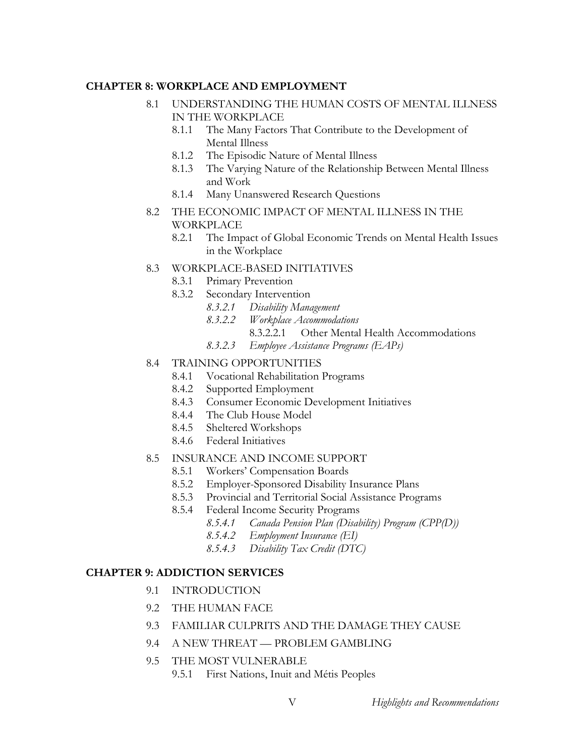#### **CHAPTER 8: WORKPLACE AND EMPLOYMENT**

- 8.1 UNDERSTANDING THE HUMAN COSTS OF MENTAL ILLNESS IN THE WORKPLACE
	- 8.1.1 The Many Factors That Contribute to the Development of Mental Illness
	- 8.1.2 The Episodic Nature of Mental Illness
	- 8.1.3 The Varying Nature of the Relationship Between Mental Illness and Work
	- 8.1.4 Many Unanswered Research Questions
- 8.2 THE ECONOMIC IMPACT OF MENTAL ILLNESS IN THE **WORKPLACE** 
	- 8.2.1 The Impact of Global Economic Trends on Mental Health Issues in the Workplace
- 8.3 WORKPLACE-BASED INITIATIVES
	- 8.3.1 Primary Prevention
	- 8.3.2 Secondary Intervention
		- *8.3.2.1 Disability Management*
		- *8.3.2.2 Workplace Accommodations* 
			- 8.3.2.2.1 Other Mental Health Accommodations
		- *8.3.2.3 Employee Assistance Programs (EAPs)*

#### 8.4 TRAINING OPPORTUNITIES

- 8.4.1 Vocational Rehabilitation Programs
- 8.4.2 Supported Employment
- 8.4.3 Consumer Economic Development Initiatives
- 8.4.4 The Club House Model
- 8.4.5 Sheltered Workshops
- 8.4.6 Federal Initiatives
- 8.5 INSURANCE AND INCOME SUPPORT
	- 8.5.1 Workers' Compensation Boards
	- 8.5.2 Employer-Sponsored Disability Insurance Plans
	- 8.5.3 Provincial and Territorial Social Assistance Programs
	- 8.5.4 Federal Income Security Programs
		- *8.5.4.1 Canada Pension Plan (Disability) Program (CPP(D))*
		- *8.5.4.2 Employment Insurance (EI)*
		- *8.5.4.3 Disability Tax Credit (DTC)*

### **CHAPTER 9: ADDICTION SERVICES**

- 9.1 INTRODUCTION
- 9.2 THE HUMAN FACE
- 9.3 FAMILIAR CULPRITS AND THE DAMAGE THEY CAUSE
- 9.4 A NEW THREAT PROBLEM GAMBLING
- 9.5 THE MOST VULNERABLE
	- 9.5.1 First Nations, Inuit and Métis Peoples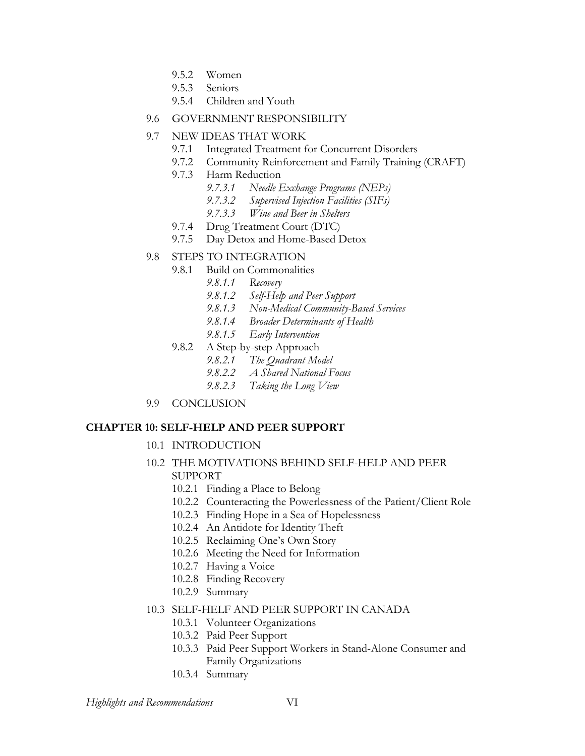- 9.5.2 Women
- 9.5.3 Seniors
- 9.5.4 Children and Youth
- 9.6 GOVERNMENT RESPONSIBILITY
- 9.7 NEW IDEAS THAT WORK
	- 9.7.1 Integrated Treatment for Concurrent Disorders
	- 9.7.2 Community Reinforcement and Family Training (CRAFT)
	- 9.7.3 Harm Reduction
		- *9.7.3.1 Needle Exchange Programs (NEPs)*
		- *9.7.3.2 Supervised Injection Facilities (SIFs)*
		- *9.7.3.3 Wine and Beer in Shelters*
	- 9.7.4 Drug Treatment Court (DTC)
	- 9.7.5 Day Detox and Home-Based Detox

### 9.8 STEPS TO INTEGRATION

- 9.8.1 Build on Commonalities
	- *9.8.1.1 Recovery*
	- *9.8.1.2 Self-Help and Peer Support*
	- *9.8.1.3 Non-Medical Community-Based Services*
	- *9.8.1.4 Broader Determinants of Health*
	- *9.8.1.5 Early Intervention*
- 9.8.2 A Step-by-step Approach
	- *9.8.2.1 The Quadrant Model*
	- *9.8.2.2 A Shared National Focus*
	- *9.8.2.3 Taking the Long View*
- 9.9 CONCLUSION

#### **CHAPTER 10: SELF-HELP AND PEER SUPPORT**

- 10.1 INTRODUCTION
- 10.2 THE MOTIVATIONS BEHIND SELF-HELP AND PEER SUPPORT
	- 10.2.1 Finding a Place to Belong
	- 10.2.2 Counteracting the Powerlessness of the Patient/Client Role
	- 10.2.3 Finding Hope in a Sea of Hopelessness
	- 10.2.4 An Antidote for Identity Theft
	- 10.2.5 Reclaiming One's Own Story
	- 10.2.6 Meeting the Need for Information
	- 10.2.7 Having a Voice
	- 10.2.8 Finding Recovery
	- 10.2.9 Summary

#### 10.3 SELF-HELF AND PEER SUPPORT IN CANADA

- 10.3.1 Volunteer Organizations
- 10.3.2 Paid Peer Support
- 10.3.3 Paid Peer Support Workers in Stand-Alone Consumer and Family Organizations
- 10.3.4 Summary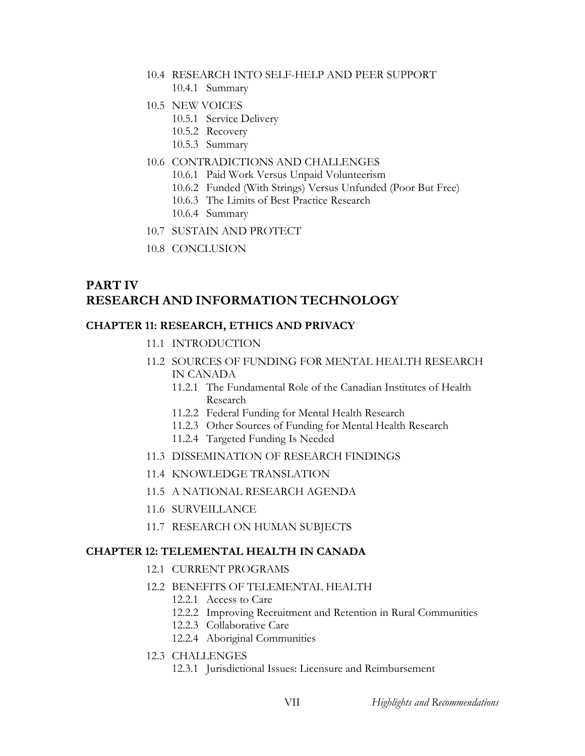- 10.4 RESEARCH INTO SELF-HELP AND PEER SUPPORT
	- 10.4.1 Summary
- 10.5 NEW VOICES
	- 10.5.1 Service Delivery
	- 10.5.2 Recovery
	- 10.5.3 Summary
- 10.6 CONTRADICTIONS AND CHALLENGES
	- 10.6.1 Paid Work Versus Unpaid Volunteerism
	- 10.6.2 Funded (With Strings) Versus Unfunded (Poor But Free)
	- 10.6.3 The Limits of Best Practice Research
	- 10.6.4 Summary
- 10.7 SUSTAIN AND PROTECT
- 10.8 CONCLUSION

# **PART IV RESEARCH AND INFORMATION TECHNOLOGY**

# **CHAPTER 11: RESEARCH, ETHICS AND PRIVACY**

- 11.1 INTRODUCTION
- 11.2 SOURCES OF FUNDING FOR MENTAL HEALTH RESEARCH IN CANADA
	- 11.2.1 The Fundamental Role of the Canadian Institutes of Health Research
	- 11.2.2 Federal Funding for Mental Health Research
	- 11.2.3 Other Sources of Funding for Mental Health Research
	- 11.2.4 Targeted Funding Is Needed
- 11.3 DISSEMINATION OF RESEARCH FINDINGS
- 11.4 KNOWLEDGE TRANSLATION
- 11.5 A NATIONAL RESEARCH AGENDA
- 11.6 SURVEILLANCE
- 11.7 RESEARCH ON HUMAN SUBJECTS

# **CHAPTER 12: TELEMENTAL HEALTH IN CANADA**

- 12.1 CURRENT PROGRAMS
- 12.2 BENEFITS OF TELEMENTAL HEALTH
	- 12.2.1 Access to Care
	- 12.2.2 Improving Recruitment and Retention in Rural Communities
	- 12.2.3 Collaborative Care
	- 12.2.4 Aboriginal Communities
- 12.3 CHALLENGES
	- 12.3.1 Jurisdictional Issues: Licensure and Reimbursement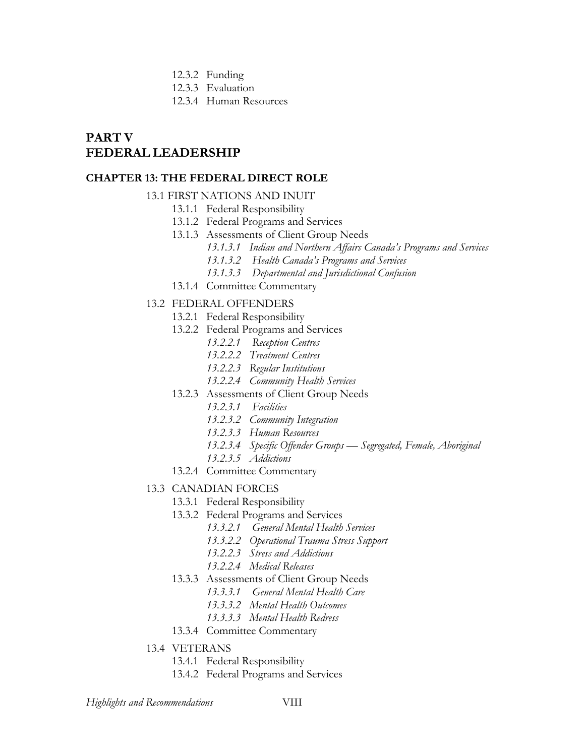- 12.3.2 Funding
- 12.3.3 Evaluation
- 12.3.4 Human Resources

# **PART V FEDERAL LEADERSHIP**

#### **CHAPTER 13: THE FEDERAL DIRECT ROLE**

#### 13.1 FIRST NATIONS AND INUIT

- 13.1.1 Federal Responsibility
- 13.1.2 Federal Programs and Services
- 13.1.3 Assessments of Client Group Needs
	- *13.1.3.1 Indian and Northern Affairs Canada's Programs and Services*
	- *13.1.3.2 Health Canada's Programs and Services*
	- *13.1.3.3 Departmental and Jurisdictional Confusion*
- 13.1.4 Committee Commentary

#### 13.2 FEDERAL OFFENDERS

- 13.2.1 Federal Responsibility
- 13.2.2 Federal Programs and Services
	- *13.2.2.1 Reception Centres*
	- *13.2.2.2 Treatment Centres*
	- *13.2.2.3 Regular Institutions*
	- *13.2.2.4 Community Health Services*
- 13.2.3 Assessments of Client Group Needs
	- *13.2.3.1 Facilities*
	- *13.2.3.2 Community Integration*
	- *13.2.3.3 Human Resources*
	- *13.2.3.4 Specific Offender Groups Segregated, Female, Aboriginal*
	- *13.2.3.5 Addictions*
- 13.2.4 Committee Commentary

#### 13.3 CANADIAN FORCES

- 13.3.1 Federal Responsibility
	- 13.3.2 Federal Programs and Services
		- *13.3.2.1 General Mental Health Services*
		- *13.3.2.2 Operational Trauma Stress Support*
		- *13.2.2.3 Stress and Addictions*
		- *13.2.2.4 Medical Releases*
	- 13.3.3 Assessments of Client Group Needs
		- *13.3.3.1 General Mental Health Care*
		- *13.3.3.2 Mental Health Outcomes*
		- *13.3.3.3 Mental Health Redress*
	- 13.3.4 Committee Commentary
- 13.4 VETERANS
	- 13.4.1 Federal Responsibility
	- 13.4.2 Federal Programs and Services

*Highlights and Recommendations* VIII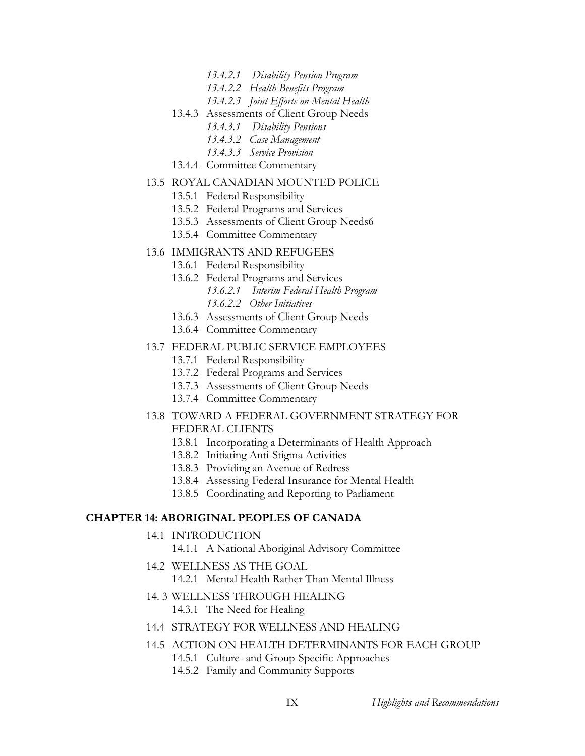- *13.4.2.1 Disability Pension Program*
- *13.4.2.2 Health Benefits Program*
- *13.4.2.3 Joint Efforts on Mental Health*
- 13.4.3 Assessments of Client Group Needs
	- *13.4.3.1 Disability Pensions*
	- *13.4.3.2 Case Management*
	- *13.4.3.3 Service Provision*
- 13.4.4 Committee Commentary

#### 13.5 ROYAL CANADIAN MOUNTED POLICE

- 13.5.1 Federal Responsibility
- 13.5.2 Federal Programs and Services
- 13.5.3 Assessments of Client Group Needs6
- 13.5.4 Committee Commentary

#### 13.6 IMMIGRANTS AND REFUGEES

- 13.6.1 Federal Responsibility
- 13.6.2 Federal Programs and Services *13.6.2.1 Interim Federal Health Program 13.6.2.2 Other Initiatives*
- 13.6.3 Assessments of Client Group Needs
- 13.6.4 Committee Commentary

#### 13.7 FEDERAL PUBLIC SERVICE EMPLOYEES

- 13.7.1 Federal Responsibility
- 13.7.2 Federal Programs and Services
- 13.7.3 Assessments of Client Group Needs
- 13.7.4 Committee Commentary
- 13.8 TOWARD A FEDERAL GOVERNMENT STRATEGY FOR FEDERAL CLIENTS
	- 13.8.1 Incorporating a Determinants of Health Approach
	- 13.8.2 Initiating Anti-Stigma Activities
	- 13.8.3 Providing an Avenue of Redress
	- 13.8.4 Assessing Federal Insurance for Mental Health
	- 13.8.5 Coordinating and Reporting to Parliament

#### **CHAPTER 14: ABORIGINAL PEOPLES OF CANADA**

- 14.1 INTRODUCTION
	- 14.1.1 A National Aboriginal Advisory Committee
- 14.2 WELLNESS AS THE GOAL 14.2.1 Mental Health Rather Than Mental Illness
- 14. 3 WELLNESS THROUGH HEALING 14.3.1 The Need for Healing
- 14.4 STRATEGY FOR WELLNESS AND HEALING
- 14.5 ACTION ON HEALTH DETERMINANTS FOR EACH GROUP 14.5.1 Culture- and Group-Specific Approaches
	- 14.5.2 Family and Community Supports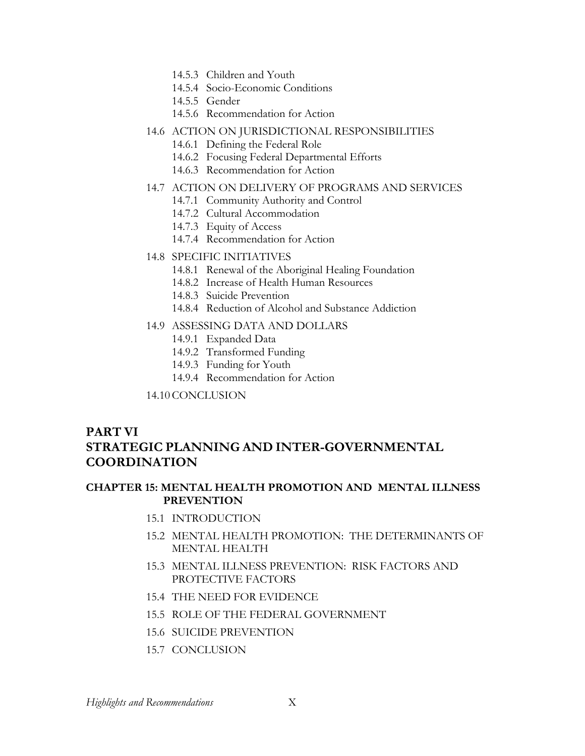- 14.5.3 Children and Youth
- 14.5.4 Socio-Economic Conditions
- 14.5.5 Gender
- 14.5.6 Recommendation for Action
- 14.6 ACTION ON JURISDICTIONAL RESPONSIBILITIES
	- 14.6.1 Defining the Federal Role
	- 14.6.2 Focusing Federal Departmental Efforts
	- 14.6.3 Recommendation for Action
- 14.7 ACTION ON DELIVERY OF PROGRAMS AND SERVICES
	- 14.7.1 Community Authority and Control
	- 14.7.2 Cultural Accommodation
	- 14.7.3 Equity of Access
	- 14.7.4 Recommendation for Action
- 14.8 SPECIFIC INITIATIVES
	- 14.8.1 Renewal of the Aboriginal Healing Foundation
	- 14.8.2 Increase of Health Human Resources
	- 14.8.3 Suicide Prevention
	- 14.8.4 Reduction of Alcohol and Substance Addiction
- 14.9 ASSESSING DATA AND DOLLARS
	- 14.9.1 Expanded Data
	- 14.9.2 Transformed Funding
	- 14.9.3 Funding for Youth
	- 14.9.4 Recommendation for Action
- 14.10 CONCLUSION

# **PART VI STRATEGIC PLANNING AND INTER-GOVERNMENTAL COORDINATION**

## **CHAPTER 15: MENTAL HEALTH PROMOTION AND MENTAL ILLNESS PREVENTION**

- 15.1 INTRODUCTION
- 15.2 MENTAL HEALTH PROMOTION: THE DETERMINANTS OF MENTAL HEALTH
- 15.3 MENTAL ILLNESS PREVENTION: RISK FACTORS AND PROTECTIVE FACTORS
- 15.4 THE NEED FOR EVIDENCE
- 15.5 ROLE OF THE FEDERAL GOVERNMENT
- 15.6 SUICIDE PREVENTION
- 15.7 CONCLUSION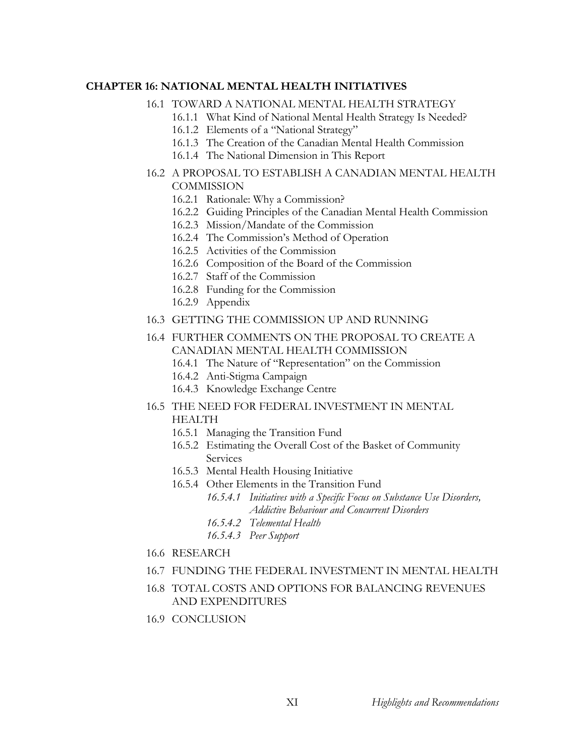## **CHAPTER 16: NATIONAL MENTAL HEALTH INITIATIVES**

#### 16.1 TOWARD A NATIONAL MENTAL HEALTH STRATEGY

- 16.1.1 What Kind of National Mental Health Strategy Is Needed?
- 16.1.2 Elements of a "National Strategy"
- 16.1.3 The Creation of the Canadian Mental Health Commission
- 16.1.4 The National Dimension in This Report

## 16.2 A PROPOSAL TO ESTABLISH A CANADIAN MENTAL HEALTH **COMMISSION**

- 16.2.1 Rationale: Why a Commission?
- 16.2.2 Guiding Principles of the Canadian Mental Health Commission
- 16.2.3 Mission/Mandate of the Commission
- 16.2.4 The Commission's Method of Operation
- 16.2.5 Activities of the Commission
- 16.2.6 Composition of the Board of the Commission
- 16.2.7 Staff of the Commission
- 16.2.8 Funding for the Commission
- 16.2.9 Appendix
- 16.3 GETTING THE COMMISSION UP AND RUNNING

# 16.4 FURTHER COMMENTS ON THE PROPOSAL TO CREATE A CANADIAN MENTAL HEALTH COMMISSION

- 16.4.1 The Nature of "Representation" on the Commission
- 16.4.2 Anti-Stigma Campaign
- 16.4.3 Knowledge Exchange Centre
- 16.5 THE NEED FOR FEDERAL INVESTMENT IN MENTAL HEALTH
	- 16.5.1 Managing the Transition Fund
	- 16.5.2 Estimating the Overall Cost of the Basket of Community Services
	- 16.5.3 Mental Health Housing Initiative
	- 16.5.4 Other Elements in the Transition Fund
		- *16.5.4.1 Initiatives with a Specific Focus on Substance Use Disorders, Addictive Behaviour and Concurrent Disorders*
		- *16.5.4.2 Telemental Health*
		- *16.5.4.3 Peer Support*
- 16.6 RESEARCH
- 16.7 FUNDING THE FEDERAL INVESTMENT IN MENTAL HEALTH
- 16.8 TOTAL COSTS AND OPTIONS FOR BALANCING REVENUES AND EXPENDITURES
- 16.9 CONCLUSION